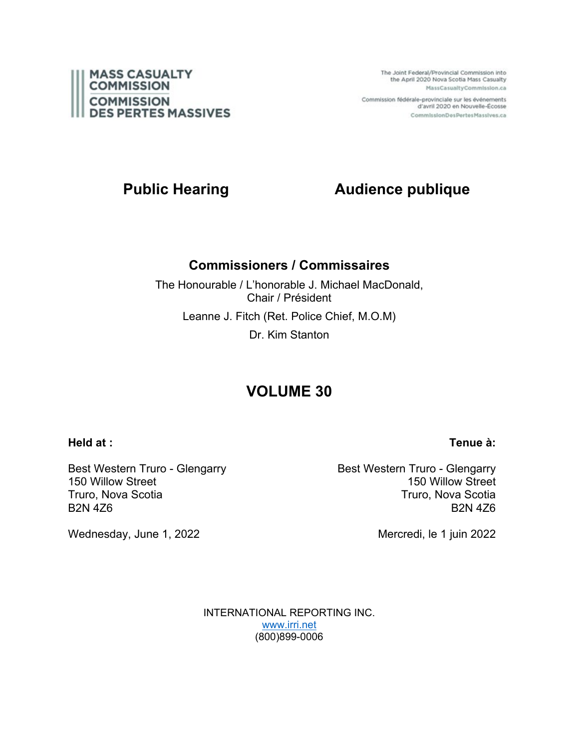

The Joint Federal/Provincial Commission into the April 2020 Nova Scotia Mass Casualty MassCasualtyCommission.ca

Commission fédérale-provinciale sur les événements d'avril 2020 en Nouvelle-Écosse CommissionDesPertesMassives.ca

# **Public Hearing Audience publique**

# **Commissioners / Commissaires**

The Honourable / L'honorable J. Michael MacDonald, Chair / Président Leanne J. Fitch (Ret. Police Chief, M.O.M) Dr. Kim Stanton

# **VOLUME 30**

## **Held at :**

## **Tenue à:**

Best Western Truro - Glengarry 150 Willow Street Truro, Nova Scotia B2N 4Z6

Wednesday, June 1, 2022

Best Western Truro - Glengarry 150 Willow Street Truro, Nova Scotia B2N 4Z6

Mercredi, le 1 juin 2022

INTERNATIONAL REPORTING INC. [www.irri.net](http://www.irri.net/) (800)899-0006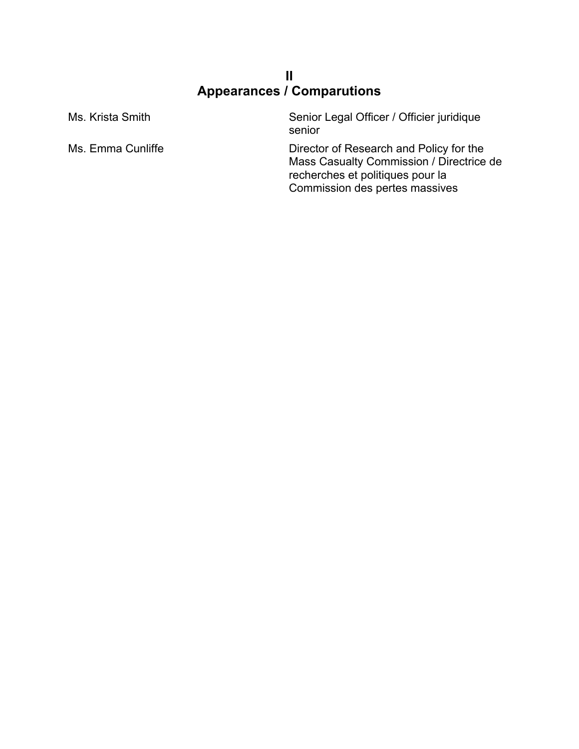# **II Appearances / Comparutions**

| Ms. Krista Smith  | Senior Legal Officer / Officier juridique<br>senior                                                                                                       |
|-------------------|-----------------------------------------------------------------------------------------------------------------------------------------------------------|
| Ms. Emma Cunliffe | Director of Research and Policy for the<br>Mass Casualty Commission / Directrice de<br>recherches et politiques pour la<br>Commission des pertes massives |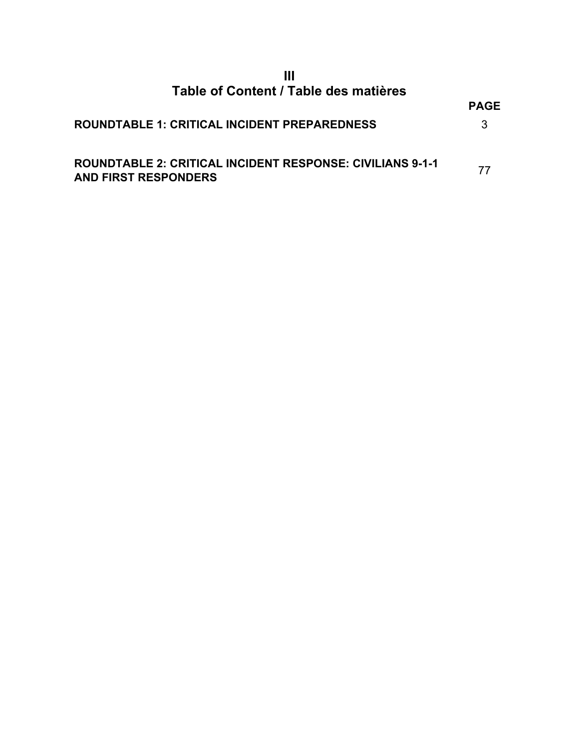# **III Table of Content / Table des matières**

|                                                                                                 | <b>PAGE</b> |
|-------------------------------------------------------------------------------------------------|-------------|
| ROUNDTABLE 1: CRITICAL INCIDENT PREPAREDNESS                                                    | 3           |
| <b>ROUNDTABLE 2: CRITICAL INCIDENT RESPONSE: CIVILIANS 9-1-1</b><br><b>AND FIRST RESPONDERS</b> | 77          |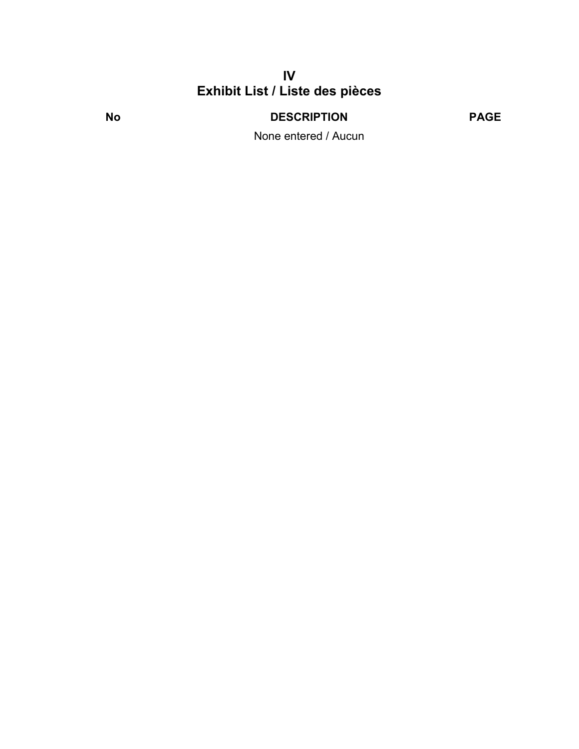# **IV Exhibit List / Liste des pièces**

**No DESCRIPTION PAGE**

None entered / Aucun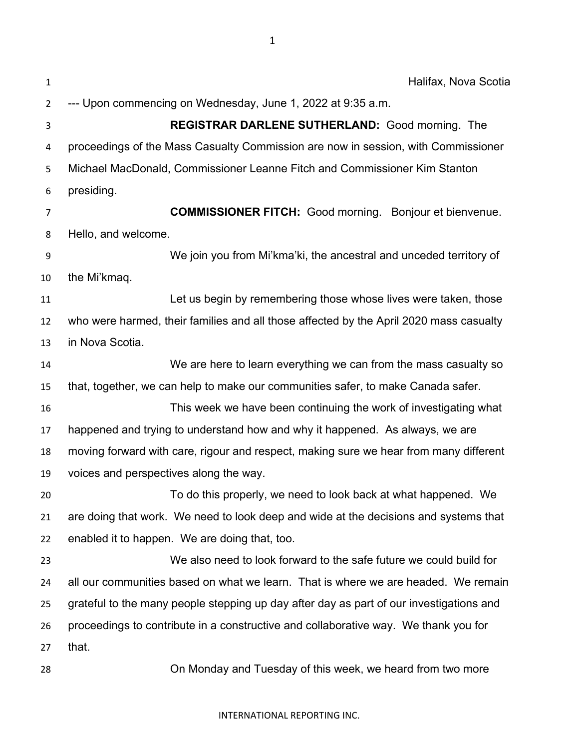| $\mathbf{1}$ | Halifax, Nova Scotia                                                                    |
|--------------|-----------------------------------------------------------------------------------------|
| 2            | --- Upon commencing on Wednesday, June 1, 2022 at 9:35 a.m.                             |
| 3            | <b>REGISTRAR DARLENE SUTHERLAND: Good morning. The</b>                                  |
| 4            | proceedings of the Mass Casualty Commission are now in session, with Commissioner       |
| 5            | Michael MacDonald, Commissioner Leanne Fitch and Commissioner Kim Stanton               |
| 6            | presiding.                                                                              |
| 7            | <b>COMMISSIONER FITCH:</b> Good morning. Bonjour et bienvenue.                          |
| 8            | Hello, and welcome.                                                                     |
| 9            | We join you from Mi'kma'ki, the ancestral and unceded territory of                      |
| 10           | the Mi'kmaq.                                                                            |
| 11           | Let us begin by remembering those whose lives were taken, those                         |
| 12           | who were harmed, their families and all those affected by the April 2020 mass casualty  |
| 13           | in Nova Scotia.                                                                         |
| 14           | We are here to learn everything we can from the mass casualty so                        |
| 15           | that, together, we can help to make our communities safer, to make Canada safer.        |
| 16           | This week we have been continuing the work of investigating what                        |
| 17           | happened and trying to understand how and why it happened. As always, we are            |
| 18           | moving forward with care, rigour and respect, making sure we hear from many different   |
| 19           | voices and perspectives along the way.                                                  |
| 20           | To do this properly, we need to look back at what happened. We                          |
| 21           | are doing that work. We need to look deep and wide at the decisions and systems that    |
| 22           | enabled it to happen. We are doing that, too.                                           |
| 23           | We also need to look forward to the safe future we could build for                      |
| 24           | all our communities based on what we learn. That is where we are headed. We remain      |
| 25           | grateful to the many people stepping up day after day as part of our investigations and |
| 26           | proceedings to contribute in a constructive and collaborative way. We thank you for     |
| 27           | that.                                                                                   |
| 28           | On Monday and Tuesday of this week, we heard from two more                              |

INTERNATIONAL REPORTING INC.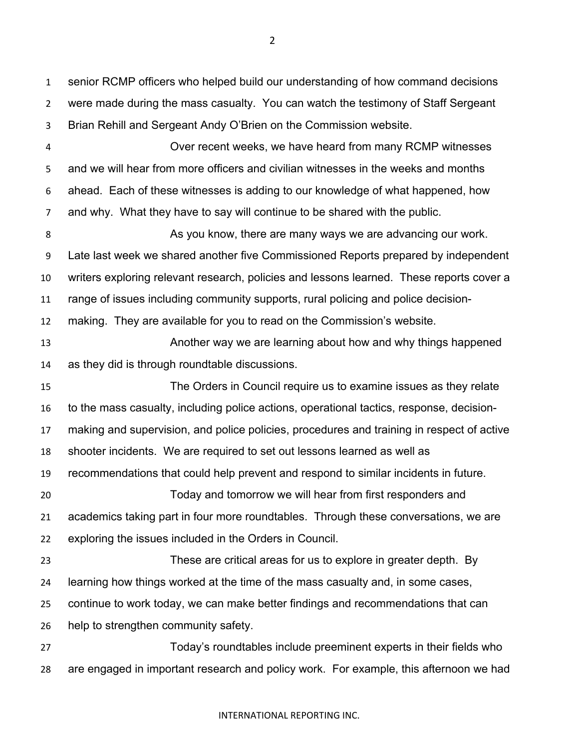senior RCMP officers who helped build our understanding of how command decisions were made during the mass casualty. You can watch the testimony of Staff Sergeant Brian Rehill and Sergeant Andy O'Brien on the Commission website.

 Over recent weeks, we have heard from many RCMP witnesses and we will hear from more officers and civilian witnesses in the weeks and months ahead. Each of these witnesses is adding to our knowledge of what happened, how and why. What they have to say will continue to be shared with the public.

**As you know, there are many ways we are advancing our work.**  Late last week we shared another five Commissioned Reports prepared by independent writers exploring relevant research, policies and lessons learned. These reports cover a range of issues including community supports, rural policing and police decision-

making. They are available for you to read on the Commission's website.

 Another way we are learning about how and why things happened as they did is through roundtable discussions.

 The Orders in Council require us to examine issues as they relate to the mass casualty, including police actions, operational tactics, response, decision- making and supervision, and police policies, procedures and training in respect of active shooter incidents. We are required to set out lessons learned as well as recommendations that could help prevent and respond to similar incidents in future. Today and tomorrow we will hear from first responders and academics taking part in four more roundtables. Through these conversations, we are exploring the issues included in the Orders in Council. These are critical areas for us to explore in greater depth. By learning how things worked at the time of the mass casualty and, in some cases,

continue to work today, we can make better findings and recommendations that can

help to strengthen community safety.

 Today's roundtables include preeminent experts in their fields who are engaged in important research and policy work. For example, this afternoon we had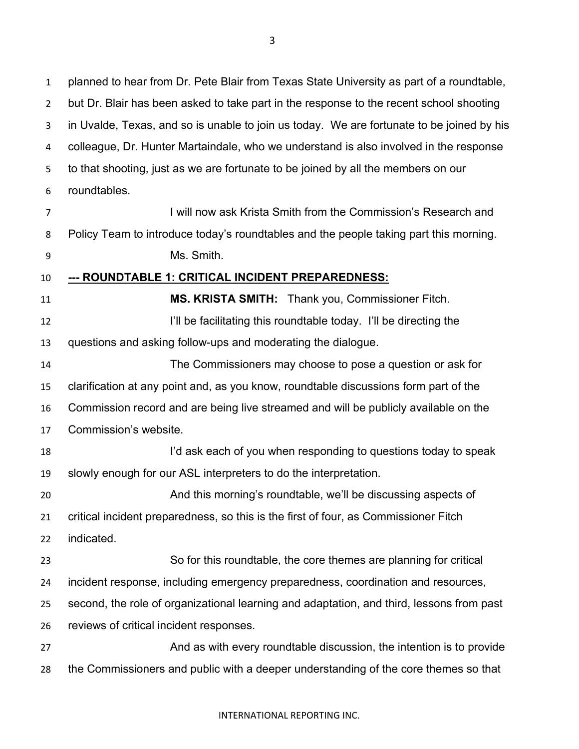planned to hear from Dr. Pete Blair from Texas State University as part of a roundtable, but Dr. Blair has been asked to take part in the response to the recent school shooting in Uvalde, Texas, and so is unable to join us today. We are fortunate to be joined by his colleague, Dr. Hunter Martaindale, who we understand is also involved in the response to that shooting, just as we are fortunate to be joined by all the members on our roundtables.

I will now ask Krista Smith from the Commission's Research and Policy Team to introduce today's roundtables and the people taking part this morning.

Ms. Smith.

## **--- ROUNDTABLE 1: CRITICAL INCIDENT PREPAREDNESS:**

 **MS. KRISTA SMITH:** Thank you, Commissioner Fitch. **I'll be facilitating this roundtable today.** I'll be directing the questions and asking follow-ups and moderating the dialogue.

 The Commissioners may choose to pose a question or ask for clarification at any point and, as you know, roundtable discussions form part of the Commission record and are being live streamed and will be publicly available on the Commission's website.

 I'd ask each of you when responding to questions today to speak slowly enough for our ASL interpreters to do the interpretation.

 And this morning's roundtable, we'll be discussing aspects of critical incident preparedness, so this is the first of four, as Commissioner Fitch

indicated.

 So for this roundtable, the core themes are planning for critical incident response, including emergency preparedness, coordination and resources,

- second, the role of organizational learning and adaptation, and third, lessons from past
- reviews of critical incident responses.

27 And as with every roundtable discussion, the intention is to provide the Commissioners and public with a deeper understanding of the core themes so that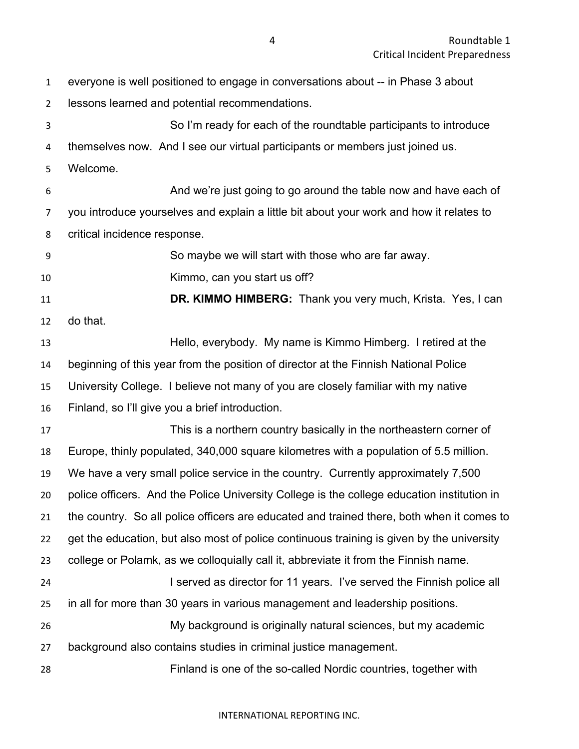| $\mathbf{1}$   | everyone is well positioned to engage in conversations about -- in Phase 3 about           |
|----------------|--------------------------------------------------------------------------------------------|
| $\overline{2}$ | lessons learned and potential recommendations.                                             |
| 3              | So I'm ready for each of the roundtable participants to introduce                          |
| 4              | themselves now. And I see our virtual participants or members just joined us.              |
| 5              | Welcome.                                                                                   |
| 6              | And we're just going to go around the table now and have each of                           |
| 7              | you introduce yourselves and explain a little bit about your work and how it relates to    |
| 8              | critical incidence response.                                                               |
| 9              | So maybe we will start with those who are far away.                                        |
| 10             | Kimmo, can you start us off?                                                               |
| 11             | DR. KIMMO HIMBERG: Thank you very much, Krista. Yes, I can                                 |
| 12             | do that.                                                                                   |
| 13             | Hello, everybody. My name is Kimmo Himberg. I retired at the                               |
| 14             | beginning of this year from the position of director at the Finnish National Police        |
| 15             | University College. I believe not many of you are closely familiar with my native          |
| 16             | Finland, so I'll give you a brief introduction.                                            |
| 17             | This is a northern country basically in the northeastern corner of                         |
| 18             | Europe, thinly populated, 340,000 square kilometres with a population of 5.5 million.      |
| 19             | We have a very small police service in the country. Currently approximately 7,500          |
| 20             | police officers. And the Police University College is the college education institution in |
| 21             | the country. So all police officers are educated and trained there, both when it comes to  |
| 22             | get the education, but also most of police continuous training is given by the university  |
| 23             | college or Polamk, as we colloquially call it, abbreviate it from the Finnish name.        |
| 24             | I served as director for 11 years. I've served the Finnish police all                      |
| 25             | in all for more than 30 years in various management and leadership positions.              |
| 26             | My background is originally natural sciences, but my academic                              |
| 27             | background also contains studies in criminal justice management.                           |
| 28             | Finland is one of the so-called Nordic countries, together with                            |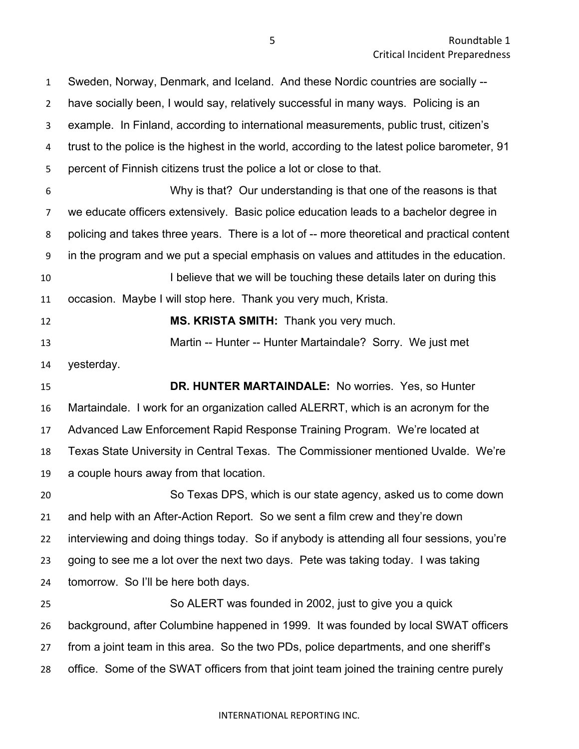have socially been, I would say, relatively successful in many ways. Policing is an example. In Finland, according to international measurements, public trust, citizen's trust to the police is the highest in the world, according to the latest police barometer, 91 percent of Finnish citizens trust the police a lot or close to that. Why is that? Our understanding is that one of the reasons is that we educate officers extensively. Basic police education leads to a bachelor degree in policing and takes three years. There is a lot of -- more theoretical and practical content in the program and we put a special emphasis on values and attitudes in the education. **I believe that we will be touching these details later on during this**  occasion. Maybe I will stop here. Thank you very much, Krista. **MS. KRISTA SMITH:** Thank you very much. Martin -- Hunter -- Hunter Martaindale? Sorry. We just met yesterday. **DR. HUNTER MARTAINDALE:** No worries. Yes, so Hunter Martaindale. I work for an organization called ALERRT, which is an acronym for the Advanced Law Enforcement Rapid Response Training Program. We're located at Texas State University in Central Texas. The Commissioner mentioned Uvalde. We're a couple hours away from that location. So Texas DPS, which is our state agency, asked us to come down and help with an After-Action Report. So we sent a film crew and they're down interviewing and doing things today. So if anybody is attending all four sessions, you're going to see me a lot over the next two days. Pete was taking today. I was taking tomorrow. So I'll be here both days. So ALERT was founded in 2002, just to give you a quick background, after Columbine happened in 1999. It was founded by local SWAT officers from a joint team in this area. So the two PDs, police departments, and one sheriff's office. Some of the SWAT officers from that joint team joined the training centre purely

Sweden, Norway, Denmark, and Iceland. And these Nordic countries are socially --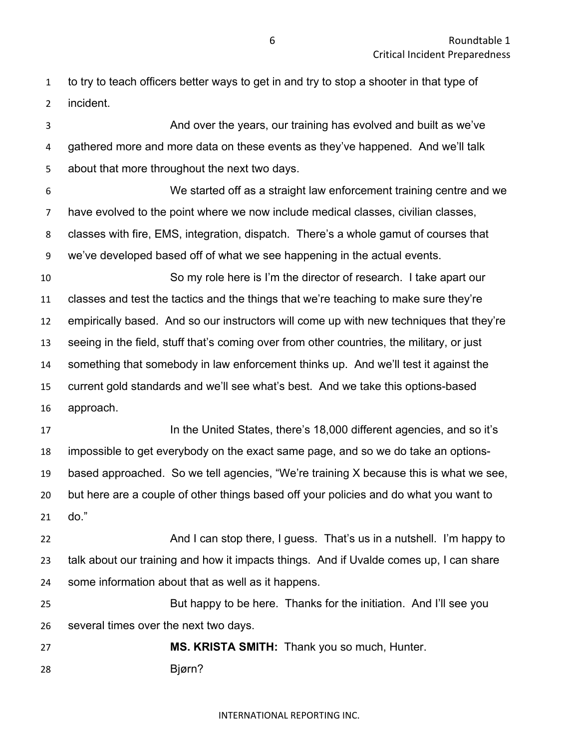to try to teach officers better ways to get in and try to stop a shooter in that type of incident.

 And over the years, our training has evolved and built as we've gathered more and more data on these events as they've happened. And we'll talk about that more throughout the next two days. We started off as a straight law enforcement training centre and we have evolved to the point where we now include medical classes, civilian classes, classes with fire, EMS, integration, dispatch. There's a whole gamut of courses that we've developed based off of what we see happening in the actual events. So my role here is I'm the director of research. I take apart our classes and test the tactics and the things that we're teaching to make sure they're empirically based. And so our instructors will come up with new techniques that they're seeing in the field, stuff that's coming over from other countries, the military, or just something that somebody in law enforcement thinks up. And we'll test it against the current gold standards and we'll see what's best. And we take this options-based approach. **In the United States, there's 18,000 different agencies, and so it's**  impossible to get everybody on the exact same page, and so we do take an options- based approached. So we tell agencies, "We're training X because this is what we see, but here are a couple of other things based off your policies and do what you want to

do."

 And I can stop there, I guess. That's us in a nutshell. I'm happy to talk about our training and how it impacts things. And if Uvalde comes up, I can share some information about that as well as it happens.

 But happy to be here. Thanks for the initiation. And I'll see you several times over the next two days.

 **MS. KRISTA SMITH:** Thank you so much, Hunter. Bjørn?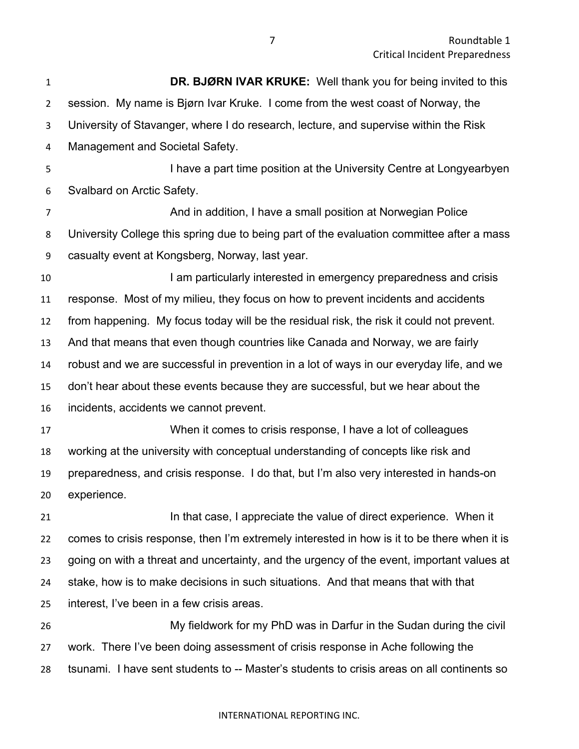| $\mathbf{1}$   | <b>DR. BJØRN IVAR KRUKE:</b> Well thank you for being invited to this                       |
|----------------|---------------------------------------------------------------------------------------------|
| $\overline{2}$ | session. My name is Bjørn Ivar Kruke. I come from the west coast of Norway, the             |
| 3              | University of Stavanger, where I do research, lecture, and supervise within the Risk        |
| 4              | Management and Societal Safety.                                                             |
| 5              | I have a part time position at the University Centre at Longyearbyen                        |
| 6              | Svalbard on Arctic Safety.                                                                  |
| $\overline{7}$ | And in addition, I have a small position at Norwegian Police                                |
| 8              | University College this spring due to being part of the evaluation committee after a mass   |
| 9              | casualty event at Kongsberg, Norway, last year.                                             |
| 10             | I am particularly interested in emergency preparedness and crisis                           |
| 11             | response. Most of my milieu, they focus on how to prevent incidents and accidents           |
| 12             | from happening. My focus today will be the residual risk, the risk it could not prevent.    |
| 13             | And that means that even though countries like Canada and Norway, we are fairly             |
| 14             | robust and we are successful in prevention in a lot of ways in our everyday life, and we    |
| 15             | don't hear about these events because they are successful, but we hear about the            |
| 16             | incidents, accidents we cannot prevent.                                                     |
| 17             | When it comes to crisis response, I have a lot of colleagues                                |
| 18             | working at the university with conceptual understanding of concepts like risk and           |
| 19             | preparedness, and crisis response. I do that, but I'm also very interested in hands-on      |
| 20             | experience.                                                                                 |
| 21             | In that case, I appreciate the value of direct experience. When it                          |
| 22             | comes to crisis response, then I'm extremely interested in how is it to be there when it is |
| 23             | going on with a threat and uncertainty, and the urgency of the event, important values at   |
| 24             | stake, how is to make decisions in such situations. And that means that with that           |
| 25             | interest, I've been in a few crisis areas.                                                  |
| 26             | My fieldwork for my PhD was in Darfur in the Sudan during the civil                         |
| 27             | work. There I've been doing assessment of crisis response in Ache following the             |
| 28             | tsunami. I have sent students to -- Master's students to crisis areas on all continents so  |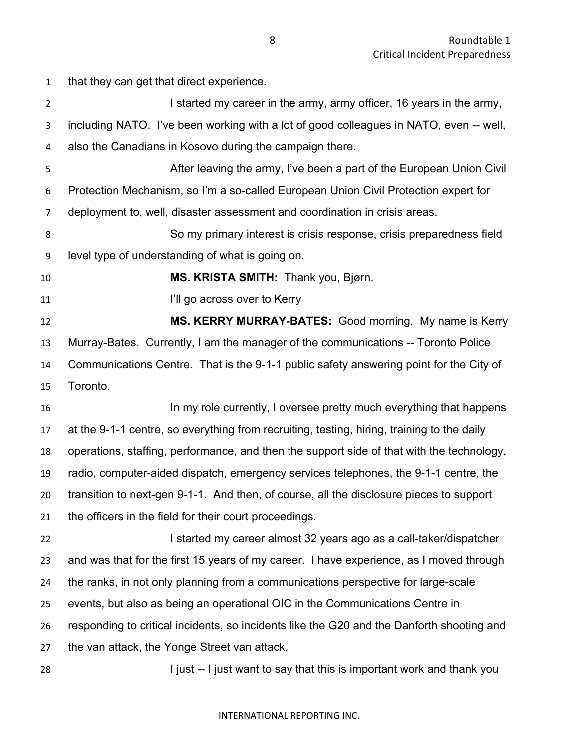that they can get that direct experience.

| $\overline{2}$ | I started my career in the army, army officer, 16 years in the army,                       |
|----------------|--------------------------------------------------------------------------------------------|
| 3              | including NATO. I've been working with a lot of good colleagues in NATO, even -- well,     |
| 4              | also the Canadians in Kosovo during the campaign there.                                    |
| 5              | After leaving the army, I've been a part of the European Union Civil                       |
| 6              | Protection Mechanism, so I'm a so-called European Union Civil Protection expert for        |
| $\overline{7}$ | deployment to, well, disaster assessment and coordination in crisis areas.                 |
| 8              | So my primary interest is crisis response, crisis preparedness field                       |
| 9              | level type of understanding of what is going on.                                           |
| 10             | MS. KRISTA SMITH: Thank you, Bjørn.                                                        |
| 11             | I'll go across over to Kerry                                                               |
| 12             | MS. KERRY MURRAY-BATES: Good morning. My name is Kerry                                     |
| 13             | Murray-Bates. Currently, I am the manager of the communications -- Toronto Police          |
| 14             | Communications Centre. That is the 9-1-1 public safety answering point for the City of     |
| 15             | Toronto.                                                                                   |
| 16             | In my role currently, I oversee pretty much everything that happens                        |
| 17             | at the 9-1-1 centre, so everything from recruiting, testing, hiring, training to the daily |
| 18             | operations, staffing, performance, and then the support side of that with the technology,  |
| 19             | radio, computer-aided dispatch, emergency services telephones, the 9-1-1 centre, the       |
| 20             | transition to next-gen 9-1-1. And then, of course, all the disclosure pieces to support    |
| 21             | the officers in the field for their court proceedings.                                     |
| 22             | I started my career almost 32 years ago as a call-taker/dispatcher                         |
| 23             | and was that for the first 15 years of my career. I have experience, as I moved through    |
| 24             | the ranks, in not only planning from a communications perspective for large-scale          |
| 25             | events, but also as being an operational OIC in the Communications Centre in               |
| 26             | responding to critical incidents, so incidents like the G20 and the Danforth shooting and  |
| 27             | the van attack, the Yonge Street van attack.                                               |
| 28             | I just -- I just want to say that this is important work and thank you                     |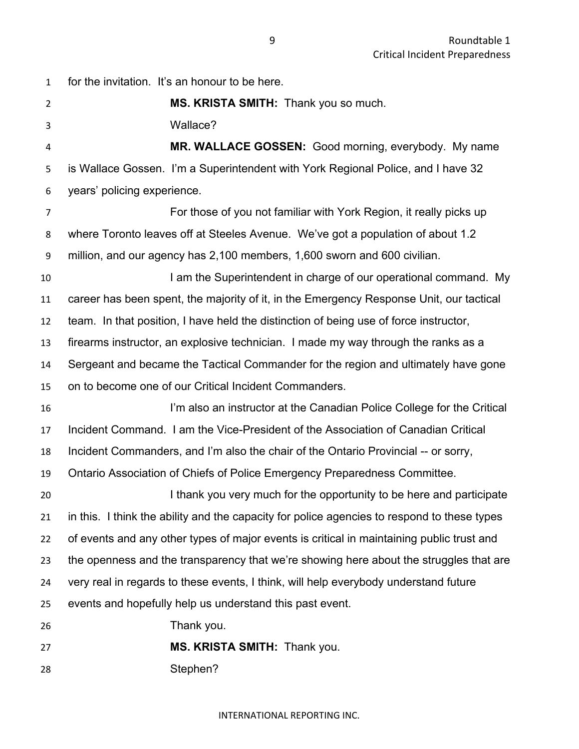for the invitation. It's an honour to be here. **MS. KRISTA SMITH:** Thank you so much. Wallace? **MR. WALLACE GOSSEN:** Good morning, everybody. My name is Wallace Gossen. I'm a Superintendent with York Regional Police, and I have 32 years' policing experience. For those of you not familiar with York Region, it really picks up where Toronto leaves off at Steeles Avenue. We've got a population of about 1.2 million, and our agency has 2,100 members, 1,600 sworn and 600 civilian. **I am the Superintendent in charge of our operational command. My**  career has been spent, the majority of it, in the Emergency Response Unit, our tactical team. In that position, I have held the distinction of being use of force instructor, firearms instructor, an explosive technician. I made my way through the ranks as a Sergeant and became the Tactical Commander for the region and ultimately have gone on to become one of our Critical Incident Commanders. I'm also an instructor at the Canadian Police College for the Critical Incident Command. I am the Vice-President of the Association of Canadian Critical Incident Commanders, and I'm also the chair of the Ontario Provincial -- or sorry, Ontario Association of Chiefs of Police Emergency Preparedness Committee. **I thank you very much for the opportunity to be here and participate**  in this. I think the ability and the capacity for police agencies to respond to these types of events and any other types of major events is critical in maintaining public trust and the openness and the transparency that we're showing here about the struggles that are very real in regards to these events, I think, will help everybody understand future events and hopefully help us understand this past event. Thank you. **MS. KRISTA SMITH:** Thank you. Stephen?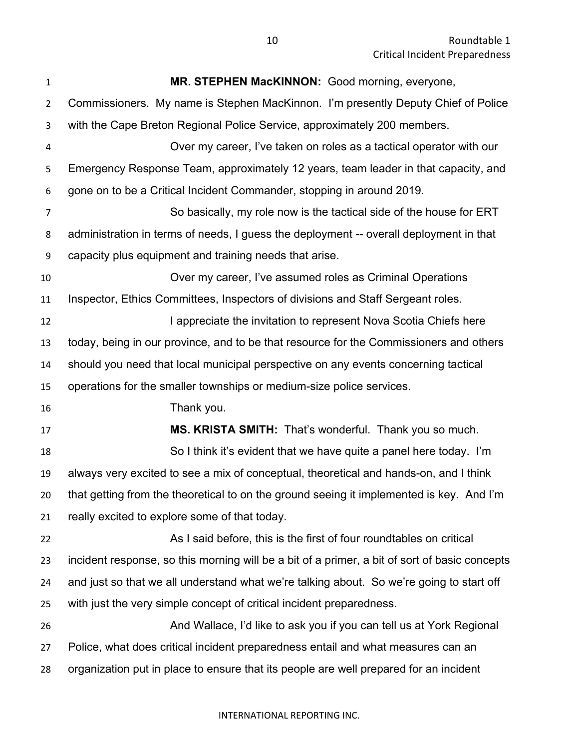| 1              | MR. STEPHEN MacKINNON: Good morning, everyone,                                                |
|----------------|-----------------------------------------------------------------------------------------------|
| $\overline{2}$ | Commissioners. My name is Stephen MacKinnon. I'm presently Deputy Chief of Police             |
| 3              | with the Cape Breton Regional Police Service, approximately 200 members.                      |
| 4              | Over my career, I've taken on roles as a tactical operator with our                           |
| 5              | Emergency Response Team, approximately 12 years, team leader in that capacity, and            |
| 6              | gone on to be a Critical Incident Commander, stopping in around 2019.                         |
| 7              | So basically, my role now is the tactical side of the house for ERT                           |
| 8              | administration in terms of needs, I guess the deployment -- overall deployment in that        |
| 9              | capacity plus equipment and training needs that arise.                                        |
| 10             | Over my career, I've assumed roles as Criminal Operations                                     |
| 11             | Inspector, Ethics Committees, Inspectors of divisions and Staff Sergeant roles.               |
| 12             | I appreciate the invitation to represent Nova Scotia Chiefs here                              |
| 13             | today, being in our province, and to be that resource for the Commissioners and others        |
| 14             | should you need that local municipal perspective on any events concerning tactical            |
| 15             | operations for the smaller townships or medium-size police services.                          |
| 16             | Thank you.                                                                                    |
| 17             | MS. KRISTA SMITH: That's wonderful. Thank you so much.                                        |
| 18             | So I think it's evident that we have quite a panel here today. I'm                            |
| 19             | always very excited to see a mix of conceptual, theoretical and hands-on, and I think         |
| 20             | that getting from the theoretical to on the ground seeing it implemented is key. And I'm      |
| 21             | really excited to explore some of that today.                                                 |
| 22             | As I said before, this is the first of four roundtables on critical                           |
| 23             | incident response, so this morning will be a bit of a primer, a bit of sort of basic concepts |
| 24             | and just so that we all understand what we're talking about. So we're going to start off      |
| 25             | with just the very simple concept of critical incident preparedness.                          |
| 26             | And Wallace, I'd like to ask you if you can tell us at York Regional                          |
| 27             | Police, what does critical incident preparedness entail and what measures can an              |
| 28             | organization put in place to ensure that its people are well prepared for an incident         |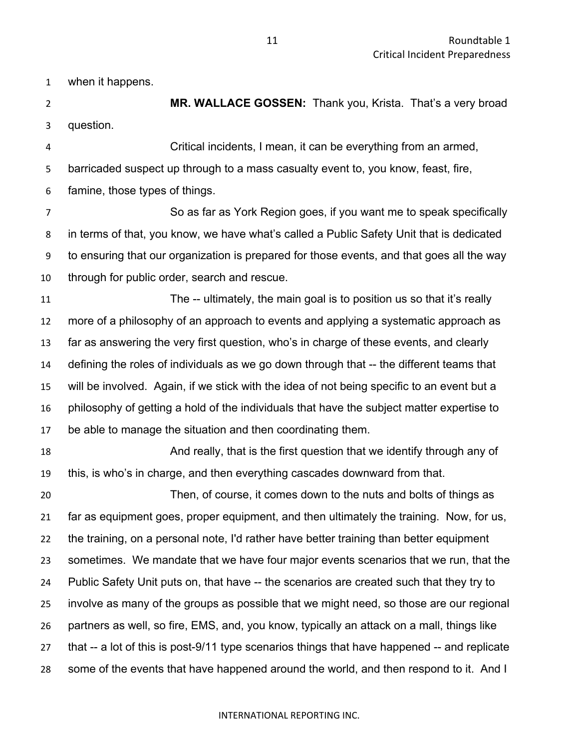when it happens.

 **MR. WALLACE GOSSEN:** Thank you, Krista. That's a very broad question.

 Critical incidents, I mean, it can be everything from an armed, barricaded suspect up through to a mass casualty event to, you know, feast, fire, famine, those types of things.

 So as far as York Region goes, if you want me to speak specifically in terms of that, you know, we have what's called a Public Safety Unit that is dedicated to ensuring that our organization is prepared for those events, and that goes all the way through for public order, search and rescue.

 The -- ultimately, the main goal is to position us so that it's really more of a philosophy of an approach to events and applying a systematic approach as far as answering the very first question, who's in charge of these events, and clearly defining the roles of individuals as we go down through that -- the different teams that will be involved. Again, if we stick with the idea of not being specific to an event but a philosophy of getting a hold of the individuals that have the subject matter expertise to be able to manage the situation and then coordinating them.

**And really, that is the first question that we identify through any of** 18 this, is who's in charge, and then everything cascades downward from that.

 Then, of course, it comes down to the nuts and bolts of things as far as equipment goes, proper equipment, and then ultimately the training. Now, for us, the training, on a personal note, I'd rather have better training than better equipment sometimes. We mandate that we have four major events scenarios that we run, that the Public Safety Unit puts on, that have -- the scenarios are created such that they try to involve as many of the groups as possible that we might need, so those are our regional partners as well, so fire, EMS, and, you know, typically an attack on a mall, things like 27 that -- a lot of this is post-9/11 type scenarios things that have happened -- and replicate some of the events that have happened around the world, and then respond to it. And I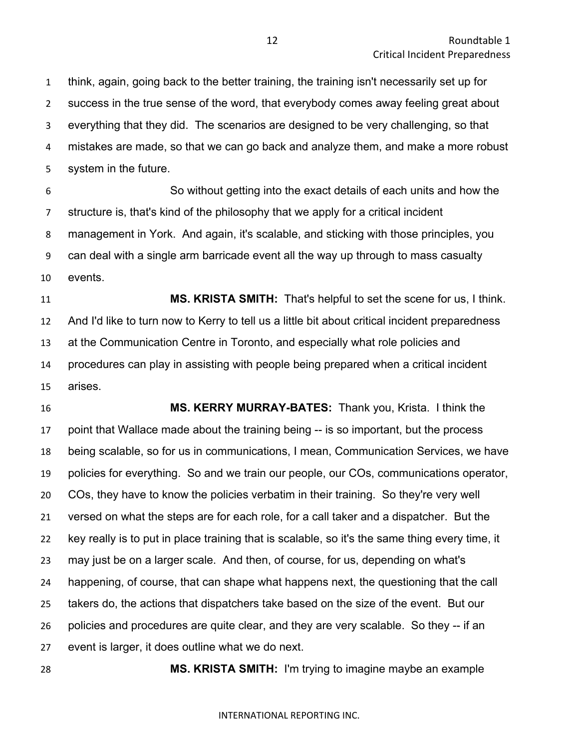think, again, going back to the better training, the training isn't necessarily set up for success in the true sense of the word, that everybody comes away feeling great about everything that they did. The scenarios are designed to be very challenging, so that mistakes are made, so that we can go back and analyze them, and make a more robust system in the future.

 So without getting into the exact details of each units and how the structure is, that's kind of the philosophy that we apply for a critical incident management in York. And again, it's scalable, and sticking with those principles, you can deal with a single arm barricade event all the way up through to mass casualty events.

 **MS. KRISTA SMITH:** That's helpful to set the scene for us, I think. And I'd like to turn now to Kerry to tell us a little bit about critical incident preparedness at the Communication Centre in Toronto, and especially what role policies and procedures can play in assisting with people being prepared when a critical incident arises.

 **MS. KERRY MURRAY-BATES:** Thank you, Krista. I think the point that Wallace made about the training being -- is so important, but the process being scalable, so for us in communications, I mean, Communication Services, we have policies for everything. So and we train our people, our COs, communications operator, COs, they have to know the policies verbatim in their training. So they're very well versed on what the steps are for each role, for a call taker and a dispatcher. But the key really is to put in place training that is scalable, so it's the same thing every time, it may just be on a larger scale. And then, of course, for us, depending on what's happening, of course, that can shape what happens next, the questioning that the call takers do, the actions that dispatchers take based on the size of the event. But our policies and procedures are quite clear, and they are very scalable. So they -- if an event is larger, it does outline what we do next.

**MS. KRISTA SMITH:** I'm trying to imagine maybe an example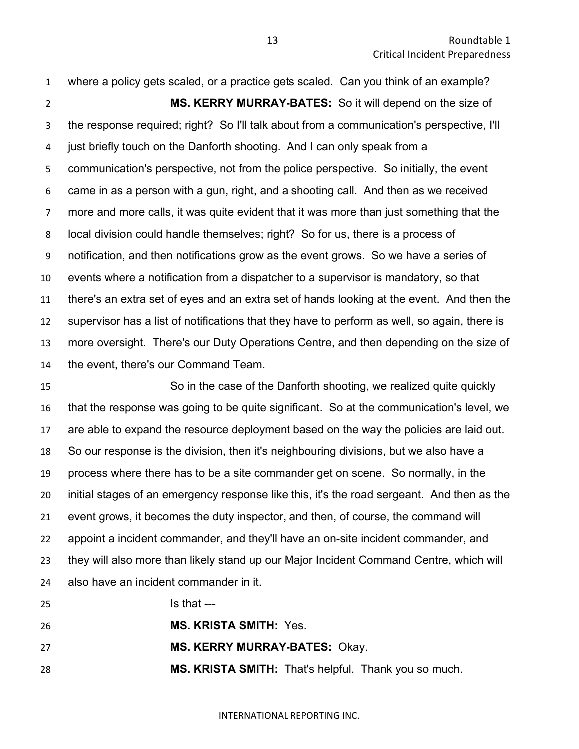where a policy gets scaled, or a practice gets scaled. Can you think of an example? **MS. KERRY MURRAY-BATES:** So it will depend on the size of the response required; right? So I'll talk about from a communication's perspective, I'll just briefly touch on the Danforth shooting. And I can only speak from a communication's perspective, not from the police perspective. So initially, the event came in as a person with a gun, right, and a shooting call. And then as we received more and more calls, it was quite evident that it was more than just something that the local division could handle themselves; right? So for us, there is a process of notification, and then notifications grow as the event grows. So we have a series of events where a notification from a dispatcher to a supervisor is mandatory, so that there's an extra set of eyes and an extra set of hands looking at the event. And then the supervisor has a list of notifications that they have to perform as well, so again, there is more oversight. There's our Duty Operations Centre, and then depending on the size of the event, there's our Command Team.

 So in the case of the Danforth shooting, we realized quite quickly that the response was going to be quite significant. So at the communication's level, we are able to expand the resource deployment based on the way the policies are laid out. So our response is the division, then it's neighbouring divisions, but we also have a process where there has to be a site commander get on scene. So normally, in the initial stages of an emergency response like this, it's the road sergeant. And then as the event grows, it becomes the duty inspector, and then, of course, the command will appoint a incident commander, and they'll have an on-site incident commander, and they will also more than likely stand up our Major Incident Command Centre, which will also have an incident commander in it.

**Is that --- MS. KRISTA SMITH:** Yes. **MS. KERRY MURRAY-BATES:** Okay. **MS. KRISTA SMITH:** That's helpful. Thank you so much.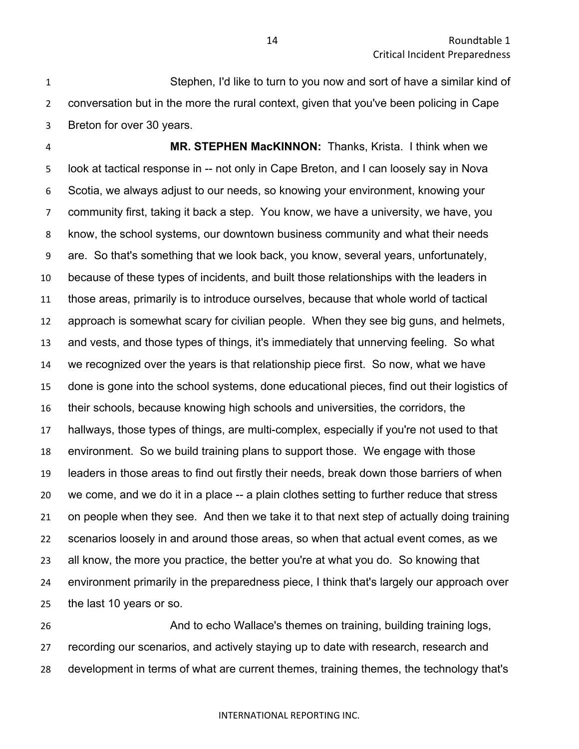Stephen, I'd like to turn to you now and sort of have a similar kind of conversation but in the more the rural context, given that you've been policing in Cape Breton for over 30 years.

 **MR. STEPHEN MacKINNON:** Thanks, Krista. I think when we look at tactical response in -- not only in Cape Breton, and I can loosely say in Nova Scotia, we always adjust to our needs, so knowing your environment, knowing your community first, taking it back a step. You know, we have a university, we have, you know, the school systems, our downtown business community and what their needs are. So that's something that we look back, you know, several years, unfortunately, because of these types of incidents, and built those relationships with the leaders in those areas, primarily is to introduce ourselves, because that whole world of tactical approach is somewhat scary for civilian people. When they see big guns, and helmets, and vests, and those types of things, it's immediately that unnerving feeling. So what we recognized over the years is that relationship piece first. So now, what we have done is gone into the school systems, done educational pieces, find out their logistics of their schools, because knowing high schools and universities, the corridors, the hallways, those types of things, are multi-complex, especially if you're not used to that environment. So we build training plans to support those. We engage with those leaders in those areas to find out firstly their needs, break down those barriers of when we come, and we do it in a place -- a plain clothes setting to further reduce that stress on people when they see. And then we take it to that next step of actually doing training scenarios loosely in and around those areas, so when that actual event comes, as we all know, the more you practice, the better you're at what you do. So knowing that environment primarily in the preparedness piece, I think that's largely our approach over the last 10 years or so.

 And to echo Wallace's themes on training, building training logs, recording our scenarios, and actively staying up to date with research, research and development in terms of what are current themes, training themes, the technology that's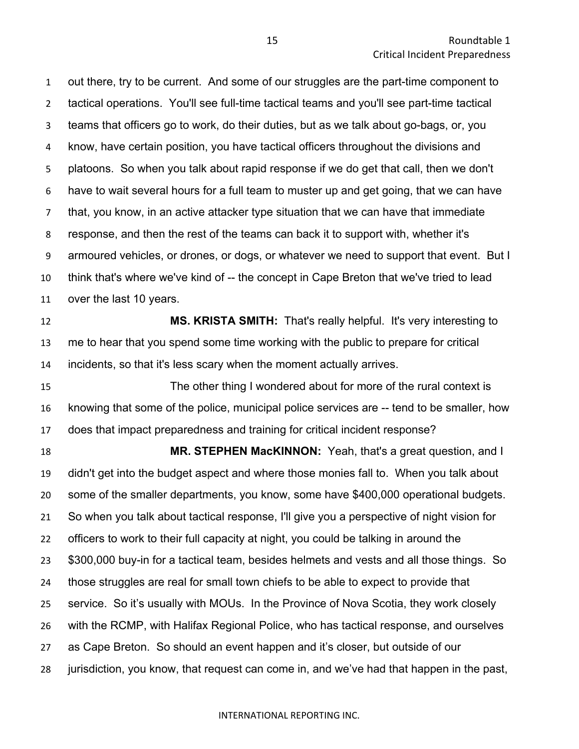out there, try to be current. And some of our struggles are the part-time component to tactical operations. You'll see full-time tactical teams and you'll see part-time tactical teams that officers go to work, do their duties, but as we talk about go-bags, or, you know, have certain position, you have tactical officers throughout the divisions and platoons. So when you talk about rapid response if we do get that call, then we don't have to wait several hours for a full team to muster up and get going, that we can have that, you know, in an active attacker type situation that we can have that immediate response, and then the rest of the teams can back it to support with, whether it's armoured vehicles, or drones, or dogs, or whatever we need to support that event. But I think that's where we've kind of -- the concept in Cape Breton that we've tried to lead over the last 10 years.

 **MS. KRISTA SMITH:** That's really helpful. It's very interesting to me to hear that you spend some time working with the public to prepare for critical incidents, so that it's less scary when the moment actually arrives.

 The other thing I wondered about for more of the rural context is knowing that some of the police, municipal police services are -- tend to be smaller, how does that impact preparedness and training for critical incident response?

 **MR. STEPHEN MacKINNON:** Yeah, that's a great question, and I didn't get into the budget aspect and where those monies fall to. When you talk about some of the smaller departments, you know, some have \$400,000 operational budgets. So when you talk about tactical response, I'll give you a perspective of night vision for officers to work to their full capacity at night, you could be talking in around the \$300,000 buy-in for a tactical team, besides helmets and vests and all those things. So those struggles are real for small town chiefs to be able to expect to provide that service. So it's usually with MOUs. In the Province of Nova Scotia, they work closely with the RCMP, with Halifax Regional Police, who has tactical response, and ourselves as Cape Breton. So should an event happen and it's closer, but outside of our jurisdiction, you know, that request can come in, and we've had that happen in the past,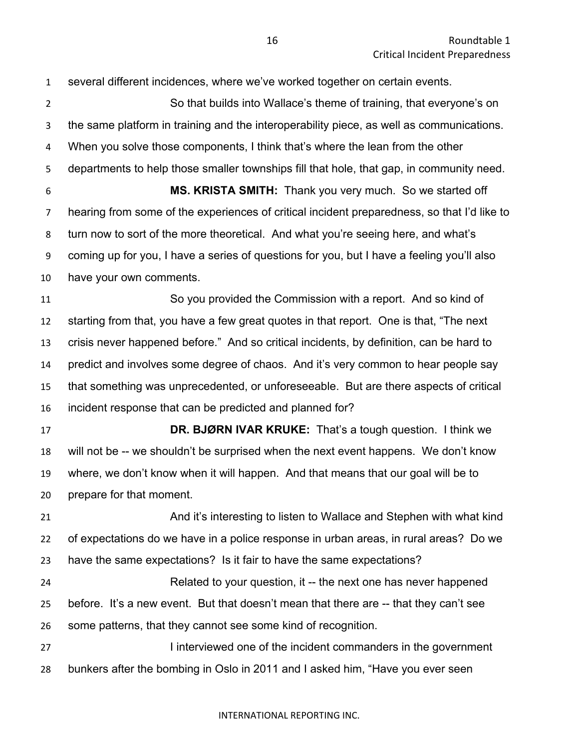several different incidences, where we've worked together on certain events. So that builds into Wallace's theme of training, that everyone's on the same platform in training and the interoperability piece, as well as communications. When you solve those components, I think that's where the lean from the other departments to help those smaller townships fill that hole, that gap, in community need. **MS. KRISTA SMITH:** Thank you very much. So we started off hearing from some of the experiences of critical incident preparedness, so that I'd like to turn now to sort of the more theoretical. And what you're seeing here, and what's coming up for you, I have a series of questions for you, but I have a feeling you'll also have your own comments. So you provided the Commission with a report. And so kind of starting from that, you have a few great quotes in that report. One is that, "The next crisis never happened before." And so critical incidents, by definition, can be hard to predict and involves some degree of chaos. And it's very common to hear people say that something was unprecedented, or unforeseeable. But are there aspects of critical incident response that can be predicted and planned for? **DR. BJØRN IVAR KRUKE:** That's a tough question. I think we will not be -- we shouldn't be surprised when the next event happens. We don't know where, we don't know when it will happen. And that means that our goal will be to prepare for that moment. And it's interesting to listen to Wallace and Stephen with what kind of expectations do we have in a police response in urban areas, in rural areas? Do we have the same expectations? Is it fair to have the same expectations? Related to your question, it -- the next one has never happened before. It's a new event. But that doesn't mean that there are -- that they can't see some patterns, that they cannot see some kind of recognition. **I interviewed one of the incident commanders in the government** bunkers after the bombing in Oslo in 2011 and I asked him, "Have you ever seen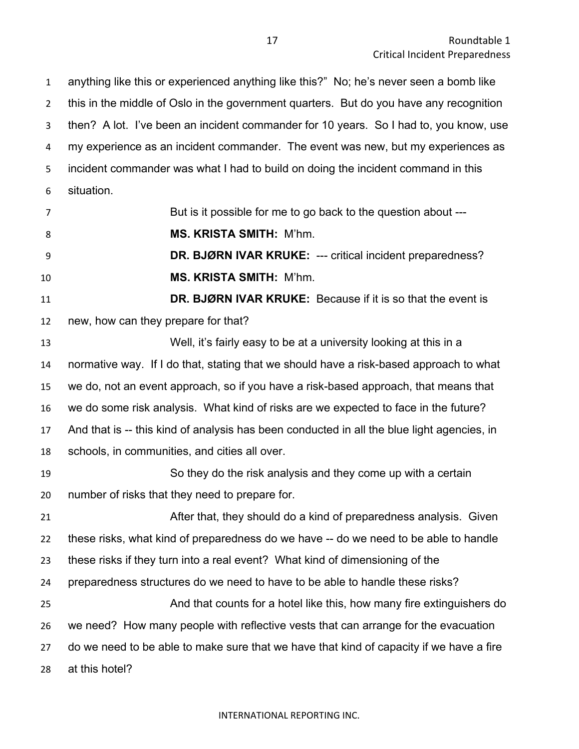anything like this or experienced anything like this?" No; he's never seen a bomb like this in the middle of Oslo in the government quarters. But do you have any recognition then? A lot. I've been an incident commander for 10 years. So I had to, you know, use 4 my experience as an incident commander. The event was new, but my experiences as incident commander was what I had to build on doing the incident command in this situation.

| $\overline{7}$ | But is it possible for me to go back to the question about ---                             |
|----------------|--------------------------------------------------------------------------------------------|
| 8              | <b>MS. KRISTA SMITH: M'hm.</b>                                                             |
| 9              | DR. BJØRN IVAR KRUKE: --- critical incident preparedness?                                  |
| 10             | <b>MS. KRISTA SMITH: M'hm.</b>                                                             |
| 11             | DR. BJØRN IVAR KRUKE: Because if it is so that the event is                                |
| 12             | new, how can they prepare for that?                                                        |
| 13             | Well, it's fairly easy to be at a university looking at this in a                          |
| 14             | normative way. If I do that, stating that we should have a risk-based approach to what     |
| 15             | we do, not an event approach, so if you have a risk-based approach, that means that        |
| 16             | we do some risk analysis. What kind of risks are we expected to face in the future?        |
| 17             | And that is -- this kind of analysis has been conducted in all the blue light agencies, in |
| 18             | schools, in communities, and cities all over.                                              |
| 19             | So they do the risk analysis and they come up with a certain                               |
| 20             | number of risks that they need to prepare for.                                             |
| 21             | After that, they should do a kind of preparedness analysis. Given                          |
| 22             | these risks, what kind of preparedness do we have -- do we need to be able to handle       |
| 23             | these risks if they turn into a real event? What kind of dimensioning of the               |
| 24             | preparedness structures do we need to have to be able to handle these risks?               |
| 25             | And that counts for a hotel like this, how many fire extinguishers do                      |
| 26             | we need? How many people with reflective vests that can arrange for the evacuation         |

 do we need to be able to make sure that we have that kind of capacity if we have a fire at this hotel?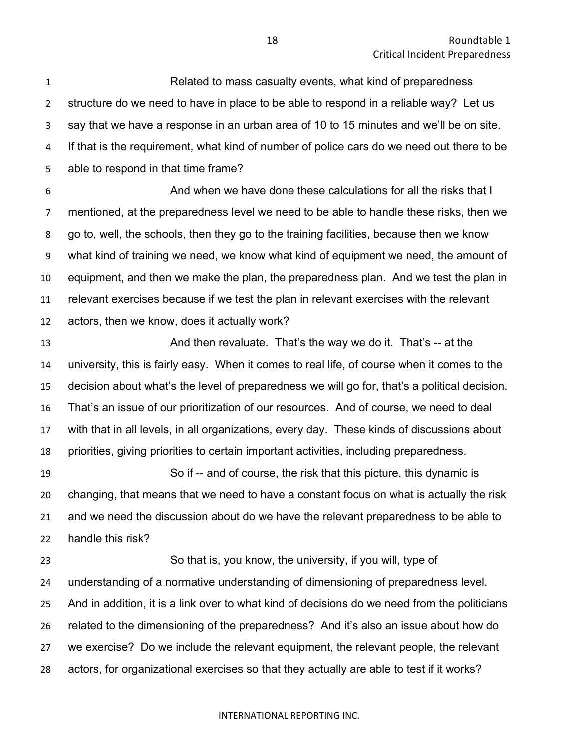Related to mass casualty events, what kind of preparedness structure do we need to have in place to be able to respond in a reliable way? Let us say that we have a response in an urban area of 10 to 15 minutes and we'll be on site. If that is the requirement, what kind of number of police cars do we need out there to be able to respond in that time frame?

 And when we have done these calculations for all the risks that I mentioned, at the preparedness level we need to be able to handle these risks, then we go to, well, the schools, then they go to the training facilities, because then we know what kind of training we need, we know what kind of equipment we need, the amount of equipment, and then we make the plan, the preparedness plan. And we test the plan in relevant exercises because if we test the plan in relevant exercises with the relevant actors, then we know, does it actually work?

13 And then revaluate. That's the way we do it. That's -- at the university, this is fairly easy. When it comes to real life, of course when it comes to the decision about what's the level of preparedness we will go for, that's a political decision. That's an issue of our prioritization of our resources. And of course, we need to deal with that in all levels, in all organizations, every day. These kinds of discussions about priorities, giving priorities to certain important activities, including preparedness.

 So if -- and of course, the risk that this picture, this dynamic is changing, that means that we need to have a constant focus on what is actually the risk and we need the discussion about do we have the relevant preparedness to be able to handle this risk?

 So that is, you know, the university, if you will, type of understanding of a normative understanding of dimensioning of preparedness level. And in addition, it is a link over to what kind of decisions do we need from the politicians related to the dimensioning of the preparedness? And it's also an issue about how do we exercise? Do we include the relevant equipment, the relevant people, the relevant actors, for organizational exercises so that they actually are able to test if it works?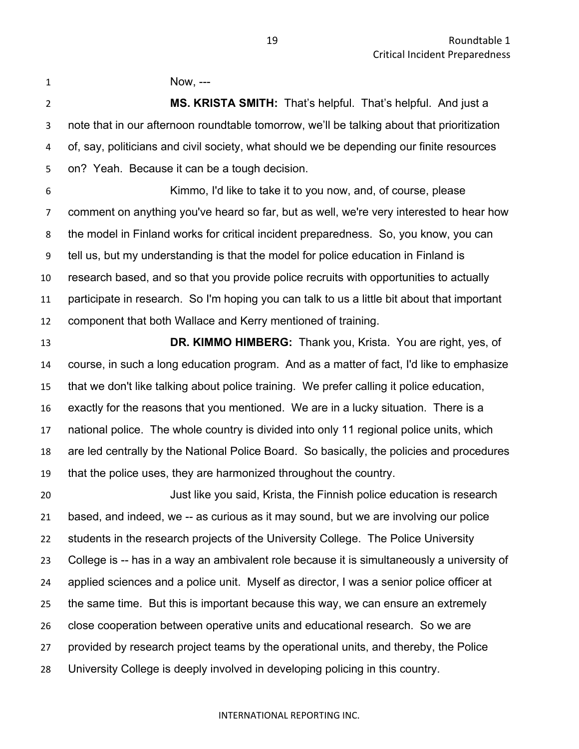1 Now, ---

 **MS. KRISTA SMITH:** That's helpful. That's helpful. And just a note that in our afternoon roundtable tomorrow, we'll be talking about that prioritization of, say, politicians and civil society, what should we be depending our finite resources on? Yeah. Because it can be a tough decision.

 Kimmo, I'd like to take it to you now, and, of course, please comment on anything you've heard so far, but as well, we're very interested to hear how the model in Finland works for critical incident preparedness. So, you know, you can tell us, but my understanding is that the model for police education in Finland is research based, and so that you provide police recruits with opportunities to actually participate in research. So I'm hoping you can talk to us a little bit about that important component that both Wallace and Kerry mentioned of training.

 **DR. KIMMO HIMBERG:** Thank you, Krista. You are right, yes, of course, in such a long education program. And as a matter of fact, I'd like to emphasize that we don't like talking about police training. We prefer calling it police education, exactly for the reasons that you mentioned. We are in a lucky situation. There is a national police. The whole country is divided into only 11 regional police units, which are led centrally by the National Police Board. So basically, the policies and procedures that the police uses, they are harmonized throughout the country.

 Just like you said, Krista, the Finnish police education is research based, and indeed, we -- as curious as it may sound, but we are involving our police students in the research projects of the University College. The Police University College is -- has in a way an ambivalent role because it is simultaneously a university of applied sciences and a police unit. Myself as director, I was a senior police officer at the same time. But this is important because this way, we can ensure an extremely close cooperation between operative units and educational research. So we are provided by research project teams by the operational units, and thereby, the Police University College is deeply involved in developing policing in this country.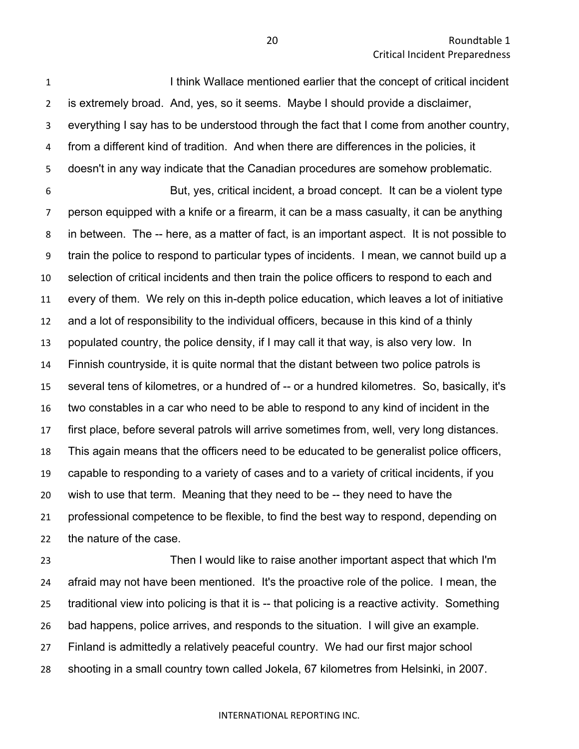**I I is a I think Wallace mentioned earlier that the concept of critical incident**  is extremely broad. And, yes, so it seems. Maybe I should provide a disclaimer, everything I say has to be understood through the fact that I come from another country, from a different kind of tradition. And when there are differences in the policies, it doesn't in any way indicate that the Canadian procedures are somehow problematic.

 But, yes, critical incident, a broad concept. It can be a violent type person equipped with a knife or a firearm, it can be a mass casualty, it can be anything in between. The -- here, as a matter of fact, is an important aspect. It is not possible to train the police to respond to particular types of incidents. I mean, we cannot build up a selection of critical incidents and then train the police officers to respond to each and every of them. We rely on this in-depth police education, which leaves a lot of initiative and a lot of responsibility to the individual officers, because in this kind of a thinly populated country, the police density, if I may call it that way, is also very low. In Finnish countryside, it is quite normal that the distant between two police patrols is several tens of kilometres, or a hundred of -- or a hundred kilometres. So, basically, it's two constables in a car who need to be able to respond to any kind of incident in the first place, before several patrols will arrive sometimes from, well, very long distances. This again means that the officers need to be educated to be generalist police officers, capable to responding to a variety of cases and to a variety of critical incidents, if you wish to use that term. Meaning that they need to be -- they need to have the professional competence to be flexible, to find the best way to respond, depending on the nature of the case.

 Then I would like to raise another important aspect that which I'm afraid may not have been mentioned. It's the proactive role of the police. I mean, the traditional view into policing is that it is -- that policing is a reactive activity. Something bad happens, police arrives, and responds to the situation. I will give an example. Finland is admittedly a relatively peaceful country. We had our first major school shooting in a small country town called Jokela, 67 kilometres from Helsinki, in 2007.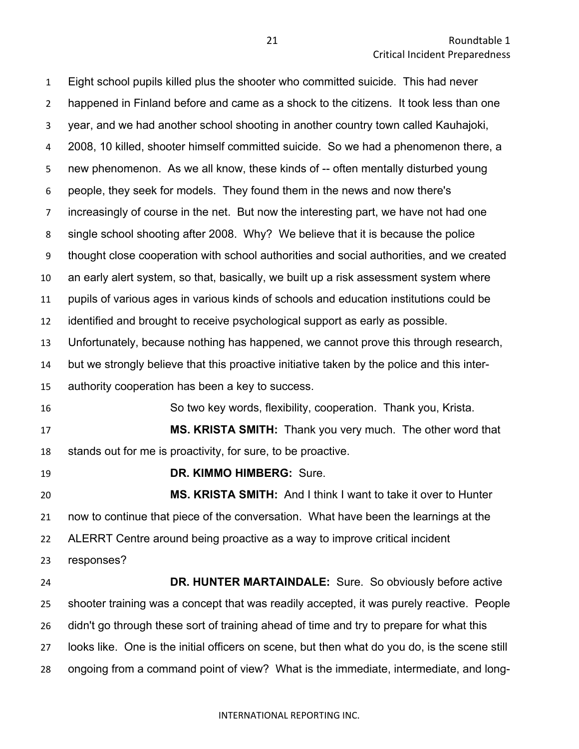Eight school pupils killed plus the shooter who committed suicide. This had never happened in Finland before and came as a shock to the citizens. It took less than one year, and we had another school shooting in another country town called Kauhajoki, 2008, 10 killed, shooter himself committed suicide. So we had a phenomenon there, a new phenomenon. As we all know, these kinds of -- often mentally disturbed young people, they seek for models. They found them in the news and now there's increasingly of course in the net. But now the interesting part, we have not had one single school shooting after 2008. Why? We believe that it is because the police thought close cooperation with school authorities and social authorities, and we created an early alert system, so that, basically, we built up a risk assessment system where pupils of various ages in various kinds of schools and education institutions could be identified and brought to receive psychological support as early as possible. Unfortunately, because nothing has happened, we cannot prove this through research, but we strongly believe that this proactive initiative taken by the police and this inter- authority cooperation has been a key to success. So two key words, flexibility, cooperation. Thank you, Krista. **MS. KRISTA SMITH:** Thank you very much. The other word that stands out for me is proactivity, for sure, to be proactive. **DR. KIMMO HIMBERG:** Sure. **MS. KRISTA SMITH:** And I think I want to take it over to Hunter now to continue that piece of the conversation. What have been the learnings at the ALERRT Centre around being proactive as a way to improve critical incident responses? **DR. HUNTER MARTAINDALE:** Sure. So obviously before active shooter training was a concept that was readily accepted, it was purely reactive. People didn't go through these sort of training ahead of time and try to prepare for what this looks like. One is the initial officers on scene, but then what do you do, is the scene still

ongoing from a command point of view? What is the immediate, intermediate, and long-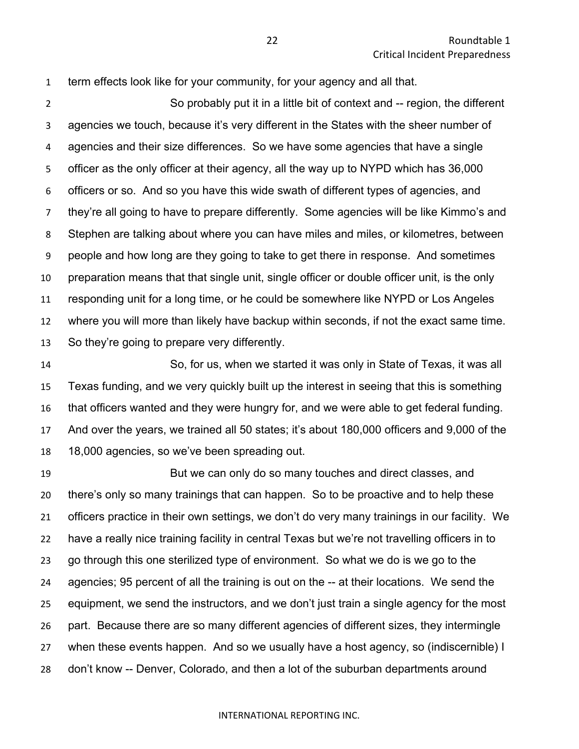term effects look like for your community, for your agency and all that.

 So probably put it in a little bit of context and -- region, the different agencies we touch, because it's very different in the States with the sheer number of agencies and their size differences. So we have some agencies that have a single officer as the only officer at their agency, all the way up to NYPD which has 36,000 officers or so. And so you have this wide swath of different types of agencies, and they're all going to have to prepare differently. Some agencies will be like Kimmo's and Stephen are talking about where you can have miles and miles, or kilometres, between people and how long are they going to take to get there in response. And sometimes preparation means that that single unit, single officer or double officer unit, is the only responding unit for a long time, or he could be somewhere like NYPD or Los Angeles where you will more than likely have backup within seconds, if not the exact same time. So they're going to prepare very differently.

 So, for us, when we started it was only in State of Texas, it was all Texas funding, and we very quickly built up the interest in seeing that this is something that officers wanted and they were hungry for, and we were able to get federal funding. And over the years, we trained all 50 states; it's about 180,000 officers and 9,000 of the 18,000 agencies, so we've been spreading out.

 But we can only do so many touches and direct classes, and there's only so many trainings that can happen. So to be proactive and to help these officers practice in their own settings, we don't do very many trainings in our facility. We have a really nice training facility in central Texas but we're not travelling officers in to go through this one sterilized type of environment. So what we do is we go to the agencies; 95 percent of all the training is out on the -- at their locations. We send the equipment, we send the instructors, and we don't just train a single agency for the most part. Because there are so many different agencies of different sizes, they intermingle when these events happen. And so we usually have a host agency, so (indiscernible) I don't know -- Denver, Colorado, and then a lot of the suburban departments around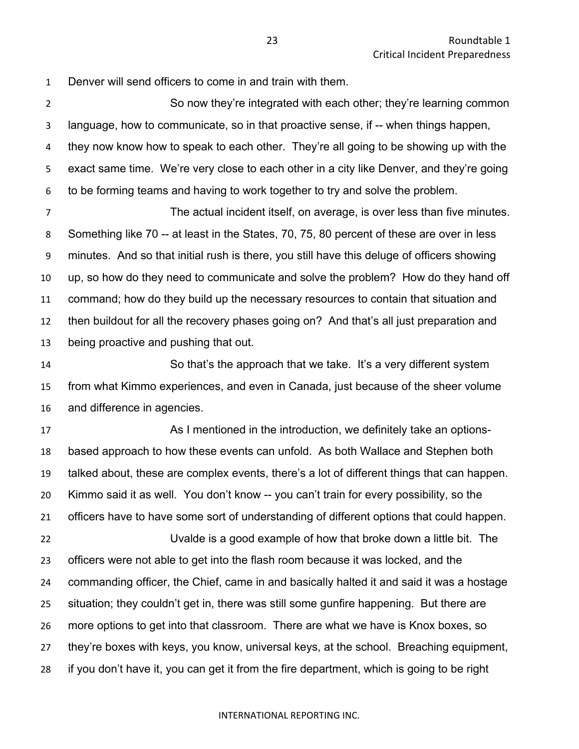Denver will send officers to come in and train with them.

 So now they're integrated with each other; they're learning common language, how to communicate, so in that proactive sense, if -- when things happen, they now know how to speak to each other. They're all going to be showing up with the exact same time. We're very close to each other in a city like Denver, and they're going to be forming teams and having to work together to try and solve the problem.

 The actual incident itself, on average, is over less than five minutes. Something like 70 -- at least in the States, 70, 75, 80 percent of these are over in less minutes. And so that initial rush is there, you still have this deluge of officers showing up, so how do they need to communicate and solve the problem? How do they hand off command; how do they build up the necessary resources to contain that situation and then buildout for all the recovery phases going on? And that's all just preparation and being proactive and pushing that out.

 So that's the approach that we take. It's a very different system from what Kimmo experiences, and even in Canada, just because of the sheer volume and difference in agencies.

17 As I mentioned in the introduction, we definitely take an options- based approach to how these events can unfold. As both Wallace and Stephen both talked about, these are complex events, there's a lot of different things that can happen. Kimmo said it as well. You don't know -- you can't train for every possibility, so the officers have to have some sort of understanding of different options that could happen. Uvalde is a good example of how that broke down a little bit. The officers were not able to get into the flash room because it was locked, and the commanding officer, the Chief, came in and basically halted it and said it was a hostage situation; they couldn't get in, there was still some gunfire happening. But there are more options to get into that classroom. There are what we have is Knox boxes, so they're boxes with keys, you know, universal keys, at the school. Breaching equipment, if you don't have it, you can get it from the fire department, which is going to be right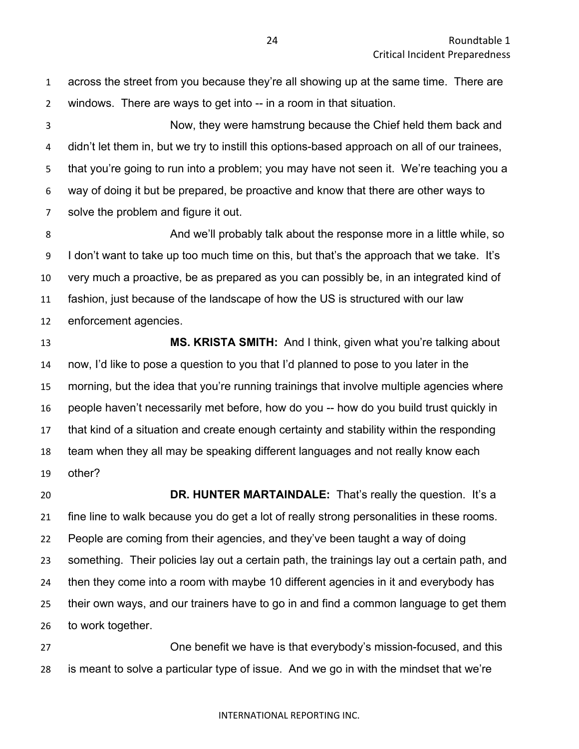across the street from you because they're all showing up at the same time. There are windows. There are ways to get into -- in a room in that situation. Now, they were hamstrung because the Chief held them back and didn't let them in, but we try to instill this options-based approach on all of our trainees, that you're going to run into a problem; you may have not seen it. We're teaching you a way of doing it but be prepared, be proactive and know that there are other ways to solve the problem and figure it out. And we'll probably talk about the response more in a little while, so I don't want to take up too much time on this, but that's the approach that we take. It's very much a proactive, be as prepared as you can possibly be, in an integrated kind of fashion, just because of the landscape of how the US is structured with our law enforcement agencies. **MS. KRISTA SMITH:** And I think, given what you're talking about now, I'd like to pose a question to you that I'd planned to pose to you later in the morning, but the idea that you're running trainings that involve multiple agencies where

 people haven't necessarily met before, how do you -- how do you build trust quickly in that kind of a situation and create enough certainty and stability within the responding team when they all may be speaking different languages and not really know each other?

 **DR. HUNTER MARTAINDALE:** That's really the question. It's a fine line to walk because you do get a lot of really strong personalities in these rooms. People are coming from their agencies, and they've been taught a way of doing something. Their policies lay out a certain path, the trainings lay out a certain path, and then they come into a room with maybe 10 different agencies in it and everybody has their own ways, and our trainers have to go in and find a common language to get them to work together.

 One benefit we have is that everybody's mission-focused, and this is meant to solve a particular type of issue. And we go in with the mindset that we're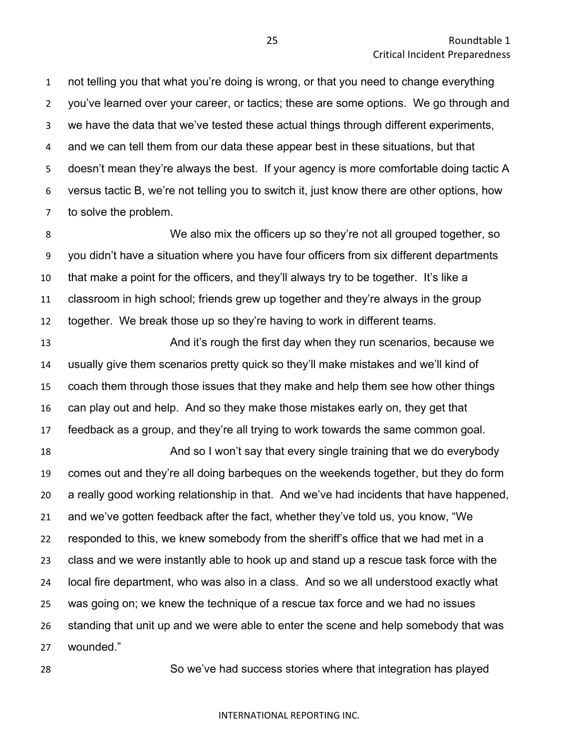not telling you that what you're doing is wrong, or that you need to change everything you've learned over your career, or tactics; these are some options. We go through and we have the data that we've tested these actual things through different experiments, and we can tell them from our data these appear best in these situations, but that doesn't mean they're always the best. If your agency is more comfortable doing tactic A versus tactic B, we're not telling you to switch it, just know there are other options, how to solve the problem.

 We also mix the officers up so they're not all grouped together, so you didn't have a situation where you have four officers from six different departments that make a point for the officers, and they'll always try to be together. It's like a classroom in high school; friends grew up together and they're always in the group together. We break those up so they're having to work in different teams.

**And it's rough the first day when they run scenarios, because we**  usually give them scenarios pretty quick so they'll make mistakes and we'll kind of coach them through those issues that they make and help them see how other things can play out and help. And so they make those mistakes early on, they get that feedback as a group, and they're all trying to work towards the same common goal.

 And so I won't say that every single training that we do everybody comes out and they're all doing barbeques on the weekends together, but they do form a really good working relationship in that. And we've had incidents that have happened, and we've gotten feedback after the fact, whether they've told us, you know, "We responded to this, we knew somebody from the sheriff's office that we had met in a class and we were instantly able to hook up and stand up a rescue task force with the local fire department, who was also in a class. And so we all understood exactly what was going on; we knew the technique of a rescue tax force and we had no issues standing that unit up and we were able to enter the scene and help somebody that was wounded."

So we've had success stories where that integration has played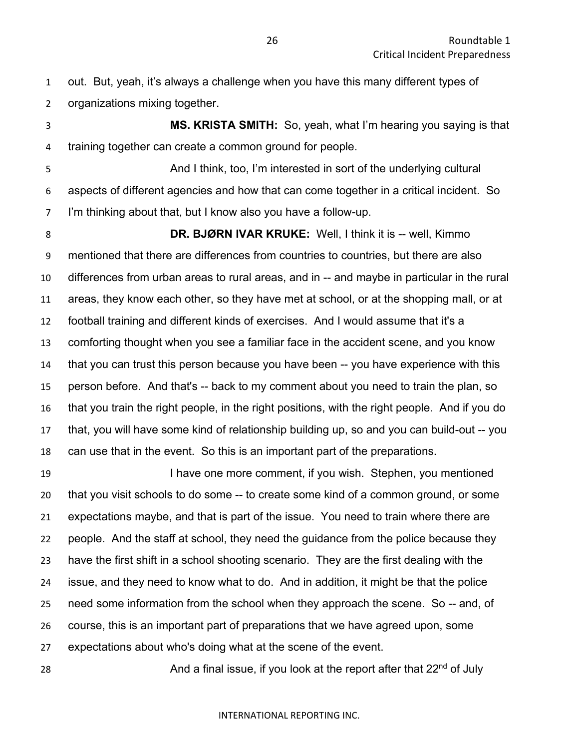out. But, yeah, it's always a challenge when you have this many different types of organizations mixing together.

 **MS. KRISTA SMITH:** So, yeah, what I'm hearing you saying is that training together can create a common ground for people.

 And I think, too, I'm interested in sort of the underlying cultural aspects of different agencies and how that can come together in a critical incident. So I'm thinking about that, but I know also you have a follow-up.

 **DR. BJØRN IVAR KRUKE:** Well, I think it is -- well, Kimmo mentioned that there are differences from countries to countries, but there are also differences from urban areas to rural areas, and in -- and maybe in particular in the rural areas, they know each other, so they have met at school, or at the shopping mall, or at football training and different kinds of exercises. And I would assume that it's a comforting thought when you see a familiar face in the accident scene, and you know that you can trust this person because you have been -- you have experience with this person before. And that's -- back to my comment about you need to train the plan, so that you train the right people, in the right positions, with the right people. And if you do that, you will have some kind of relationship building up, so and you can build-out -- you can use that in the event. So this is an important part of the preparations.

19 I have one more comment, if you wish. Stephen, you mentioned that you visit schools to do some -- to create some kind of a common ground, or some expectations maybe, and that is part of the issue. You need to train where there are people. And the staff at school, they need the guidance from the police because they have the first shift in a school shooting scenario. They are the first dealing with the issue, and they need to know what to do. And in addition, it might be that the police need some information from the school when they approach the scene. So -- and, of course, this is an important part of preparations that we have agreed upon, some expectations about who's doing what at the scene of the event.

28 **And a final issue, if you look at the report after that**  $22<sup>nd</sup>$  **of July**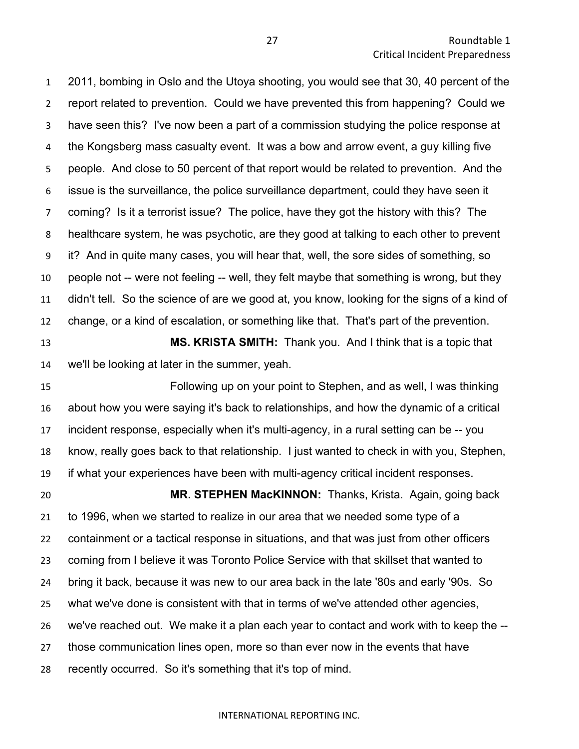2011, bombing in Oslo and the Utoya shooting, you would see that 30, 40 percent of the report related to prevention. Could we have prevented this from happening? Could we have seen this? I've now been a part of a commission studying the police response at the Kongsberg mass casualty event. It was a bow and arrow event, a guy killing five people. And close to 50 percent of that report would be related to prevention. And the issue is the surveillance, the police surveillance department, could they have seen it coming? Is it a terrorist issue? The police, have they got the history with this? The healthcare system, he was psychotic, are they good at talking to each other to prevent it? And in quite many cases, you will hear that, well, the sore sides of something, so people not -- were not feeling -- well, they felt maybe that something is wrong, but they didn't tell. So the science of are we good at, you know, looking for the signs of a kind of change, or a kind of escalation, or something like that. That's part of the prevention.

 **MS. KRISTA SMITH:** Thank you. And I think that is a topic that we'll be looking at later in the summer, yeah.

 Following up on your point to Stephen, and as well, I was thinking about how you were saying it's back to relationships, and how the dynamic of a critical incident response, especially when it's multi-agency, in a rural setting can be -- you know, really goes back to that relationship. I just wanted to check in with you, Stephen, if what your experiences have been with multi-agency critical incident responses.

 **MR. STEPHEN MacKINNON:** Thanks, Krista. Again, going back to 1996, when we started to realize in our area that we needed some type of a containment or a tactical response in situations, and that was just from other officers coming from I believe it was Toronto Police Service with that skillset that wanted to bring it back, because it was new to our area back in the late '80s and early '90s. So what we've done is consistent with that in terms of we've attended other agencies, we've reached out. We make it a plan each year to contact and work with to keep the -- those communication lines open, more so than ever now in the events that have recently occurred. So it's something that it's top of mind.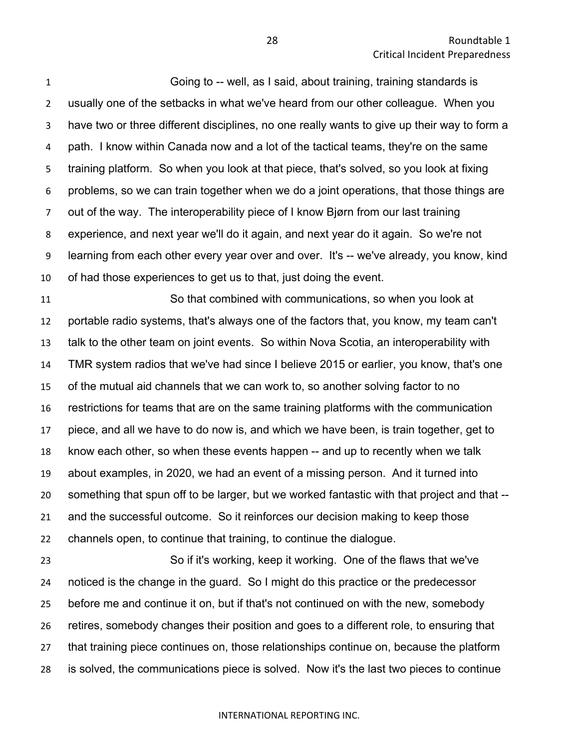Going to -- well, as I said, about training, training standards is usually one of the setbacks in what we've heard from our other colleague. When you have two or three different disciplines, no one really wants to give up their way to form a path. I know within Canada now and a lot of the tactical teams, they're on the same training platform. So when you look at that piece, that's solved, so you look at fixing problems, so we can train together when we do a joint operations, that those things are out of the way. The interoperability piece of I know Bjørn from our last training experience, and next year we'll do it again, and next year do it again. So we're not learning from each other every year over and over. It's -- we've already, you know, kind of had those experiences to get us to that, just doing the event.

 So that combined with communications, so when you look at portable radio systems, that's always one of the factors that, you know, my team can't talk to the other team on joint events. So within Nova Scotia, an interoperability with TMR system radios that we've had since I believe 2015 or earlier, you know, that's one of the mutual aid channels that we can work to, so another solving factor to no restrictions for teams that are on the same training platforms with the communication piece, and all we have to do now is, and which we have been, is train together, get to know each other, so when these events happen -- and up to recently when we talk about examples, in 2020, we had an event of a missing person. And it turned into something that spun off to be larger, but we worked fantastic with that project and that -- and the successful outcome. So it reinforces our decision making to keep those channels open, to continue that training, to continue the dialogue.

 So if it's working, keep it working. One of the flaws that we've noticed is the change in the guard. So I might do this practice or the predecessor before me and continue it on, but if that's not continued on with the new, somebody retires, somebody changes their position and goes to a different role, to ensuring that that training piece continues on, those relationships continue on, because the platform is solved, the communications piece is solved. Now it's the last two pieces to continue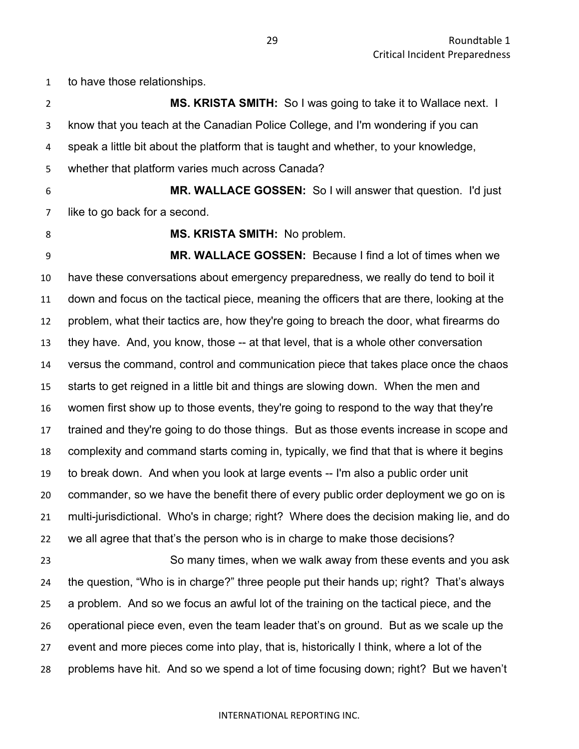to have those relationships.

 **MS. KRISTA SMITH:** So I was going to take it to Wallace next. I know that you teach at the Canadian Police College, and I'm wondering if you can speak a little bit about the platform that is taught and whether, to your knowledge, whether that platform varies much across Canada? **MR. WALLACE GOSSEN:** So I will answer that question. I'd just like to go back for a second. **MS. KRISTA SMITH:** No problem. **MR. WALLACE GOSSEN:** Because I find a lot of times when we have these conversations about emergency preparedness, we really do tend to boil it down and focus on the tactical piece, meaning the officers that are there, looking at the problem, what their tactics are, how they're going to breach the door, what firearms do they have. And, you know, those -- at that level, that is a whole other conversation versus the command, control and communication piece that takes place once the chaos starts to get reigned in a little bit and things are slowing down. When the men and women first show up to those events, they're going to respond to the way that they're trained and they're going to do those things. But as those events increase in scope and complexity and command starts coming in, typically, we find that that is where it begins to break down. And when you look at large events -- I'm also a public order unit commander, so we have the benefit there of every public order deployment we go on is multi-jurisdictional. Who's in charge; right? Where does the decision making lie, and do we all agree that that's the person who is in charge to make those decisions? So many times, when we walk away from these events and you ask the question, "Who is in charge?" three people put their hands up; right? That's always a problem. And so we focus an awful lot of the training on the tactical piece, and the operational piece even, even the team leader that's on ground. But as we scale up the event and more pieces come into play, that is, historically I think, where a lot of the problems have hit. And so we spend a lot of time focusing down; right? But we haven't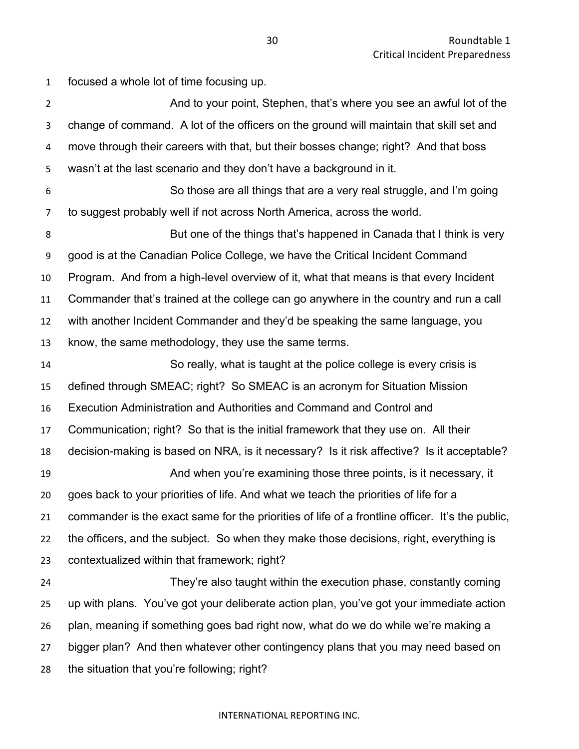focused a whole lot of time focusing up.

2 And to your point, Stephen, that's where you see an awful lot of the change of command. A lot of the officers on the ground will maintain that skill set and move through their careers with that, but their bosses change; right? And that boss wasn't at the last scenario and they don't have a background in it. So those are all things that are a very real struggle, and I'm going to suggest probably well if not across North America, across the world. **But one of the things that's happened in Canada that I think is very**  good is at the Canadian Police College, we have the Critical Incident Command Program. And from a high-level overview of it, what that means is that every Incident Commander that's trained at the college can go anywhere in the country and run a call with another Incident Commander and they'd be speaking the same language, you know, the same methodology, they use the same terms. So really, what is taught at the police college is every crisis is defined through SMEAC; right? So SMEAC is an acronym for Situation Mission Execution Administration and Authorities and Command and Control and Communication; right? So that is the initial framework that they use on. All their decision-making is based on NRA, is it necessary? Is it risk affective? Is it acceptable? And when you're examining those three points, is it necessary, it goes back to your priorities of life. And what we teach the priorities of life for a commander is the exact same for the priorities of life of a frontline officer. It's the public, the officers, and the subject. So when they make those decisions, right, everything is contextualized within that framework; right? They're also taught within the execution phase, constantly coming up with plans. You've got your deliberate action plan, you've got your immediate action plan, meaning if something goes bad right now, what do we do while we're making a bigger plan? And then whatever other contingency plans that you may need based on the situation that you're following; right?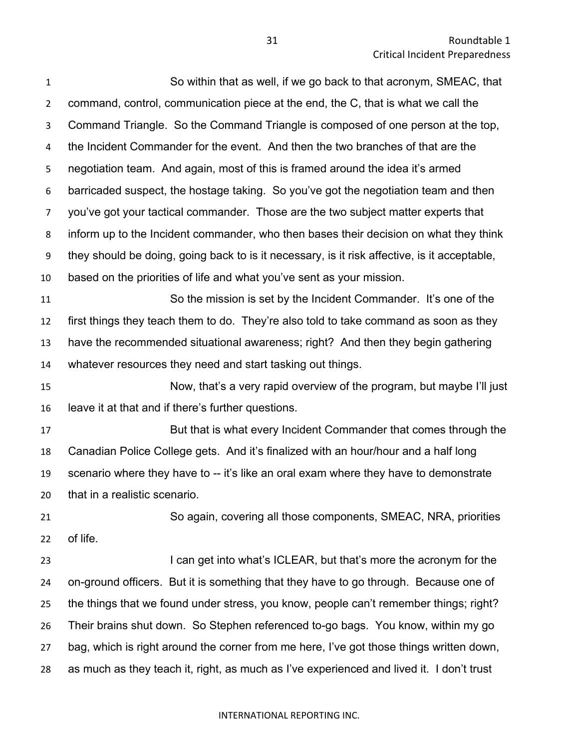| $\mathbf{1}$   | So within that as well, if we go back to that acronym, SMEAC, that                           |
|----------------|----------------------------------------------------------------------------------------------|
| $\overline{2}$ | command, control, communication piece at the end, the C, that is what we call the            |
| 3              | Command Triangle. So the Command Triangle is composed of one person at the top,              |
| 4              | the Incident Commander for the event. And then the two branches of that are the              |
| 5              | negotiation team. And again, most of this is framed around the idea it's armed               |
| 6              | barricaded suspect, the hostage taking. So you've got the negotiation team and then          |
| $\overline{7}$ | you've got your tactical commander. Those are the two subject matter experts that            |
| 8              | inform up to the Incident commander, who then bases their decision on what they think        |
| 9              | they should be doing, going back to is it necessary, is it risk affective, is it acceptable, |
| 10             | based on the priorities of life and what you've sent as your mission.                        |
| 11             | So the mission is set by the Incident Commander. It's one of the                             |
| 12             | first things they teach them to do. They're also told to take command as soon as they        |
| 13             | have the recommended situational awareness; right? And then they begin gathering             |
| 14             | whatever resources they need and start tasking out things.                                   |
| 15             | Now, that's a very rapid overview of the program, but maybe I'll just                        |
| 16             | leave it at that and if there's further questions.                                           |
| 17             | But that is what every Incident Commander that comes through the                             |
| 18             | Canadian Police College gets. And it's finalized with an hour/hour and a half long           |
| 19             | scenario where they have to -- it's like an oral exam where they have to demonstrate         |
| 20             | that in a realistic scenario.                                                                |
| 21             | So again, covering all those components, SMEAC, NRA, priorities                              |
| 22             | of life.                                                                                     |
| 23             | I can get into what's ICLEAR, but that's more the acronym for the                            |
| 24             | on-ground officers. But it is something that they have to go through. Because one of         |
| 25             | the things that we found under stress, you know, people can't remember things; right?        |
| 26             | Their brains shut down. So Stephen referenced to-go bags. You know, within my go             |
| 27             | bag, which is right around the corner from me here, I've got those things written down,      |
| 28             | as much as they teach it, right, as much as I've experienced and lived it. I don't trust     |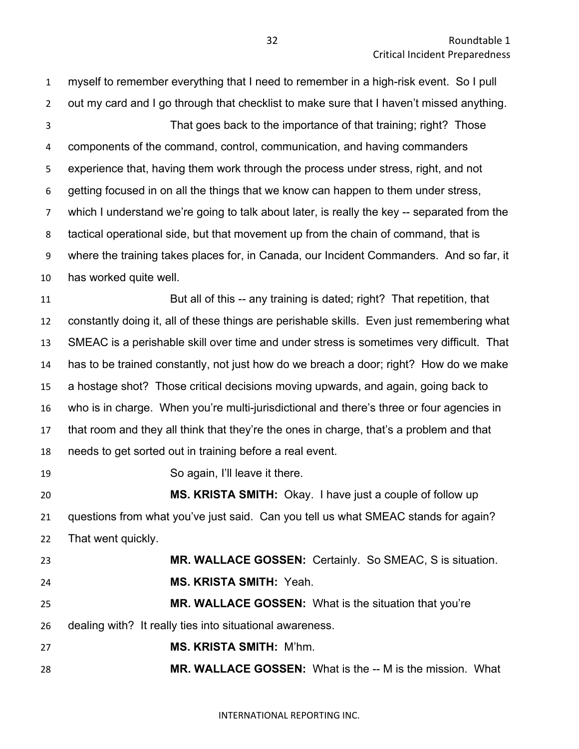myself to remember everything that I need to remember in a high-risk event. So I pull out my card and I go through that checklist to make sure that I haven't missed anything. That goes back to the importance of that training; right? Those components of the command, control, communication, and having commanders experience that, having them work through the process under stress, right, and not getting focused in on all the things that we know can happen to them under stress, which I understand we're going to talk about later, is really the key -- separated from the tactical operational side, but that movement up from the chain of command, that is where the training takes places for, in Canada, our Incident Commanders. And so far, it has worked quite well. **But all of this -- any training is dated; right?** That repetition, that constantly doing it, all of these things are perishable skills. Even just remembering what SMEAC is a perishable skill over time and under stress is sometimes very difficult. That has to be trained constantly, not just how do we breach a door; right? How do we make a hostage shot? Those critical decisions moving upwards, and again, going back to who is in charge. When you're multi-jurisdictional and there's three or four agencies in that room and they all think that they're the ones in charge, that's a problem and that needs to get sorted out in training before a real event. So again, I'll leave it there. **MS. KRISTA SMITH:** Okay. I have just a couple of follow up questions from what you've just said. Can you tell us what SMEAC stands for again? That went quickly. **MR. WALLACE GOSSEN:** Certainly. So SMEAC, S is situation. **MS. KRISTA SMITH:** Yeah. **MR. WALLACE GOSSEN:** What is the situation that you're dealing with? It really ties into situational awareness. **MS. KRISTA SMITH:** M'hm. **MR. WALLACE GOSSEN:** What is the -- M is the mission. What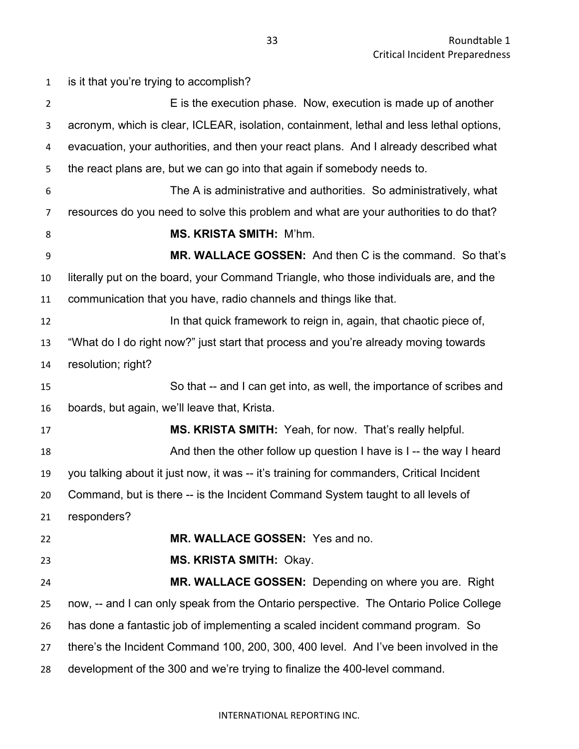is it that you're trying to accomplish? **E** is the execution phase. Now, execution is made up of another acronym, which is clear, ICLEAR, isolation, containment, lethal and less lethal options, evacuation, your authorities, and then your react plans. And I already described what the react plans are, but we can go into that again if somebody needs to. The A is administrative and authorities. So administratively, what resources do you need to solve this problem and what are your authorities to do that? **MS. KRISTA SMITH:** M'hm. **MR. WALLACE GOSSEN:** And then C is the command. So that's literally put on the board, your Command Triangle, who those individuals are, and the communication that you have, radio channels and things like that. **In that quick framework to reign in, again, that chaotic piece of,**  "What do I do right now?" just start that process and you're already moving towards resolution; right? So that -- and I can get into, as well, the importance of scribes and boards, but again, we'll leave that, Krista. **MS. KRISTA SMITH:** Yeah, for now. That's really helpful. **And then the other follow up question I have is I** -- the way I heard you talking about it just now, it was -- it's training for commanders, Critical Incident Command, but is there -- is the Incident Command System taught to all levels of responders? **MR. WALLACE GOSSEN:** Yes and no. **MS. KRISTA SMITH:** Okay. **MR. WALLACE GOSSEN:** Depending on where you are. Right now, -- and I can only speak from the Ontario perspective. The Ontario Police College has done a fantastic job of implementing a scaled incident command program. So there's the Incident Command 100, 200, 300, 400 level. And I've been involved in the development of the 300 and we're trying to finalize the 400-level command.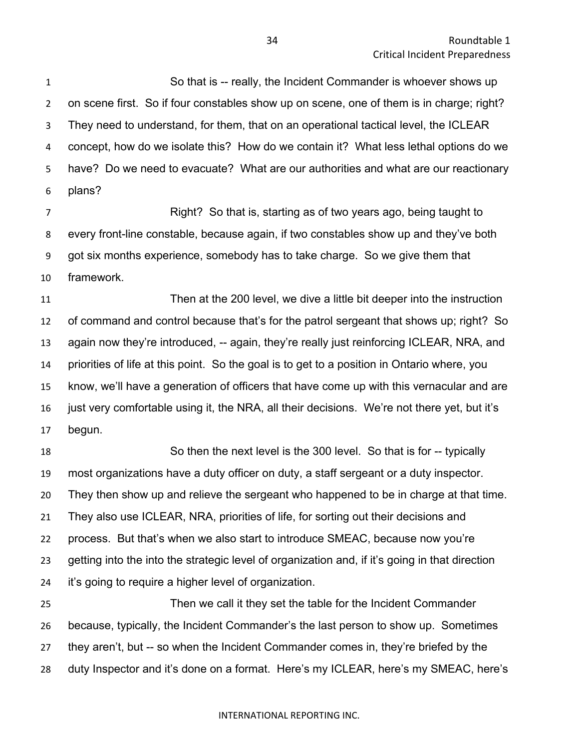So that is -- really, the Incident Commander is whoever shows up on scene first. So if four constables show up on scene, one of them is in charge; right? They need to understand, for them, that on an operational tactical level, the ICLEAR concept, how do we isolate this? How do we contain it? What less lethal options do we have? Do we need to evacuate? What are our authorities and what are our reactionary plans?

 Right? So that is, starting as of two years ago, being taught to every front-line constable, because again, if two constables show up and they've both got six months experience, somebody has to take charge. So we give them that framework.

 Then at the 200 level, we dive a little bit deeper into the instruction of command and control because that's for the patrol sergeant that shows up; right? So again now they're introduced, -- again, they're really just reinforcing ICLEAR, NRA, and priorities of life at this point. So the goal is to get to a position in Ontario where, you know, we'll have a generation of officers that have come up with this vernacular and are just very comfortable using it, the NRA, all their decisions. We're not there yet, but it's begun.

 So then the next level is the 300 level. So that is for -- typically most organizations have a duty officer on duty, a staff sergeant or a duty inspector. They then show up and relieve the sergeant who happened to be in charge at that time. They also use ICLEAR, NRA, priorities of life, for sorting out their decisions and process. But that's when we also start to introduce SMEAC, because now you're getting into the into the strategic level of organization and, if it's going in that direction it's going to require a higher level of organization.

 Then we call it they set the table for the Incident Commander because, typically, the Incident Commander's the last person to show up. Sometimes they aren't, but -- so when the Incident Commander comes in, they're briefed by the duty Inspector and it's done on a format. Here's my ICLEAR, here's my SMEAC, here's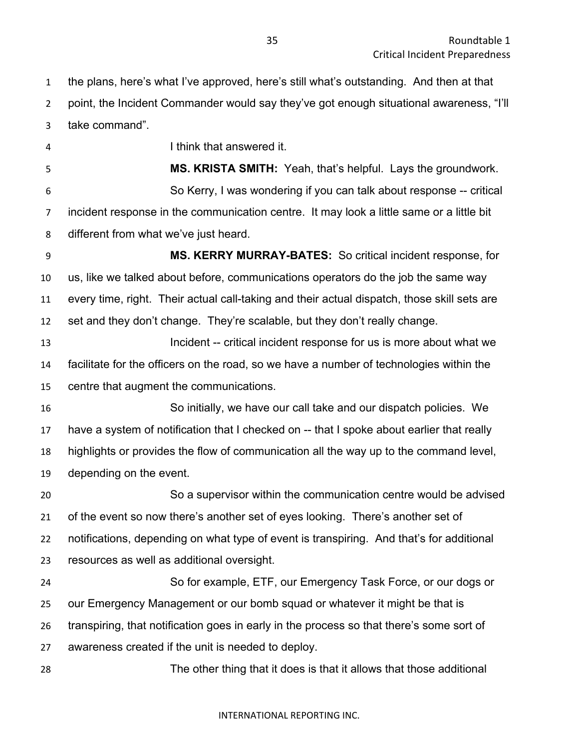the plans, here's what I've approved, here's still what's outstanding. And then at that point, the Incident Commander would say they've got enough situational awareness, "I'll take command".

 I think that answered it. **MS. KRISTA SMITH:** Yeah, that's helpful. Lays the groundwork. So Kerry, I was wondering if you can talk about response -- critical incident response in the communication centre. It may look a little same or a little bit different from what we've just heard. **MS. KERRY MURRAY-BATES:** So critical incident response, for

 us, like we talked about before, communications operators do the job the same way every time, right. Their actual call-taking and their actual dispatch, those skill sets are set and they don't change. They're scalable, but they don't really change.

**Incident -- critical incident response for us is more about what we**  facilitate for the officers on the road, so we have a number of technologies within the centre that augment the communications.

 So initially, we have our call take and our dispatch policies. We have a system of notification that I checked on -- that I spoke about earlier that really highlights or provides the flow of communication all the way up to the command level, depending on the event.

 So a supervisor within the communication centre would be advised of the event so now there's another set of eyes looking. There's another set of notifications, depending on what type of event is transpiring. And that's for additional resources as well as additional oversight.

 So for example, ETF, our Emergency Task Force, or our dogs or our Emergency Management or our bomb squad or whatever it might be that is transpiring, that notification goes in early in the process so that there's some sort of awareness created if the unit is needed to deploy.

The other thing that it does is that it allows that those additional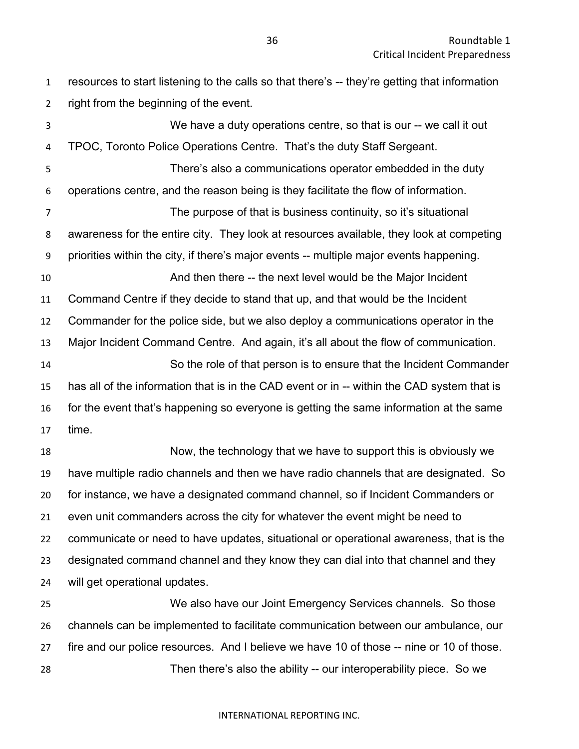resources to start listening to the calls so that there's -- they're getting that information right from the beginning of the event.

 We have a duty operations centre, so that is our -- we call it out TPOC, Toronto Police Operations Centre. That's the duty Staff Sergeant. There's also a communications operator embedded in the duty operations centre, and the reason being is they facilitate the flow of information. The purpose of that is business continuity, so it's situational awareness for the entire city. They look at resources available, they look at competing priorities within the city, if there's major events -- multiple major events happening. And then there -- the next level would be the Major Incident Command Centre if they decide to stand that up, and that would be the Incident Commander for the police side, but we also deploy a communications operator in the Major Incident Command Centre. And again, it's all about the flow of communication. So the role of that person is to ensure that the Incident Commander has all of the information that is in the CAD event or in -- within the CAD system that is for the event that's happening so everyone is getting the same information at the same time. Now, the technology that we have to support this is obviously we have multiple radio channels and then we have radio channels that are designated. So for instance, we have a designated command channel, so if Incident Commanders or even unit commanders across the city for whatever the event might be need to

 communicate or need to have updates, situational or operational awareness, that is the designated command channel and they know they can dial into that channel and they will get operational updates.

 We also have our Joint Emergency Services channels. So those channels can be implemented to facilitate communication between our ambulance, our fire and our police resources. And I believe we have 10 of those -- nine or 10 of those. Then there's also the ability -- our interoperability piece. So we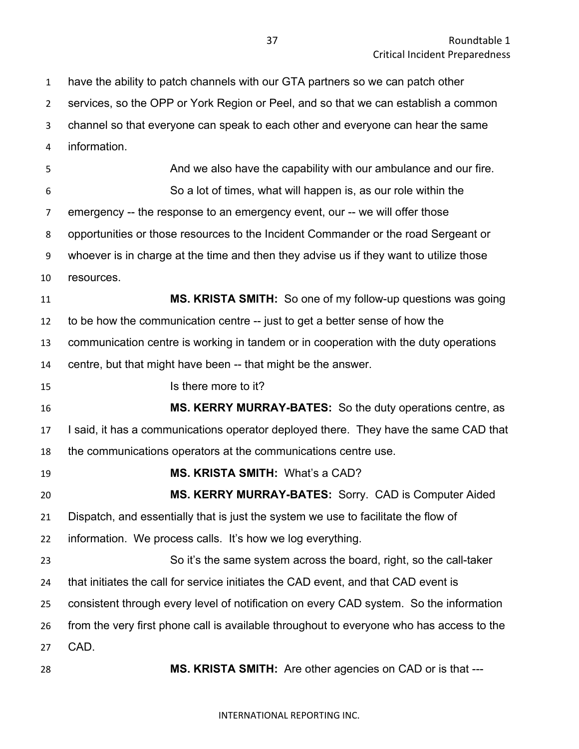have the ability to patch channels with our GTA partners so we can patch other services, so the OPP or York Region or Peel, and so that we can establish a common channel so that everyone can speak to each other and everyone can hear the same information. **And we also have the capability with our ambulance and our fire.**  So a lot of times, what will happen is, as our role within the emergency -- the response to an emergency event, our -- we will offer those opportunities or those resources to the Incident Commander or the road Sergeant or whoever is in charge at the time and then they advise us if they want to utilize those resources. **MS. KRISTA SMITH:** So one of my follow-up questions was going to be how the communication centre -- just to get a better sense of how the communication centre is working in tandem or in cooperation with the duty operations centre, but that might have been -- that might be the answer. Is there more to it? **MS. KERRY MURRAY-BATES:** So the duty operations centre, as I said, it has a communications operator deployed there. They have the same CAD that the communications operators at the communications centre use. **MS. KRISTA SMITH:** What's a CAD? **MS. KERRY MURRAY-BATES:** Sorry. CAD is Computer Aided Dispatch, and essentially that is just the system we use to facilitate the flow of information. We process calls. It's how we log everything. So it's the same system across the board, right, so the call-taker that initiates the call for service initiates the CAD event, and that CAD event is consistent through every level of notification on every CAD system. So the information from the very first phone call is available throughout to everyone who has access to the CAD. **MS. KRISTA SMITH:** Are other agencies on CAD or is that ---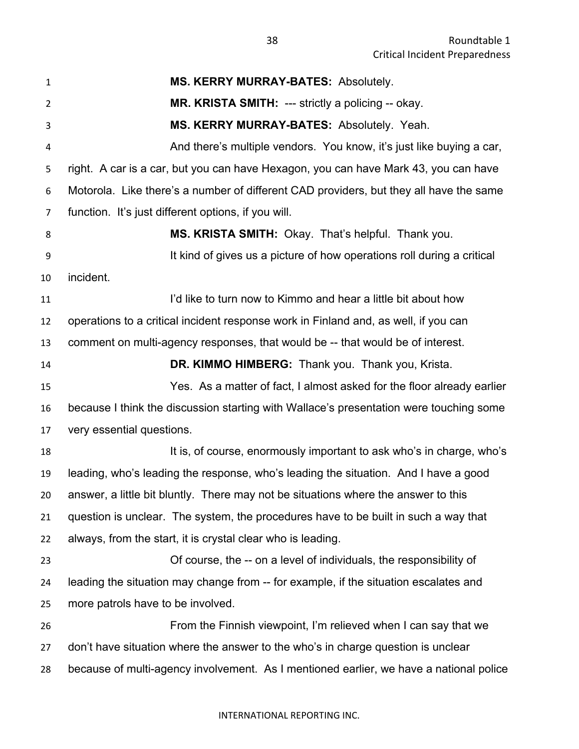| $\mathbf{1}$ | MS. KERRY MURRAY-BATES: Absolutely.                                                    |
|--------------|----------------------------------------------------------------------------------------|
| 2            | MR. KRISTA SMITH: --- strictly a policing -- okay.                                     |
| 3            | MS. KERRY MURRAY-BATES: Absolutely. Yeah.                                              |
| 4            | And there's multiple vendors. You know, it's just like buying a car,                   |
| 5            | right. A car is a car, but you can have Hexagon, you can have Mark 43, you can have    |
| 6            | Motorola. Like there's a number of different CAD providers, but they all have the same |
| 7            | function. It's just different options, if you will.                                    |
| 8            | MS. KRISTA SMITH: Okay. That's helpful. Thank you.                                     |
| 9            | It kind of gives us a picture of how operations roll during a critical                 |
| 10           | incident.                                                                              |
| 11           | I'd like to turn now to Kimmo and hear a little bit about how                          |
| 12           | operations to a critical incident response work in Finland and, as well, if you can    |
| 13           | comment on multi-agency responses, that would be -- that would be of interest.         |
| 14           | DR. KIMMO HIMBERG: Thank you. Thank you, Krista.                                       |
| 15           | Yes. As a matter of fact, I almost asked for the floor already earlier                 |
| 16           | because I think the discussion starting with Wallace's presentation were touching some |
| 17           | very essential questions.                                                              |
| 18           | It is, of course, enormously important to ask who's in charge, who's                   |
| 19           | leading, who's leading the response, who's leading the situation. And I have a good    |
| 20           | answer, a little bit bluntly. There may not be situations where the answer to this     |
| 21           | question is unclear. The system, the procedures have to be built in such a way that    |
| 22           | always, from the start, it is crystal clear who is leading.                            |
| 23           | Of course, the -- on a level of individuals, the responsibility of                     |
| 24           | leading the situation may change from -- for example, if the situation escalates and   |
| 25           | more patrols have to be involved.                                                      |
| 26           | From the Finnish viewpoint, I'm relieved when I can say that we                        |
| 27           | don't have situation where the answer to the who's in charge question is unclear       |
| 28           | because of multi-agency involvement. As I mentioned earlier, we have a national police |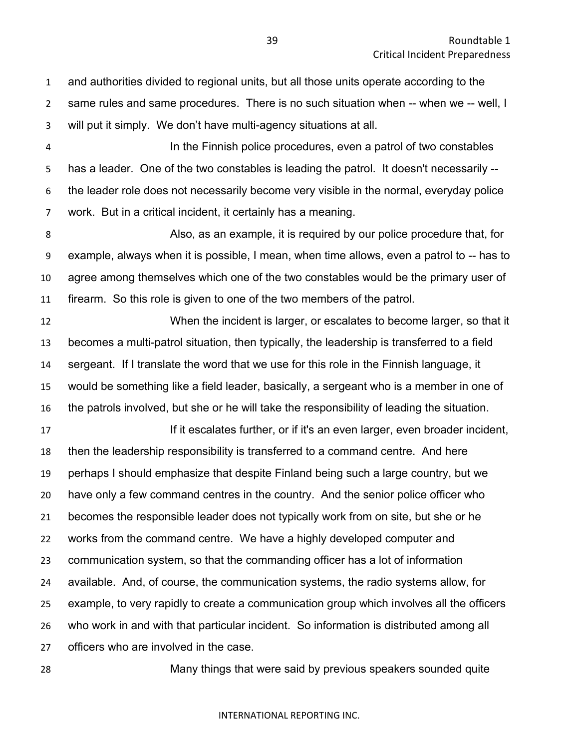and authorities divided to regional units, but all those units operate according to the same rules and same procedures. There is no such situation when -- when we -- well, I will put it simply. We don't have multi-agency situations at all.

 In the Finnish police procedures, even a patrol of two constables has a leader. One of the two constables is leading the patrol. It doesn't necessarily -- the leader role does not necessarily become very visible in the normal, everyday police work. But in a critical incident, it certainly has a meaning.

 Also, as an example, it is required by our police procedure that, for example, always when it is possible, I mean, when time allows, even a patrol to -- has to agree among themselves which one of the two constables would be the primary user of firearm. So this role is given to one of the two members of the patrol.

 When the incident is larger, or escalates to become larger, so that it becomes a multi-patrol situation, then typically, the leadership is transferred to a field sergeant. If I translate the word that we use for this role in the Finnish language, it would be something like a field leader, basically, a sergeant who is a member in one of the patrols involved, but she or he will take the responsibility of leading the situation.

**If it escalates further, or if it's an even larger, even broader incident,**  then the leadership responsibility is transferred to a command centre. And here perhaps I should emphasize that despite Finland being such a large country, but we have only a few command centres in the country. And the senior police officer who becomes the responsible leader does not typically work from on site, but she or he works from the command centre. We have a highly developed computer and communication system, so that the commanding officer has a lot of information available. And, of course, the communication systems, the radio systems allow, for example, to very rapidly to create a communication group which involves all the officers who work in and with that particular incident. So information is distributed among all officers who are involved in the case.

Many things that were said by previous speakers sounded quite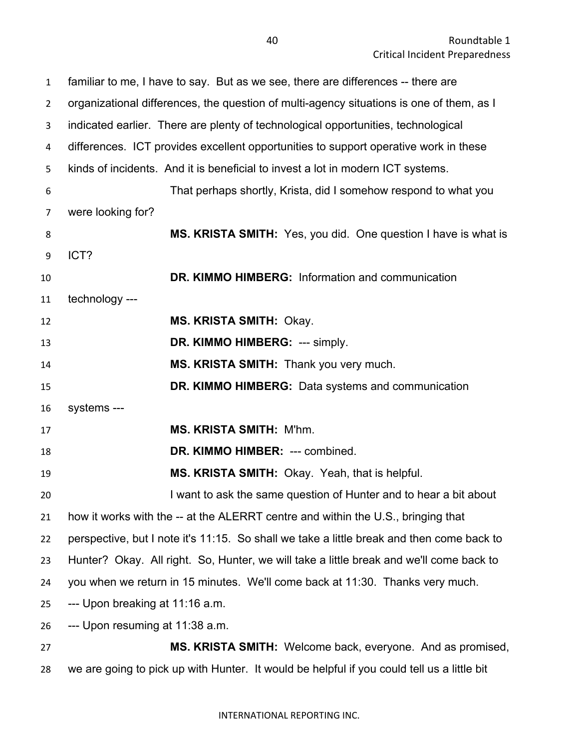| $\mathbf{1}$   | familiar to me, I have to say. But as we see, there are differences -- there are          |
|----------------|-------------------------------------------------------------------------------------------|
| $\overline{2}$ | organizational differences, the question of multi-agency situations is one of them, as I  |
| 3              | indicated earlier. There are plenty of technological opportunities, technological         |
| 4              | differences. ICT provides excellent opportunities to support operative work in these      |
| 5              | kinds of incidents. And it is beneficial to invest a lot in modern ICT systems.           |
| 6              | That perhaps shortly, Krista, did I somehow respond to what you                           |
| 7              | were looking for?                                                                         |
| 8              | MS. KRISTA SMITH: Yes, you did. One question I have is what is                            |
| 9              | ICT?                                                                                      |
| 10             | <b>DR. KIMMO HIMBERG:</b> Information and communication                                   |
| 11             | technology ---                                                                            |
| 12             | <b>MS. KRISTA SMITH: Okay.</b>                                                            |
| 13             | DR. KIMMO HIMBERG: --- simply.                                                            |
| 14             | MS. KRISTA SMITH: Thank you very much.                                                    |
| 15             | DR. KIMMO HIMBERG: Data systems and communication                                         |
| 16             | systems ---                                                                               |
| 17             | <b>MS. KRISTA SMITH: M'hm.</b>                                                            |
| 18             | DR. KIMMO HIMBER: --- combined.                                                           |
| 19             | MS. KRISTA SMITH: Okay. Yeah, that is helpful.                                            |
| 20             | I want to ask the same question of Hunter and to hear a bit about                         |
| 21             | how it works with the -- at the ALERRT centre and within the U.S., bringing that          |
| 22             | perspective, but I note it's 11:15. So shall we take a little break and then come back to |
| 23             | Hunter? Okay. All right. So, Hunter, we will take a little break and we'll come back to   |
| 24             | you when we return in 15 minutes. We'll come back at 11:30. Thanks very much.             |
| 25             | --- Upon breaking at 11:16 a.m.                                                           |
| 26             | --- Upon resuming at 11:38 a.m.                                                           |
| 27             | <b>MS. KRISTA SMITH:</b> Welcome back, everyone. And as promised,                         |
|                |                                                                                           |

we are going to pick up with Hunter. It would be helpful if you could tell us a little bit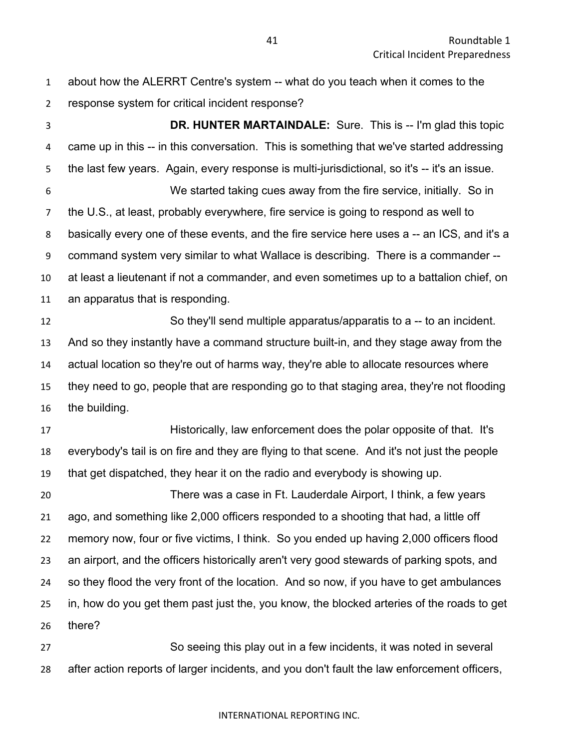| $\mathbf{1}$   | about how the ALERRT Centre's system -- what do you teach when it comes to the               |
|----------------|----------------------------------------------------------------------------------------------|
| $\overline{2}$ | response system for critical incident response?                                              |
| 3              | <b>DR. HUNTER MARTAINDALE:</b> Sure. This is -- I'm glad this topic                          |
| 4              | came up in this -- in this conversation. This is something that we've started addressing     |
| 5              | the last few years. Again, every response is multi-jurisdictional, so it's -- it's an issue. |
| 6              | We started taking cues away from the fire service, initially. So in                          |
| 7              | the U.S., at least, probably everywhere, fire service is going to respond as well to         |
| 8              | basically every one of these events, and the fire service here uses a -- an ICS, and it's a  |
| 9              | command system very similar to what Wallace is describing. There is a commander --           |
| 10             | at least a lieutenant if not a commander, and even sometimes up to a battalion chief, on     |
| 11             | an apparatus that is responding.                                                             |
| 12             | So they'll send multiple apparatus/apparatis to a -- to an incident.                         |
| 13             | And so they instantly have a command structure built-in, and they stage away from the        |
| 14             | actual location so they're out of harms way, they're able to allocate resources where        |
| 15             | they need to go, people that are responding go to that staging area, they're not flooding    |
| 16             | the building.                                                                                |
| 17             | Historically, law enforcement does the polar opposite of that. It's                          |
| 18             | everybody's tail is on fire and they are flying to that scene. And it's not just the people  |
| 19             | that get dispatched, they hear it on the radio and everybody is showing up.                  |
| 20             | There was a case in Ft. Lauderdale Airport, I think, a few years                             |
| 21             | ago, and something like 2,000 officers responded to a shooting that had, a little off        |
| 22             | memory now, four or five victims, I think. So you ended up having 2,000 officers flood       |
| 23             | an airport, and the officers historically aren't very good stewards of parking spots, and    |
| 24             | so they flood the very front of the location. And so now, if you have to get ambulances      |
| 25             | in, how do you get them past just the, you know, the blocked arteries of the roads to get    |
| 26             | there?                                                                                       |
| 27             | So seeing this play out in a few incidents, it was noted in several                          |
| 28             | after action reports of larger incidents, and you don't fault the law enforcement officers,  |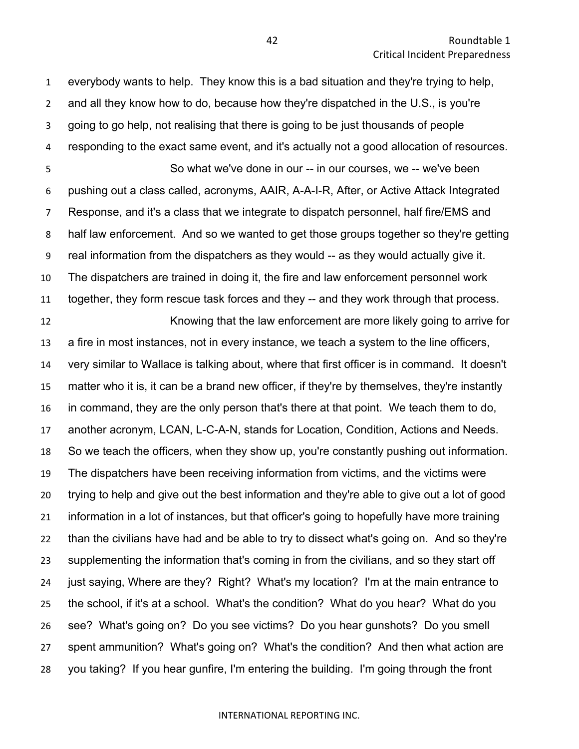everybody wants to help. They know this is a bad situation and they're trying to help, and all they know how to do, because how they're dispatched in the U.S., is you're going to go help, not realising that there is going to be just thousands of people responding to the exact same event, and it's actually not a good allocation of resources. So what we've done in our -- in our courses, we -- we've been pushing out a class called, acronyms, AAIR, A-A-I-R, After, or Active Attack Integrated Response, and it's a class that we integrate to dispatch personnel, half fire/EMS and half law enforcement. And so we wanted to get those groups together so they're getting real information from the dispatchers as they would -- as they would actually give it. The dispatchers are trained in doing it, the fire and law enforcement personnel work together, they form rescue task forces and they -- and they work through that process. Knowing that the law enforcement are more likely going to arrive for

 a fire in most instances, not in every instance, we teach a system to the line officers, very similar to Wallace is talking about, where that first officer is in command. It doesn't matter who it is, it can be a brand new officer, if they're by themselves, they're instantly in command, they are the only person that's there at that point. We teach them to do, another acronym, LCAN, L-C-A-N, stands for Location, Condition, Actions and Needs. So we teach the officers, when they show up, you're constantly pushing out information. The dispatchers have been receiving information from victims, and the victims were trying to help and give out the best information and they're able to give out a lot of good information in a lot of instances, but that officer's going to hopefully have more training than the civilians have had and be able to try to dissect what's going on. And so they're supplementing the information that's coming in from the civilians, and so they start off just saying, Where are they? Right? What's my location? I'm at the main entrance to the school, if it's at a school. What's the condition? What do you hear? What do you see? What's going on? Do you see victims? Do you hear gunshots? Do you smell spent ammunition? What's going on? What's the condition? And then what action are you taking? If you hear gunfire, I'm entering the building. I'm going through the front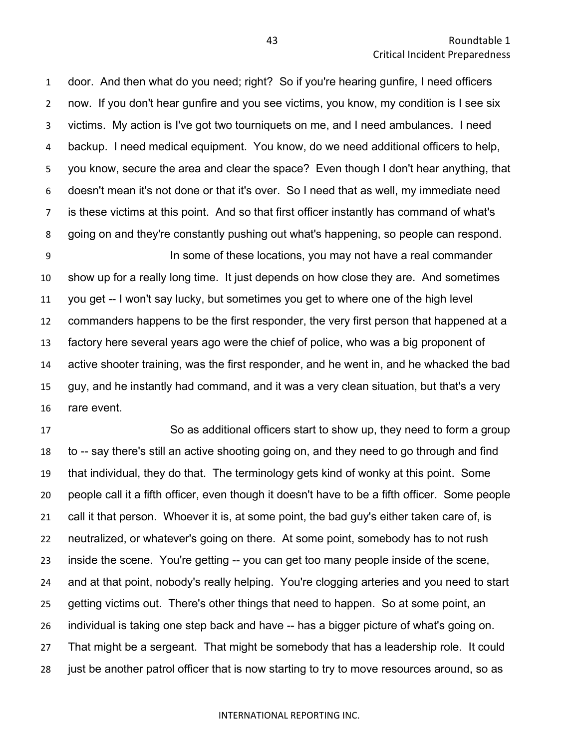door. And then what do you need; right? So if you're hearing gunfire, I need officers now. If you don't hear gunfire and you see victims, you know, my condition is I see six victims. My action is I've got two tourniquets on me, and I need ambulances. I need backup. I need medical equipment. You know, do we need additional officers to help, you know, secure the area and clear the space? Even though I don't hear anything, that doesn't mean it's not done or that it's over. So I need that as well, my immediate need is these victims at this point. And so that first officer instantly has command of what's going on and they're constantly pushing out what's happening, so people can respond.

 In some of these locations, you may not have a real commander show up for a really long time. It just depends on how close they are. And sometimes you get -- I won't say lucky, but sometimes you get to where one of the high level commanders happens to be the first responder, the very first person that happened at a factory here several years ago were the chief of police, who was a big proponent of active shooter training, was the first responder, and he went in, and he whacked the bad guy, and he instantly had command, and it was a very clean situation, but that's a very rare event.

 So as additional officers start to show up, they need to form a group to -- say there's still an active shooting going on, and they need to go through and find that individual, they do that. The terminology gets kind of wonky at this point. Some people call it a fifth officer, even though it doesn't have to be a fifth officer. Some people call it that person. Whoever it is, at some point, the bad guy's either taken care of, is neutralized, or whatever's going on there. At some point, somebody has to not rush inside the scene. You're getting -- you can get too many people inside of the scene, and at that point, nobody's really helping. You're clogging arteries and you need to start getting victims out. There's other things that need to happen. So at some point, an individual is taking one step back and have -- has a bigger picture of what's going on. That might be a sergeant. That might be somebody that has a leadership role. It could just be another patrol officer that is now starting to try to move resources around, so as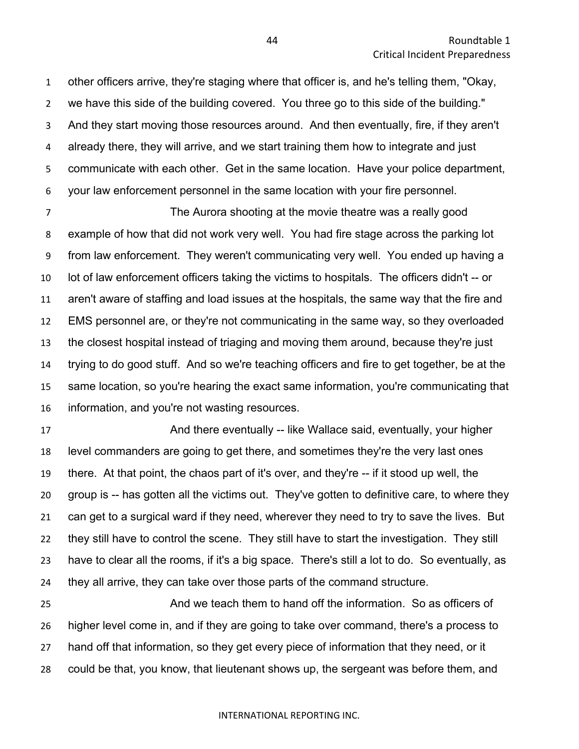other officers arrive, they're staging where that officer is, and he's telling them, "Okay, we have this side of the building covered. You three go to this side of the building." And they start moving those resources around. And then eventually, fire, if they aren't already there, they will arrive, and we start training them how to integrate and just communicate with each other. Get in the same location. Have your police department, your law enforcement personnel in the same location with your fire personnel.

 The Aurora shooting at the movie theatre was a really good example of how that did not work very well. You had fire stage across the parking lot from law enforcement. They weren't communicating very well. You ended up having a lot of law enforcement officers taking the victims to hospitals. The officers didn't -- or aren't aware of staffing and load issues at the hospitals, the same way that the fire and EMS personnel are, or they're not communicating in the same way, so they overloaded the closest hospital instead of triaging and moving them around, because they're just trying to do good stuff. And so we're teaching officers and fire to get together, be at the same location, so you're hearing the exact same information, you're communicating that information, and you're not wasting resources.

**And there eventually -- like Wallace said, eventually, your higher** is level commanders are going to get there, and sometimes they're the very last ones there. At that point, the chaos part of it's over, and they're -- if it stood up well, the group is -- has gotten all the victims out. They've gotten to definitive care, to where they can get to a surgical ward if they need, wherever they need to try to save the lives. But they still have to control the scene. They still have to start the investigation. They still have to clear all the rooms, if it's a big space. There's still a lot to do. So eventually, as they all arrive, they can take over those parts of the command structure.

 And we teach them to hand off the information. So as officers of higher level come in, and if they are going to take over command, there's a process to hand off that information, so they get every piece of information that they need, or it could be that, you know, that lieutenant shows up, the sergeant was before them, and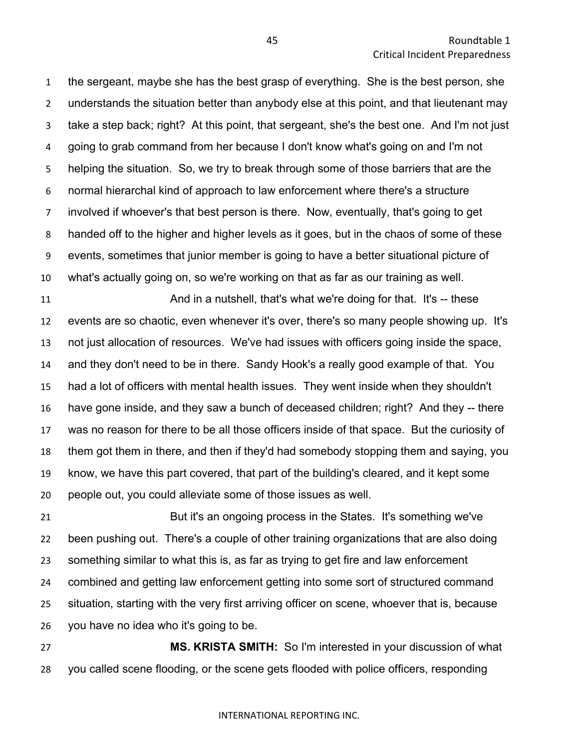the sergeant, maybe she has the best grasp of everything. She is the best person, she understands the situation better than anybody else at this point, and that lieutenant may take a step back; right? At this point, that sergeant, she's the best one. And I'm not just going to grab command from her because I don't know what's going on and I'm not helping the situation. So, we try to break through some of those barriers that are the normal hierarchal kind of approach to law enforcement where there's a structure involved if whoever's that best person is there. Now, eventually, that's going to get handed off to the higher and higher levels as it goes, but in the chaos of some of these events, sometimes that junior member is going to have a better situational picture of what's actually going on, so we're working on that as far as our training as well.

11 And in a nutshell, that's what we're doing for that. It's -- these events are so chaotic, even whenever it's over, there's so many people showing up. It's not just allocation of resources. We've had issues with officers going inside the space, and they don't need to be in there. Sandy Hook's a really good example of that. You had a lot of officers with mental health issues. They went inside when they shouldn't have gone inside, and they saw a bunch of deceased children; right? And they -- there was no reason for there to be all those officers inside of that space. But the curiosity of them got them in there, and then if they'd had somebody stopping them and saying, you know, we have this part covered, that part of the building's cleared, and it kept some people out, you could alleviate some of those issues as well.

 But it's an ongoing process in the States. It's something we've been pushing out. There's a couple of other training organizations that are also doing something similar to what this is, as far as trying to get fire and law enforcement combined and getting law enforcement getting into some sort of structured command situation, starting with the very first arriving officer on scene, whoever that is, because you have no idea who it's going to be.

 **MS. KRISTA SMITH:** So I'm interested in your discussion of what you called scene flooding, or the scene gets flooded with police officers, responding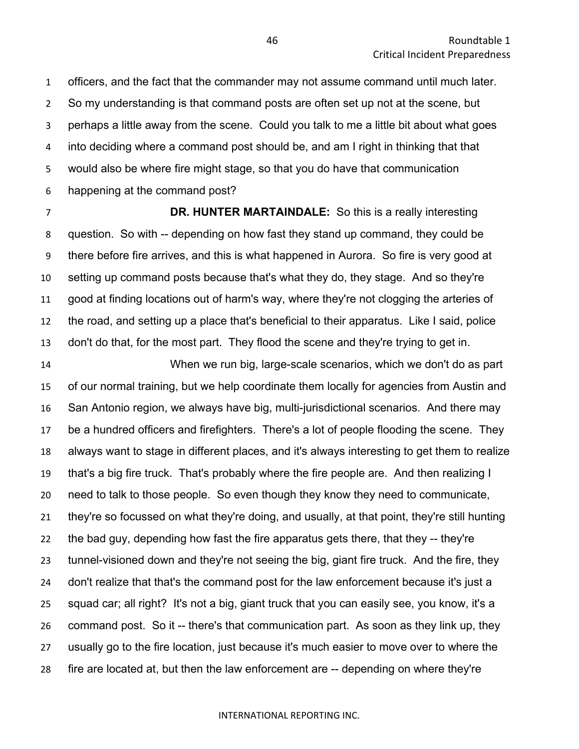officers, and the fact that the commander may not assume command until much later. So my understanding is that command posts are often set up not at the scene, but perhaps a little away from the scene. Could you talk to me a little bit about what goes into deciding where a command post should be, and am I right in thinking that that would also be where fire might stage, so that you do have that communication happening at the command post?

 **DR. HUNTER MARTAINDALE:** So this is a really interesting question. So with -- depending on how fast they stand up command, they could be there before fire arrives, and this is what happened in Aurora. So fire is very good at setting up command posts because that's what they do, they stage. And so they're good at finding locations out of harm's way, where they're not clogging the arteries of the road, and setting up a place that's beneficial to their apparatus. Like I said, police don't do that, for the most part. They flood the scene and they're trying to get in.

 When we run big, large-scale scenarios, which we don't do as part of our normal training, but we help coordinate them locally for agencies from Austin and San Antonio region, we always have big, multi-jurisdictional scenarios. And there may be a hundred officers and firefighters. There's a lot of people flooding the scene. They always want to stage in different places, and it's always interesting to get them to realize that's a big fire truck. That's probably where the fire people are. And then realizing I need to talk to those people. So even though they know they need to communicate, they're so focussed on what they're doing, and usually, at that point, they're still hunting the bad guy, depending how fast the fire apparatus gets there, that they -- they're tunnel-visioned down and they're not seeing the big, giant fire truck. And the fire, they don't realize that that's the command post for the law enforcement because it's just a squad car; all right? It's not a big, giant truck that you can easily see, you know, it's a command post. So it -- there's that communication part. As soon as they link up, they usually go to the fire location, just because it's much easier to move over to where the fire are located at, but then the law enforcement are -- depending on where they're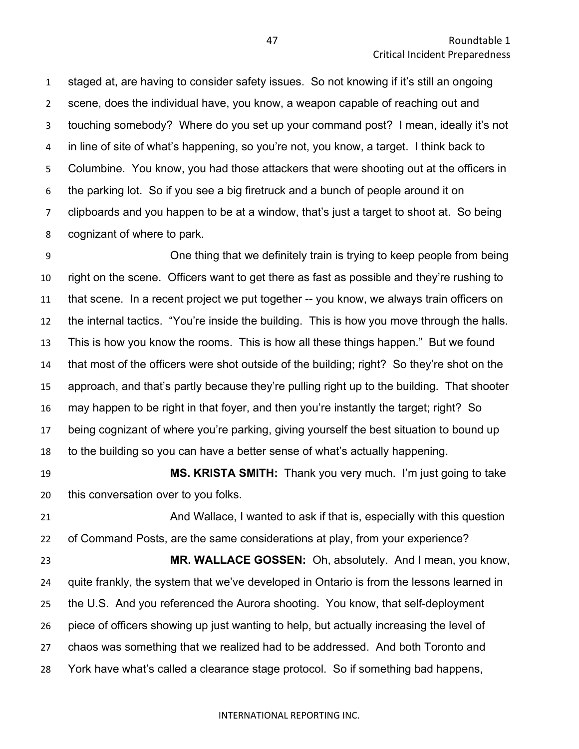staged at, are having to consider safety issues. So not knowing if it's still an ongoing scene, does the individual have, you know, a weapon capable of reaching out and touching somebody? Where do you set up your command post? I mean, ideally it's not in line of site of what's happening, so you're not, you know, a target. I think back to Columbine. You know, you had those attackers that were shooting out at the officers in the parking lot. So if you see a big firetruck and a bunch of people around it on clipboards and you happen to be at a window, that's just a target to shoot at. So being cognizant of where to park.

 One thing that we definitely train is trying to keep people from being right on the scene. Officers want to get there as fast as possible and they're rushing to that scene. In a recent project we put together -- you know, we always train officers on the internal tactics. "You're inside the building. This is how you move through the halls. This is how you know the rooms. This is how all these things happen." But we found that most of the officers were shot outside of the building; right? So they're shot on the approach, and that's partly because they're pulling right up to the building. That shooter may happen to be right in that foyer, and then you're instantly the target; right? So being cognizant of where you're parking, giving yourself the best situation to bound up to the building so you can have a better sense of what's actually happening.

 **MS. KRISTA SMITH:** Thank you very much. I'm just going to take this conversation over to you folks.

 And Wallace, I wanted to ask if that is, especially with this question of Command Posts, are the same considerations at play, from your experience?

 **MR. WALLACE GOSSEN:** Oh, absolutely. And I mean, you know, quite frankly, the system that we've developed in Ontario is from the lessons learned in the U.S. And you referenced the Aurora shooting. You know, that self-deployment piece of officers showing up just wanting to help, but actually increasing the level of chaos was something that we realized had to be addressed. And both Toronto and York have what's called a clearance stage protocol. So if something bad happens,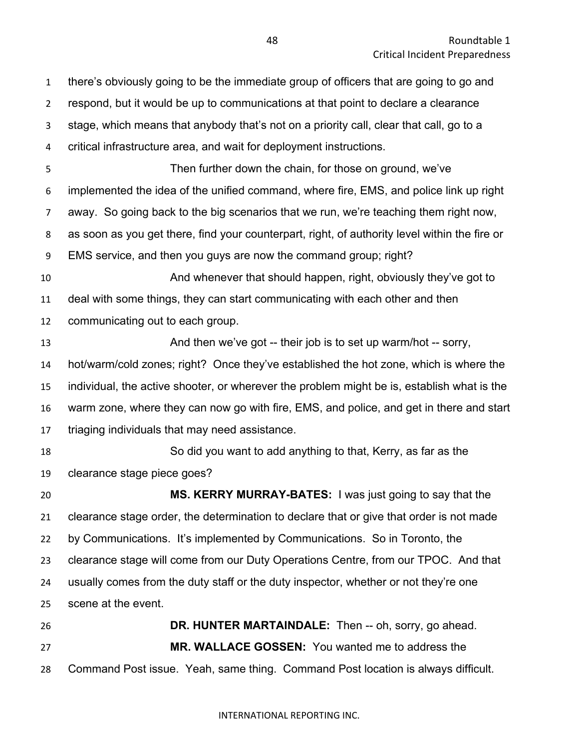there's obviously going to be the immediate group of officers that are going to go and respond, but it would be up to communications at that point to declare a clearance stage, which means that anybody that's not on a priority call, clear that call, go to a critical infrastructure area, and wait for deployment instructions. Then further down the chain, for those on ground, we've implemented the idea of the unified command, where fire, EMS, and police link up right away. So going back to the big scenarios that we run, we're teaching them right now, as soon as you get there, find your counterpart, right, of authority level within the fire or EMS service, and then you guys are now the command group; right? And whenever that should happen, right, obviously they've got to deal with some things, they can start communicating with each other and then communicating out to each group. 13 And then we've got -- their job is to set up warm/hot -- sorry, hot/warm/cold zones; right? Once they've established the hot zone, which is where the individual, the active shooter, or wherever the problem might be is, establish what is the warm zone, where they can now go with fire, EMS, and police, and get in there and start triaging individuals that may need assistance. So did you want to add anything to that, Kerry, as far as the clearance stage piece goes? **MS. KERRY MURRAY-BATES:** I was just going to say that the clearance stage order, the determination to declare that or give that order is not made by Communications. It's implemented by Communications. So in Toronto, the clearance stage will come from our Duty Operations Centre, from our TPOC. And that usually comes from the duty staff or the duty inspector, whether or not they're one scene at the event. **DR. HUNTER MARTAINDALE:** Then -- oh, sorry, go ahead. **MR. WALLACE GOSSEN:** You wanted me to address the Command Post issue. Yeah, same thing. Command Post location is always difficult.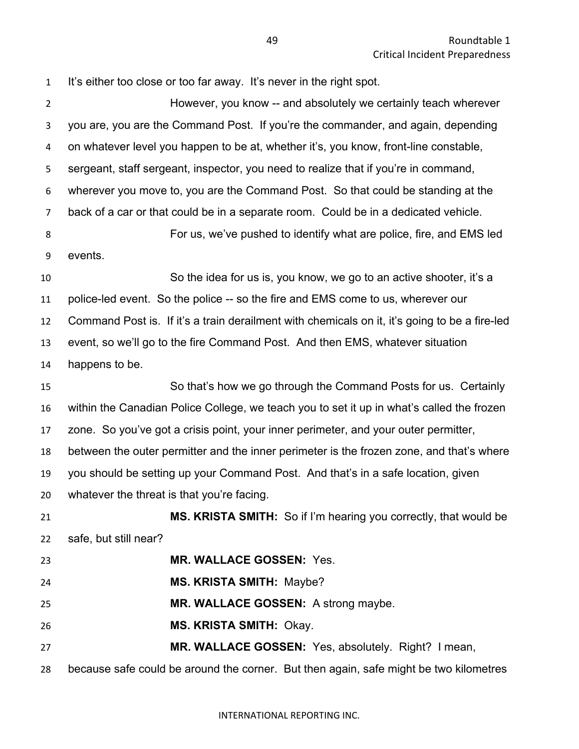| $\mathbf{1}$   | It's either too close or too far away. It's never in the right spot.                          |
|----------------|-----------------------------------------------------------------------------------------------|
| $\overline{2}$ | However, you know -- and absolutely we certainly teach wherever                               |
| 3              | you are, you are the Command Post. If you're the commander, and again, depending              |
| 4              | on whatever level you happen to be at, whether it's, you know, front-line constable,          |
| 5              | sergeant, staff sergeant, inspector, you need to realize that if you're in command,           |
| 6              | wherever you move to, you are the Command Post. So that could be standing at the              |
| $\overline{7}$ | back of a car or that could be in a separate room. Could be in a dedicated vehicle.           |
| 8              | For us, we've pushed to identify what are police, fire, and EMS led                           |
| 9              | events.                                                                                       |
| 10             | So the idea for us is, you know, we go to an active shooter, it's a                           |
| 11             | police-led event. So the police -- so the fire and EMS come to us, wherever our               |
| 12             | Command Post is. If it's a train derailment with chemicals on it, it's going to be a fire-led |
| 13             | event, so we'll go to the fire Command Post. And then EMS, whatever situation                 |
| 14             | happens to be.                                                                                |
| 15             | So that's how we go through the Command Posts for us. Certainly                               |
| 16             | within the Canadian Police College, we teach you to set it up in what's called the frozen     |
| 17             | zone. So you've got a crisis point, your inner perimeter, and your outer permitter,           |
| 18             | between the outer permitter and the inner perimeter is the frozen zone, and that's where      |
| 19             | you should be setting up your Command Post. And that's in a safe location, given              |
| 20             | whatever the threat is that you're facing.                                                    |
| 21             | MS. KRISTA SMITH: So if I'm hearing you correctly, that would be                              |
| 22             | safe, but still near?                                                                         |
| 23             | <b>MR. WALLACE GOSSEN: Yes.</b>                                                               |
| 24             | <b>MS. KRISTA SMITH: Maybe?</b>                                                               |
| 25             | MR. WALLACE GOSSEN: A strong maybe.                                                           |
| 26             | MS. KRISTA SMITH: Okay.                                                                       |
| 27             | MR. WALLACE GOSSEN: Yes, absolutely. Right? I mean,                                           |
| 28             | because safe could be around the corner. But then again, safe might be two kilometres         |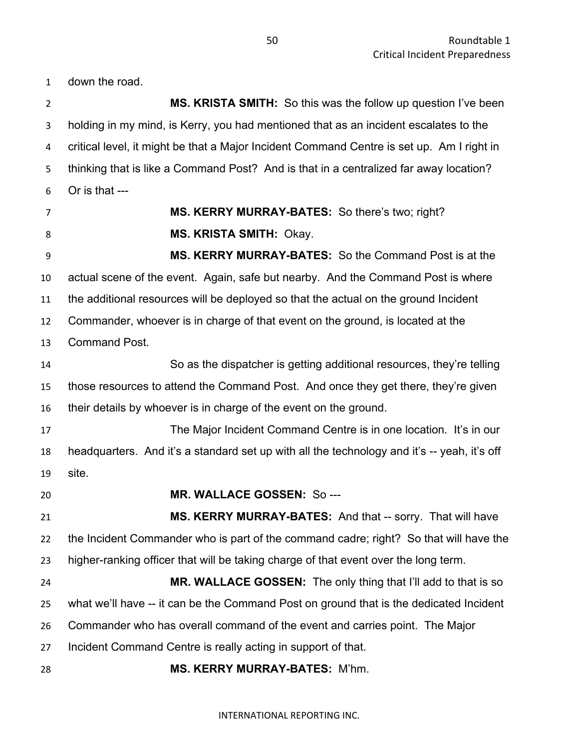down the road.

 **MS. KRISTA SMITH:** So this was the follow up question I've been holding in my mind, is Kerry, you had mentioned that as an incident escalates to the critical level, it might be that a Major Incident Command Centre is set up. Am I right in thinking that is like a Command Post? And is that in a centralized far away location? Or is that --- **MS. KERRY MURRAY-BATES:** So there's two; right? **MS. KRISTA SMITH:** Okay. **MS. KERRY MURRAY-BATES:** So the Command Post is at the actual scene of the event. Again, safe but nearby. And the Command Post is where the additional resources will be deployed so that the actual on the ground Incident Commander, whoever is in charge of that event on the ground, is located at the Command Post. So as the dispatcher is getting additional resources, they're telling those resources to attend the Command Post. And once they get there, they're given their details by whoever is in charge of the event on the ground. The Major Incident Command Centre is in one location. It's in our headquarters. And it's a standard set up with all the technology and it's -- yeah, it's off site. **MR. WALLACE GOSSEN:** So --- **MS. KERRY MURRAY-BATES:** And that -- sorry. That will have the Incident Commander who is part of the command cadre; right? So that will have the higher-ranking officer that will be taking charge of that event over the long term. **MR. WALLACE GOSSEN:** The only thing that I'll add to that is so what we'll have -- it can be the Command Post on ground that is the dedicated Incident Commander who has overall command of the event and carries point. The Major Incident Command Centre is really acting in support of that. **MS. KERRY MURRAY-BATES:** M'hm.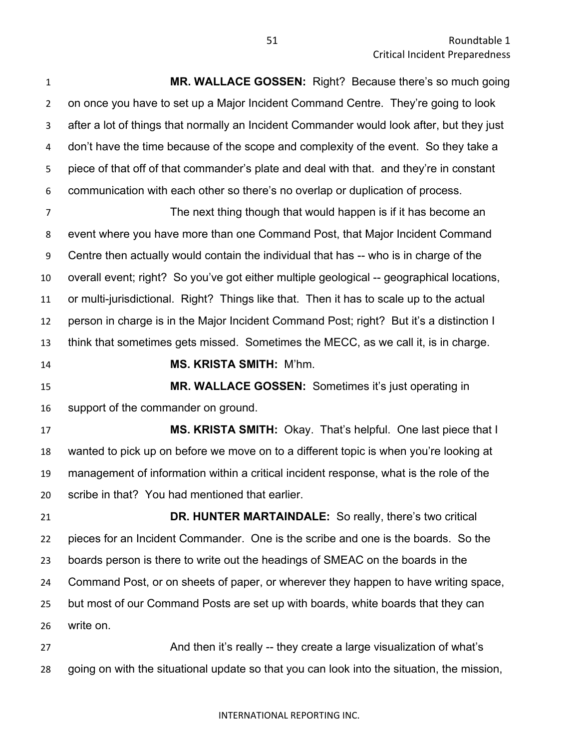**MR. WALLACE GOSSEN:** Right? Because there's so much going on once you have to set up a Major Incident Command Centre. They're going to look after a lot of things that normally an Incident Commander would look after, but they just don't have the time because of the scope and complexity of the event. So they take a piece of that off of that commander's plate and deal with that. and they're in constant communication with each other so there's no overlap or duplication of process. The next thing though that would happen is if it has become an event where you have more than one Command Post, that Major Incident Command Centre then actually would contain the individual that has -- who is in charge of the overall event; right? So you've got either multiple geological -- geographical locations, or multi-jurisdictional. Right? Things like that. Then it has to scale up to the actual person in charge is in the Major Incident Command Post; right? But it's a distinction I think that sometimes gets missed. Sometimes the MECC, as we call it, is in charge. **MS. KRISTA SMITH:** M'hm. **MR. WALLACE GOSSEN:** Sometimes it's just operating in support of the commander on ground. **MS. KRISTA SMITH:** Okay. That's helpful. One last piece that I wanted to pick up on before we move on to a different topic is when you're looking at management of information within a critical incident response, what is the role of the scribe in that? You had mentioned that earlier. **DR. HUNTER MARTAINDALE:** So really, there's two critical pieces for an Incident Commander. One is the scribe and one is the boards. So the boards person is there to write out the headings of SMEAC on the boards in the Command Post, or on sheets of paper, or wherever they happen to have writing space, but most of our Command Posts are set up with boards, white boards that they can write on.

**And then it's really -- they create a large visualization of what's** going on with the situational update so that you can look into the situation, the mission,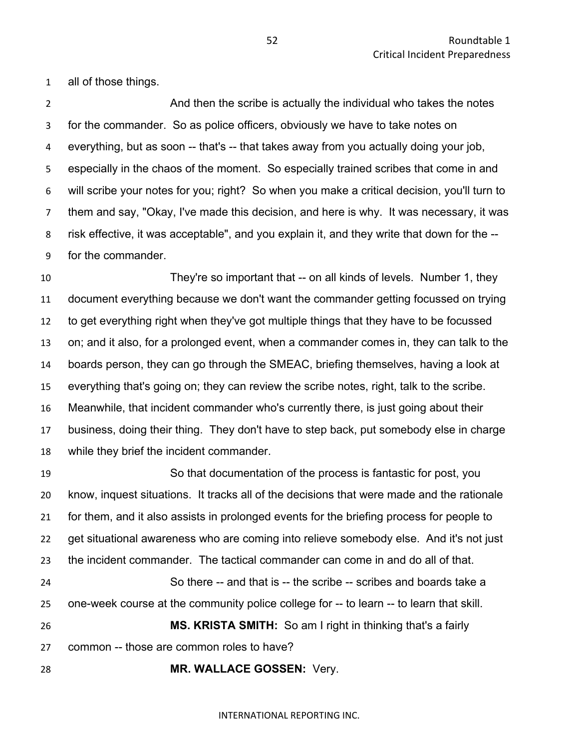all of those things.

2 And then the scribe is actually the individual who takes the notes for the commander. So as police officers, obviously we have to take notes on everything, but as soon -- that's -- that takes away from you actually doing your job, especially in the chaos of the moment. So especially trained scribes that come in and will scribe your notes for you; right? So when you make a critical decision, you'll turn to them and say, "Okay, I've made this decision, and here is why. It was necessary, it was risk effective, it was acceptable", and you explain it, and they write that down for the -- for the commander.

 They're so important that -- on all kinds of levels. Number 1, they document everything because we don't want the commander getting focussed on trying to get everything right when they've got multiple things that they have to be focussed on; and it also, for a prolonged event, when a commander comes in, they can talk to the boards person, they can go through the SMEAC, briefing themselves, having a look at everything that's going on; they can review the scribe notes, right, talk to the scribe. Meanwhile, that incident commander who's currently there, is just going about their business, doing their thing. They don't have to step back, put somebody else in charge while they brief the incident commander.

 So that documentation of the process is fantastic for post, you know, inquest situations. It tracks all of the decisions that were made and the rationale for them, and it also assists in prolonged events for the briefing process for people to get situational awareness who are coming into relieve somebody else. And it's not just the incident commander. The tactical commander can come in and do all of that. So there -- and that is -- the scribe -- scribes and boards take a one-week course at the community police college for -- to learn -- to learn that skill. **MS. KRISTA SMITH:** So am I right in thinking that's a fairly common -- those are common roles to have?

**MR. WALLACE GOSSEN:** Very.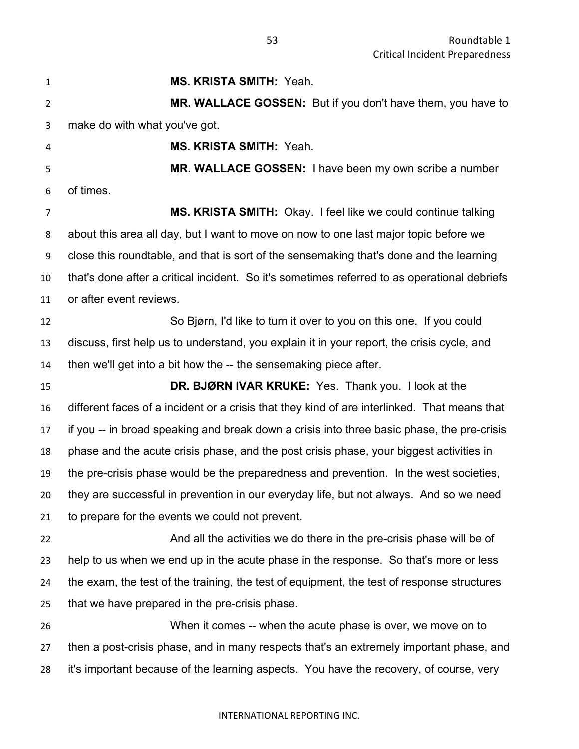**MS. KRISTA SMITH:** Yeah. **MR. WALLACE GOSSEN:** But if you don't have them, you have to make do with what you've got. **MS. KRISTA SMITH:** Yeah. **MR. WALLACE GOSSEN:** I have been my own scribe a number of times. **MS. KRISTA SMITH:** Okay. I feel like we could continue talking about this area all day, but I want to move on now to one last major topic before we close this roundtable, and that is sort of the sensemaking that's done and the learning that's done after a critical incident. So it's sometimes referred to as operational debriefs or after event reviews. So Bjørn, I'd like to turn it over to you on this one. If you could discuss, first help us to understand, you explain it in your report, the crisis cycle, and then we'll get into a bit how the -- the sensemaking piece after. **DR. BJØRN IVAR KRUKE:** Yes. Thank you. I look at the different faces of a incident or a crisis that they kind of are interlinked. That means that if you -- in broad speaking and break down a crisis into three basic phase, the pre-crisis phase and the acute crisis phase, and the post crisis phase, your biggest activities in the pre-crisis phase would be the preparedness and prevention. In the west societies, they are successful in prevention in our everyday life, but not always. And so we need to prepare for the events we could not prevent. And all the activities we do there in the pre-crisis phase will be of help to us when we end up in the acute phase in the response. So that's more or less the exam, the test of the training, the test of equipment, the test of response structures that we have prepared in the pre-crisis phase. When it comes -- when the acute phase is over, we move on to then a post-crisis phase, and in many respects that's an extremely important phase, and it's important because of the learning aspects. You have the recovery, of course, very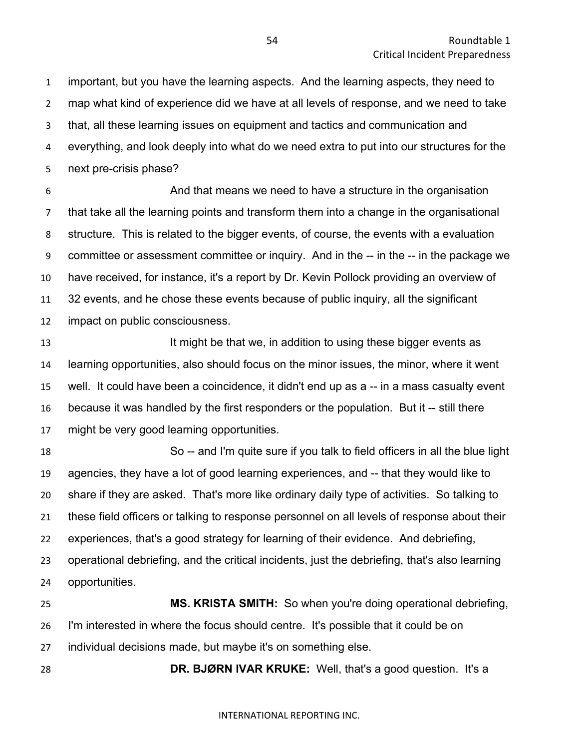important, but you have the learning aspects. And the learning aspects, they need to map what kind of experience did we have at all levels of response, and we need to take that, all these learning issues on equipment and tactics and communication and everything, and look deeply into what do we need extra to put into our structures for the next pre-crisis phase?

 And that means we need to have a structure in the organisation that take all the learning points and transform them into a change in the organisational structure. This is related to the bigger events, of course, the events with a evaluation committee or assessment committee or inquiry. And in the -- in the -- in the package we have received, for instance, it's a report by Dr. Kevin Pollock providing an overview of 32 events, and he chose these events because of public inquiry, all the significant impact on public consciousness.

**It might be that we, in addition to using these bigger events as**  learning opportunities, also should focus on the minor issues, the minor, where it went well. It could have been a coincidence, it didn't end up as a -- in a mass casualty event because it was handled by the first responders or the population. But it -- still there might be very good learning opportunities.

 So -- and I'm quite sure if you talk to field officers in all the blue light agencies, they have a lot of good learning experiences, and -- that they would like to share if they are asked. That's more like ordinary daily type of activities. So talking to these field officers or talking to response personnel on all levels of response about their experiences, that's a good strategy for learning of their evidence. And debriefing, operational debriefing, and the critical incidents, just the debriefing, that's also learning opportunities.

 **MS. KRISTA SMITH:** So when you're doing operational debriefing, I'm interested in where the focus should centre. It's possible that it could be on individual decisions made, but maybe it's on something else.

**DR. BJØRN IVAR KRUKE:** Well, that's a good question. It's a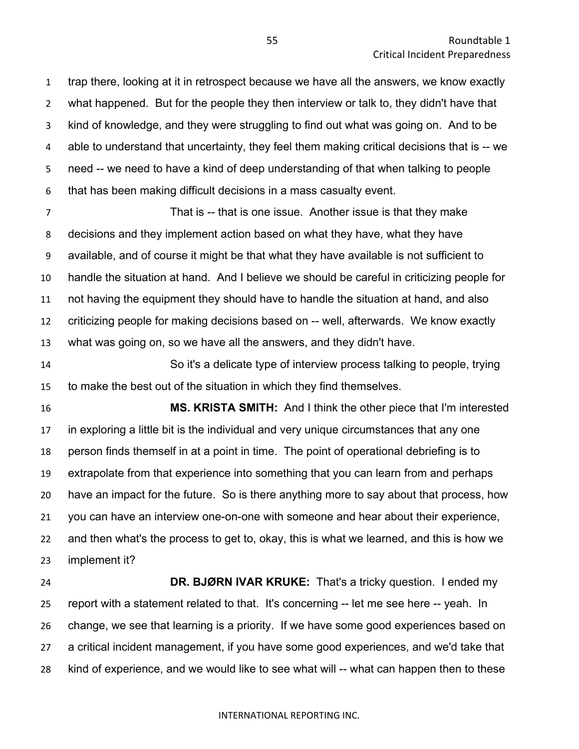trap there, looking at it in retrospect because we have all the answers, we know exactly what happened. But for the people they then interview or talk to, they didn't have that kind of knowledge, and they were struggling to find out what was going on. And to be able to understand that uncertainty, they feel them making critical decisions that is -- we need -- we need to have a kind of deep understanding of that when talking to people that has been making difficult decisions in a mass casualty event.

 That is -- that is one issue. Another issue is that they make decisions and they implement action based on what they have, what they have available, and of course it might be that what they have available is not sufficient to handle the situation at hand. And I believe we should be careful in criticizing people for not having the equipment they should have to handle the situation at hand, and also criticizing people for making decisions based on -- well, afterwards. We know exactly what was going on, so we have all the answers, and they didn't have.

 So it's a delicate type of interview process talking to people, trying to make the best out of the situation in which they find themselves.

 **MS. KRISTA SMITH:** And I think the other piece that I'm interested in exploring a little bit is the individual and very unique circumstances that any one person finds themself in at a point in time. The point of operational debriefing is to extrapolate from that experience into something that you can learn from and perhaps have an impact for the future. So is there anything more to say about that process, how you can have an interview one-on-one with someone and hear about their experience, and then what's the process to get to, okay, this is what we learned, and this is how we implement it?

 **DR. BJØRN IVAR KRUKE:** That's a tricky question. I ended my report with a statement related to that. It's concerning -- let me see here -- yeah. In change, we see that learning is a priority. If we have some good experiences based on a critical incident management, if you have some good experiences, and we'd take that kind of experience, and we would like to see what will -- what can happen then to these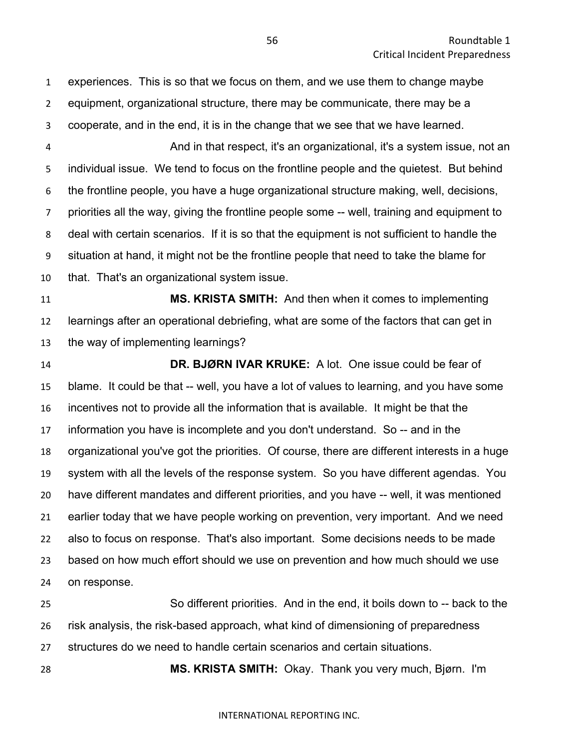experiences. This is so that we focus on them, and we use them to change maybe equipment, organizational structure, there may be communicate, there may be a cooperate, and in the end, it is in the change that we see that we have learned.

 And in that respect, it's an organizational, it's a system issue, not an individual issue. We tend to focus on the frontline people and the quietest. But behind the frontline people, you have a huge organizational structure making, well, decisions, priorities all the way, giving the frontline people some -- well, training and equipment to deal with certain scenarios. If it is so that the equipment is not sufficient to handle the situation at hand, it might not be the frontline people that need to take the blame for that. That's an organizational system issue.

 **MS. KRISTA SMITH:** And then when it comes to implementing learnings after an operational debriefing, what are some of the factors that can get in the way of implementing learnings?

 **DR. BJØRN IVAR KRUKE:** A lot. One issue could be fear of blame. It could be that -- well, you have a lot of values to learning, and you have some incentives not to provide all the information that is available. It might be that the information you have is incomplete and you don't understand. So -- and in the organizational you've got the priorities. Of course, there are different interests in a huge system with all the levels of the response system. So you have different agendas. You have different mandates and different priorities, and you have -- well, it was mentioned earlier today that we have people working on prevention, very important. And we need also to focus on response. That's also important. Some decisions needs to be made based on how much effort should we use on prevention and how much should we use on response.

 So different priorities. And in the end, it boils down to -- back to the risk analysis, the risk-based approach, what kind of dimensioning of preparedness structures do we need to handle certain scenarios and certain situations.

**MS. KRISTA SMITH:** Okay. Thank you very much, Bjørn. I'm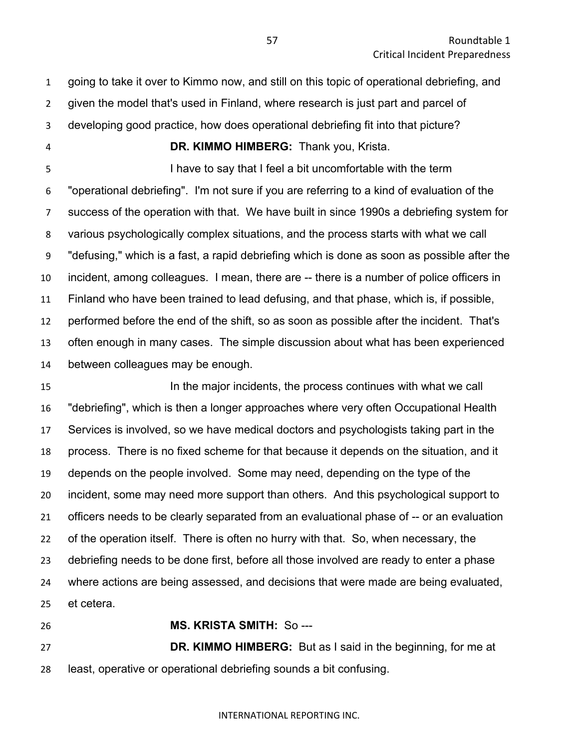going to take it over to Kimmo now, and still on this topic of operational debriefing, and

given the model that's used in Finland, where research is just part and parcel of

- developing good practice, how does operational debriefing fit into that picture?
- 

**DR. KIMMO HIMBERG:** Thank you, Krista.

 I have to say that I feel a bit uncomfortable with the term "operational debriefing". I'm not sure if you are referring to a kind of evaluation of the success of the operation with that. We have built in since 1990s a debriefing system for various psychologically complex situations, and the process starts with what we call "defusing," which is a fast, a rapid debriefing which is done as soon as possible after the incident, among colleagues. I mean, there are -- there is a number of police officers in Finland who have been trained to lead defusing, and that phase, which is, if possible, performed before the end of the shift, so as soon as possible after the incident. That's often enough in many cases. The simple discussion about what has been experienced between colleagues may be enough.

 In the major incidents, the process continues with what we call "debriefing", which is then a longer approaches where very often Occupational Health Services is involved, so we have medical doctors and psychologists taking part in the process. There is no fixed scheme for that because it depends on the situation, and it depends on the people involved. Some may need, depending on the type of the incident, some may need more support than others. And this psychological support to officers needs to be clearly separated from an evaluational phase of -- or an evaluation of the operation itself. There is often no hurry with that. So, when necessary, the debriefing needs to be done first, before all those involved are ready to enter a phase where actions are being assessed, and decisions that were made are being evaluated, et cetera.

**MS. KRISTA SMITH:** So ---

 **DR. KIMMO HIMBERG:** But as I said in the beginning, for me at least, operative or operational debriefing sounds a bit confusing.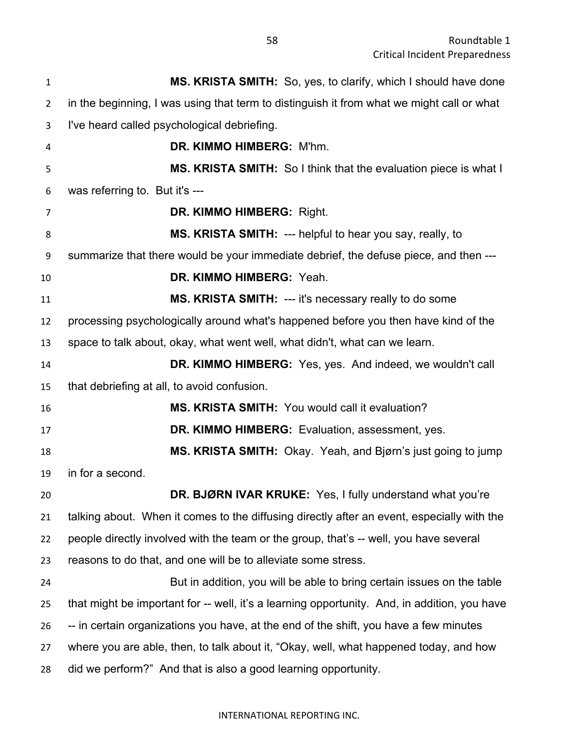**MS. KRISTA SMITH:** So, yes, to clarify, which I should have done in the beginning, I was using that term to distinguish it from what we might call or what I've heard called psychological debriefing. **DR. KIMMO HIMBERG:** M'hm. **MS. KRISTA SMITH:** So I think that the evaluation piece is what I was referring to. But it's --- **DR. KIMMO HIMBERG:** Right. **MS. KRISTA SMITH:** --- helpful to hear you say, really, to summarize that there would be your immediate debrief, the defuse piece, and then --- **DR. KIMMO HIMBERG:** Yeah. **MS. KRISTA SMITH:** --- it's necessary really to do some processing psychologically around what's happened before you then have kind of the space to talk about, okay, what went well, what didn't, what can we learn. **DR. KIMMO HIMBERG:** Yes, yes. And indeed, we wouldn't call that debriefing at all, to avoid confusion. **MS. KRISTA SMITH:** You would call it evaluation? **DR. KIMMO HIMBERG:** Evaluation, assessment, yes. **MS. KRISTA SMITH:** Okay. Yeah, and Bjørn's just going to jump in for a second. **DR. BJØRN IVAR KRUKE:** Yes, I fully understand what you're talking about. When it comes to the diffusing directly after an event, especially with the people directly involved with the team or the group, that's -- well, you have several reasons to do that, and one will be to alleviate some stress. But in addition, you will be able to bring certain issues on the table that might be important for -- well, it's a learning opportunity. And, in addition, you have -- in certain organizations you have, at the end of the shift, you have a few minutes where you are able, then, to talk about it, "Okay, well, what happened today, and how did we perform?" And that is also a good learning opportunity.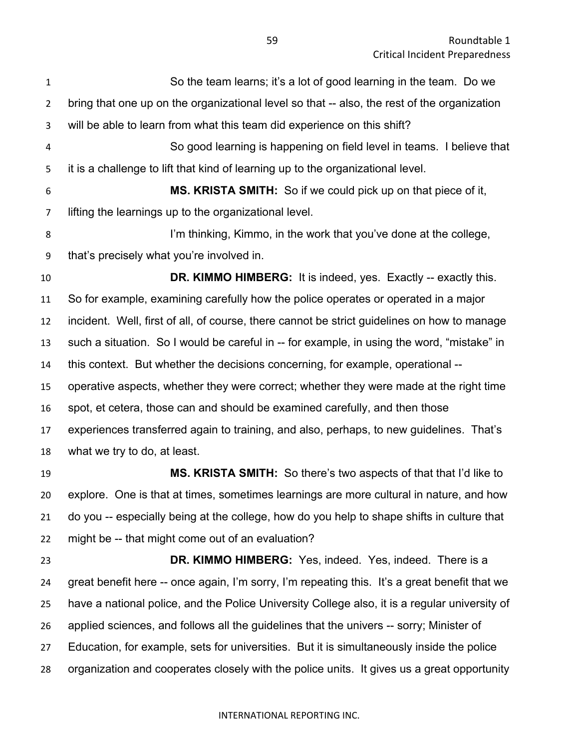| $\mathbf{1}$   | So the team learns; it's a lot of good learning in the team. Do we                            |
|----------------|-----------------------------------------------------------------------------------------------|
| $\overline{2}$ | bring that one up on the organizational level so that -- also, the rest of the organization   |
| 3              | will be able to learn from what this team did experience on this shift?                       |
| 4              | So good learning is happening on field level in teams. I believe that                         |
| 5              | it is a challenge to lift that kind of learning up to the organizational level.               |
| 6              | MS. KRISTA SMITH: So if we could pick up on that piece of it,                                 |
| 7              | lifting the learnings up to the organizational level.                                         |
| 8              | I'm thinking, Kimmo, in the work that you've done at the college,                             |
| 9              | that's precisely what you're involved in.                                                     |
| 10             | <b>DR. KIMMO HIMBERG:</b> It is indeed, yes. Exactly -- exactly this.                         |
| 11             | So for example, examining carefully how the police operates or operated in a major            |
| 12             | incident. Well, first of all, of course, there cannot be strict guidelines on how to manage   |
| 13             | such a situation. So I would be careful in -- for example, in using the word, "mistake" in    |
| 14             | this context. But whether the decisions concerning, for example, operational --               |
| 15             | operative aspects, whether they were correct; whether they were made at the right time        |
| 16             | spot, et cetera, those can and should be examined carefully, and then those                   |
| 17             | experiences transferred again to training, and also, perhaps, to new guidelines. That's       |
| 18             | what we try to do, at least.                                                                  |
| 19             | <b>MS. KRISTA SMITH:</b> So there's two aspects of that that I'd like to                      |
| 20             | explore. One is that at times, sometimes learnings are more cultural in nature, and how       |
| 21             | do you -- especially being at the college, how do you help to shape shifts in culture that    |
| 22             | might be -- that might come out of an evaluation?                                             |
| 23             | DR. KIMMO HIMBERG: Yes, indeed. Yes, indeed. There is a                                       |
| 24             | great benefit here -- once again, I'm sorry, I'm repeating this. It's a great benefit that we |
| 25             | have a national police, and the Police University College also, it is a regular university of |

applied sciences, and follows all the guidelines that the univers -- sorry; Minister of

Education, for example, sets for universities. But it is simultaneously inside the police

organization and cooperates closely with the police units. It gives us a great opportunity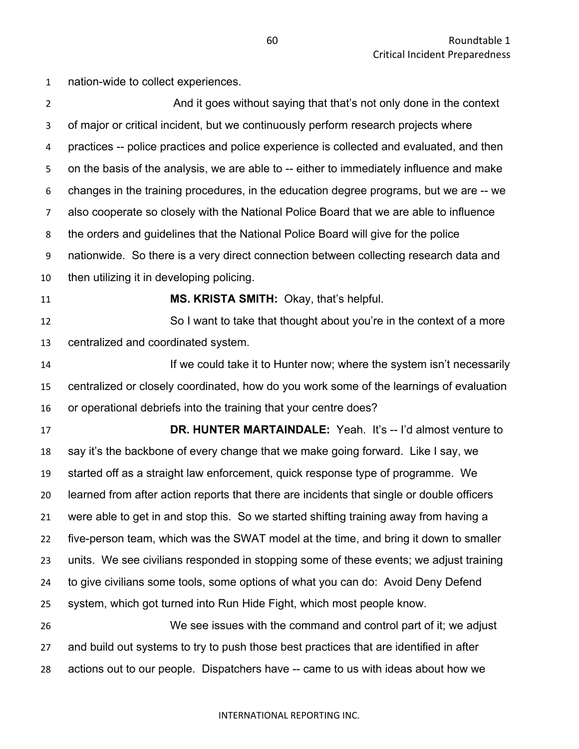nation-wide to collect experiences.

2 And it goes without saying that that's not only done in the context of major or critical incident, but we continuously perform research projects where practices -- police practices and police experience is collected and evaluated, and then on the basis of the analysis, we are able to -- either to immediately influence and make changes in the training procedures, in the education degree programs, but we are -- we also cooperate so closely with the National Police Board that we are able to influence the orders and guidelines that the National Police Board will give for the police nationwide. So there is a very direct connection between collecting research data and then utilizing it in developing policing. **MS. KRISTA SMITH:** Okay, that's helpful. So I want to take that thought about you're in the context of a more centralized and coordinated system. **If we could take it to Hunter now; where the system isn't necessarily**  centralized or closely coordinated, how do you work some of the learnings of evaluation or operational debriefs into the training that your centre does? **DR. HUNTER MARTAINDALE:** Yeah. It's -- I'd almost venture to say it's the backbone of every change that we make going forward. Like I say, we started off as a straight law enforcement, quick response type of programme. We learned from after action reports that there are incidents that single or double officers were able to get in and stop this. So we started shifting training away from having a five-person team, which was the SWAT model at the time, and bring it down to smaller units. We see civilians responded in stopping some of these events; we adjust training to give civilians some tools, some options of what you can do: Avoid Deny Defend system, which got turned into Run Hide Fight, which most people know. We see issues with the command and control part of it; we adjust and build out systems to try to push those best practices that are identified in after actions out to our people. Dispatchers have -- came to us with ideas about how we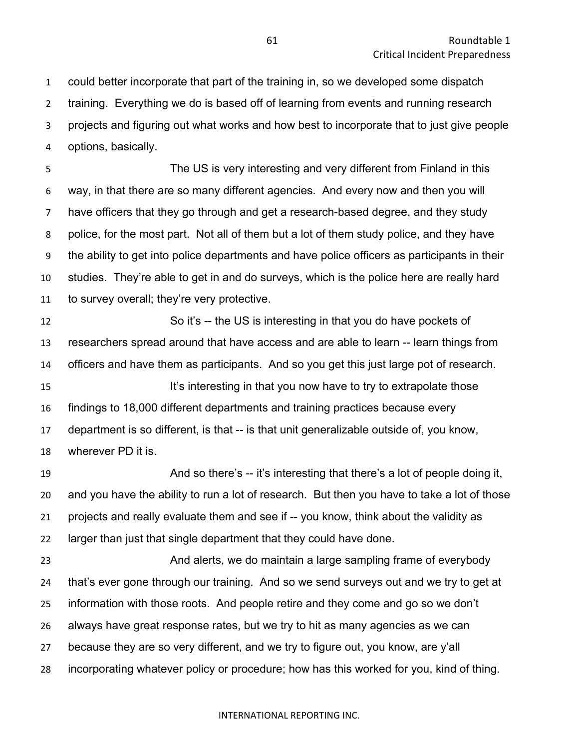could better incorporate that part of the training in, so we developed some dispatch training. Everything we do is based off of learning from events and running research projects and figuring out what works and how best to incorporate that to just give people options, basically.

 The US is very interesting and very different from Finland in this way, in that there are so many different agencies. And every now and then you will have officers that they go through and get a research-based degree, and they study police, for the most part. Not all of them but a lot of them study police, and they have the ability to get into police departments and have police officers as participants in their studies. They're able to get in and do surveys, which is the police here are really hard to survey overall; they're very protective.

 So it's -- the US is interesting in that you do have pockets of researchers spread around that have access and are able to learn -- learn things from officers and have them as participants. And so you get this just large pot of research. It's interesting in that you now have to try to extrapolate those findings to 18,000 different departments and training practices because every department is so different, is that -- is that unit generalizable outside of, you know, wherever PD it is.

 And so there's -- it's interesting that there's a lot of people doing it, and you have the ability to run a lot of research. But then you have to take a lot of those projects and really evaluate them and see if -- you know, think about the validity as larger than just that single department that they could have done.

 And alerts, we do maintain a large sampling frame of everybody that's ever gone through our training. And so we send surveys out and we try to get at information with those roots. And people retire and they come and go so we don't always have great response rates, but we try to hit as many agencies as we can because they are so very different, and we try to figure out, you know, are y'all incorporating whatever policy or procedure; how has this worked for you, kind of thing.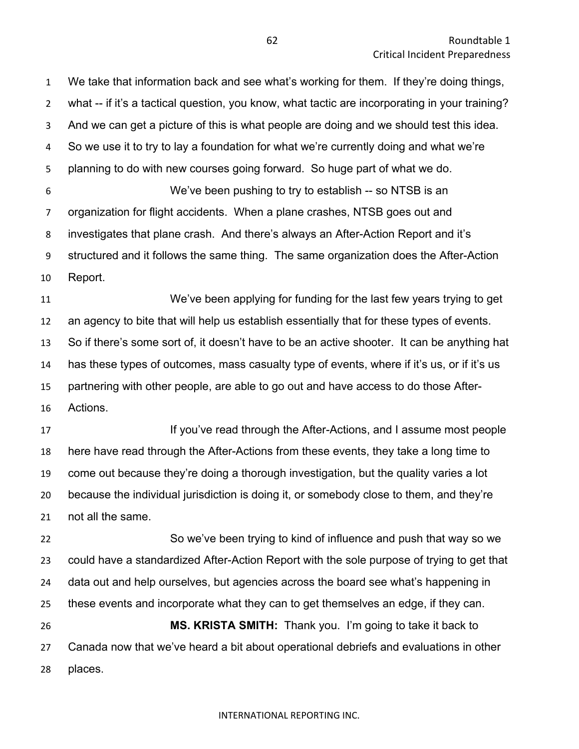We take that information back and see what's working for them. If they're doing things, what -- if it's a tactical question, you know, what tactic are incorporating in your training? And we can get a picture of this is what people are doing and we should test this idea. So we use it to try to lay a foundation for what we're currently doing and what we're planning to do with new courses going forward. So huge part of what we do. We've been pushing to try to establish -- so NTSB is an organization for flight accidents. When a plane crashes, NTSB goes out and investigates that plane crash. And there's always an After-Action Report and it's structured and it follows the same thing. The same organization does the After-Action Report. We've been applying for funding for the last few years trying to get an agency to bite that will help us establish essentially that for these types of events. So if there's some sort of, it doesn't have to be an active shooter. It can be anything hat has these types of outcomes, mass casualty type of events, where if it's us, or if it's us partnering with other people, are able to go out and have access to do those After- Actions. **If you've read through the After-Actions, and I assume most people**  here have read through the After-Actions from these events, they take a long time to come out because they're doing a thorough investigation, but the quality varies a lot because the individual jurisdiction is doing it, or somebody close to them, and they're not all the same. So we've been trying to kind of influence and push that way so we could have a standardized After-Action Report with the sole purpose of trying to get that data out and help ourselves, but agencies across the board see what's happening in these events and incorporate what they can to get themselves an edge, if they can. **MS. KRISTA SMITH:** Thank you. I'm going to take it back to

 Canada now that we've heard a bit about operational debriefs and evaluations in other places.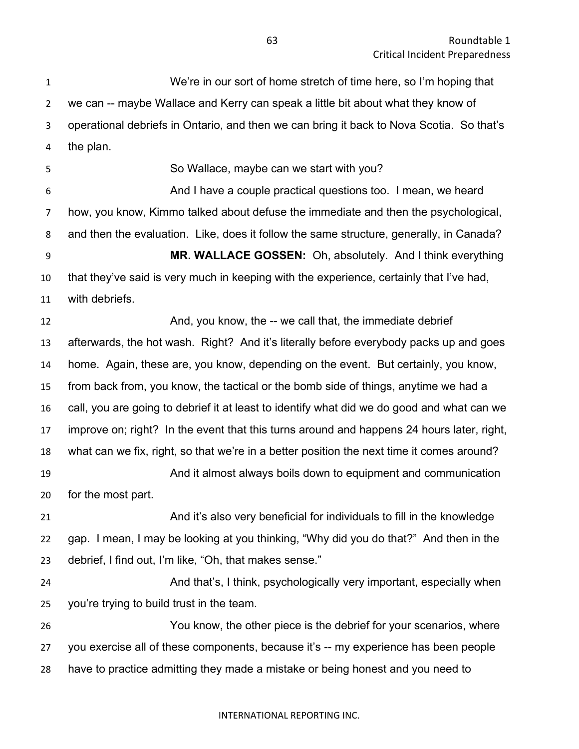We're in our sort of home stretch of time here, so I'm hoping that we can -- maybe Wallace and Kerry can speak a little bit about what they know of operational debriefs in Ontario, and then we can bring it back to Nova Scotia. So that's the plan. So Wallace, maybe can we start with you? And I have a couple practical questions too. I mean, we heard how, you know, Kimmo talked about defuse the immediate and then the psychological, and then the evaluation. Like, does it follow the same structure, generally, in Canada? **MR. WALLACE GOSSEN:** Oh, absolutely. And I think everything that they've said is very much in keeping with the experience, certainly that I've had, with debriefs. **And, you know, the -- we call that, the immediate debrief**  afterwards, the hot wash. Right? And it's literally before everybody packs up and goes home. Again, these are, you know, depending on the event. But certainly, you know, from back from, you know, the tactical or the bomb side of things, anytime we had a call, you are going to debrief it at least to identify what did we do good and what can we improve on; right? In the event that this turns around and happens 24 hours later, right, what can we fix, right, so that we're in a better position the next time it comes around? And it almost always boils down to equipment and communication for the most part. And it's also very beneficial for individuals to fill in the knowledge gap. I mean, I may be looking at you thinking, "Why did you do that?" And then in the debrief, I find out, I'm like, "Oh, that makes sense." And that's, I think, psychologically very important, especially when you're trying to build trust in the team. You know, the other piece is the debrief for your scenarios, where you exercise all of these components, because it's -- my experience has been people have to practice admitting they made a mistake or being honest and you need to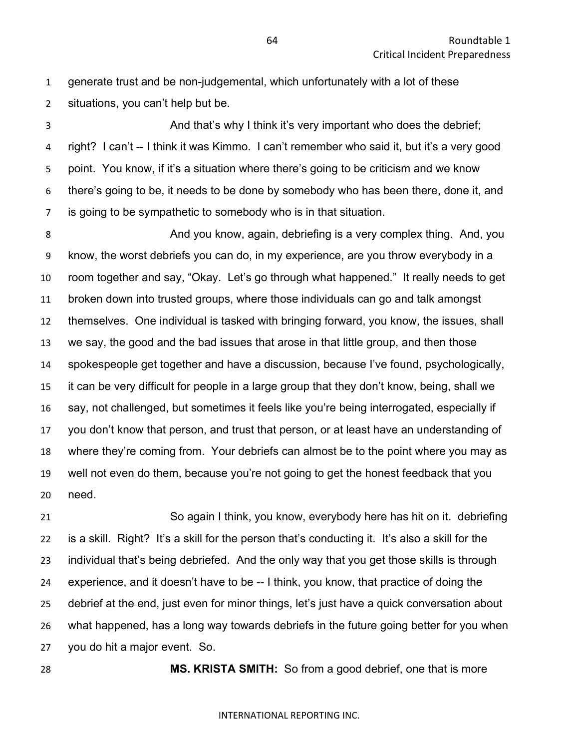generate trust and be non-judgemental, which unfortunately with a lot of these situations, you can't help but be.

 And that's why I think it's very important who does the debrief; right? I can't -- I think it was Kimmo. I can't remember who said it, but it's a very good point. You know, if it's a situation where there's going to be criticism and we know there's going to be, it needs to be done by somebody who has been there, done it, and is going to be sympathetic to somebody who is in that situation.

 And you know, again, debriefing is a very complex thing. And, you know, the worst debriefs you can do, in my experience, are you throw everybody in a room together and say, "Okay. Let's go through what happened." It really needs to get broken down into trusted groups, where those individuals can go and talk amongst themselves. One individual is tasked with bringing forward, you know, the issues, shall we say, the good and the bad issues that arose in that little group, and then those spokespeople get together and have a discussion, because I've found, psychologically, it can be very difficult for people in a large group that they don't know, being, shall we say, not challenged, but sometimes it feels like you're being interrogated, especially if you don't know that person, and trust that person, or at least have an understanding of where they're coming from. Your debriefs can almost be to the point where you may as well not even do them, because you're not going to get the honest feedback that you need.

 So again I think, you know, everybody here has hit on it. debriefing is a skill. Right? It's a skill for the person that's conducting it. It's also a skill for the individual that's being debriefed. And the only way that you get those skills is through experience, and it doesn't have to be -- I think, you know, that practice of doing the debrief at the end, just even for minor things, let's just have a quick conversation about what happened, has a long way towards debriefs in the future going better for you when you do hit a major event. So.

**MS. KRISTA SMITH:** So from a good debrief, one that is more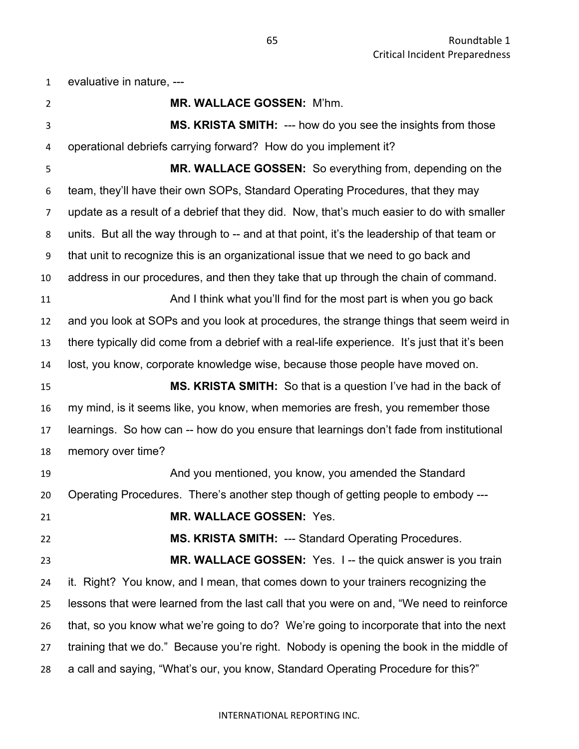evaluative in nature, --- **MR. WALLACE GOSSEN:** M'hm. **MS. KRISTA SMITH:** --- how do you see the insights from those operational debriefs carrying forward? How do you implement it? **MR. WALLACE GOSSEN:** So everything from, depending on the team, they'll have their own SOPs, Standard Operating Procedures, that they may update as a result of a debrief that they did. Now, that's much easier to do with smaller units. But all the way through to -- and at that point, it's the leadership of that team or that unit to recognize this is an organizational issue that we need to go back and address in our procedures, and then they take that up through the chain of command. **And I think what you'll find for the most part is when you go back**  and you look at SOPs and you look at procedures, the strange things that seem weird in there typically did come from a debrief with a real-life experience. It's just that it's been lost, you know, corporate knowledge wise, because those people have moved on. **MS. KRISTA SMITH:** So that is a question I've had in the back of my mind, is it seems like, you know, when memories are fresh, you remember those learnings. So how can -- how do you ensure that learnings don't fade from institutional memory over time? And you mentioned, you know, you amended the Standard Operating Procedures. There's another step though of getting people to embody --- **MR. WALLACE GOSSEN:** Yes. **MS. KRISTA SMITH:** --- Standard Operating Procedures. **MR. WALLACE GOSSEN:** Yes. I -- the quick answer is you train it. Right? You know, and I mean, that comes down to your trainers recognizing the lessons that were learned from the last call that you were on and, "We need to reinforce that, so you know what we're going to do? We're going to incorporate that into the next training that we do." Because you're right. Nobody is opening the book in the middle of a call and saying, "What's our, you know, Standard Operating Procedure for this?"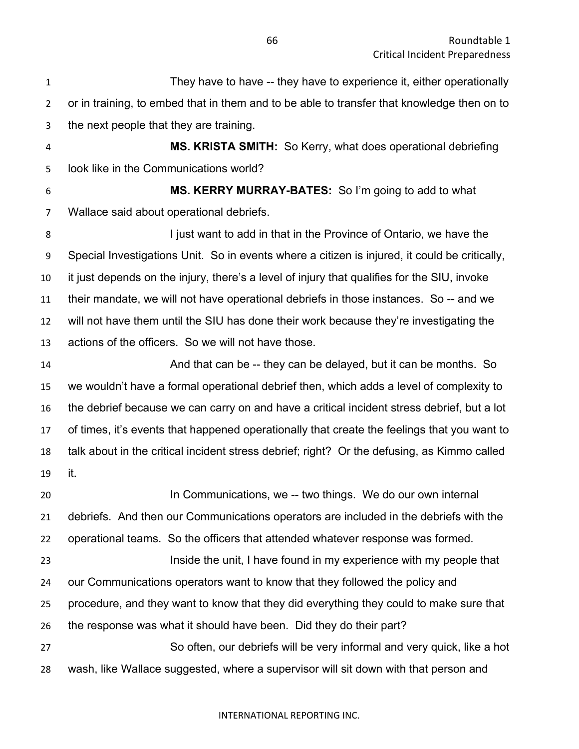| $\mathbf{1}$   | They have to have -- they have to experience it, either operationally                         |
|----------------|-----------------------------------------------------------------------------------------------|
| $\overline{2}$ | or in training, to embed that in them and to be able to transfer that knowledge then on to    |
| 3              | the next people that they are training.                                                       |
| 4              | MS. KRISTA SMITH: So Kerry, what does operational debriefing                                  |
| 5              | look like in the Communications world?                                                        |
| 6              | MS. KERRY MURRAY-BATES: So I'm going to add to what                                           |
| 7              | Wallace said about operational debriefs.                                                      |
| 8              | I just want to add in that in the Province of Ontario, we have the                            |
| 9              | Special Investigations Unit. So in events where a citizen is injured, it could be critically, |
| 10             | it just depends on the injury, there's a level of injury that qualifies for the SIU, invoke   |
| 11             | their mandate, we will not have operational debriefs in those instances. So -- and we         |
| 12             | will not have them until the SIU has done their work because they're investigating the        |
| 13             | actions of the officers. So we will not have those.                                           |
| 14             | And that can be -- they can be delayed, but it can be months. So                              |
| 15             | we wouldn't have a formal operational debrief then, which adds a level of complexity to       |
| 16             | the debrief because we can carry on and have a critical incident stress debrief, but a lot    |
| 17             | of times, it's events that happened operationally that create the feelings that you want to   |
| 18             | talk about in the critical incident stress debrief; right? Or the defusing, as Kimmo called   |
| 19             | it.                                                                                           |
| 20             | In Communications, we -- two things. We do our own internal                                   |
| 21             | debriefs. And then our Communications operators are included in the debriefs with the         |
| 22             | operational teams. So the officers that attended whatever response was formed.                |
| 23             | Inside the unit, I have found in my experience with my people that                            |
| 24             | our Communications operators want to know that they followed the policy and                   |
| 25             | procedure, and they want to know that they did everything they could to make sure that        |
| 26             | the response was what it should have been. Did they do their part?                            |
| 27             | So often, our debriefs will be very informal and very quick, like a hot                       |
| 28             | wash, like Wallace suggested, where a supervisor will sit down with that person and           |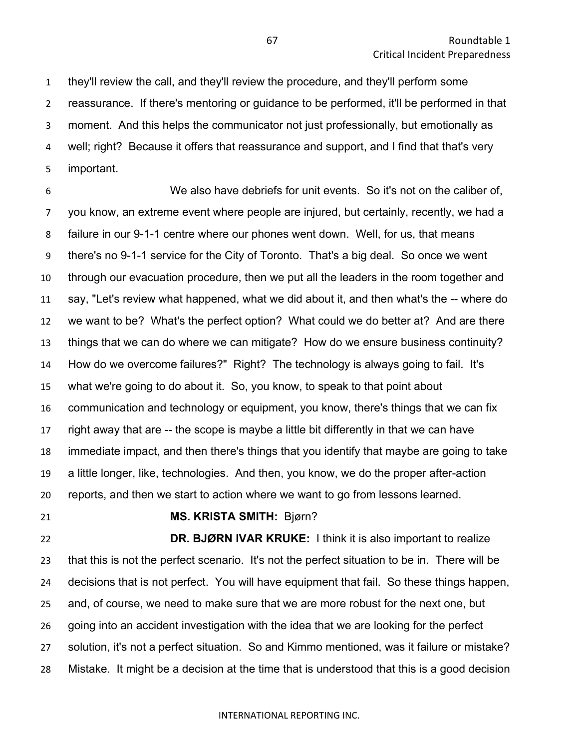they'll review the call, and they'll review the procedure, and they'll perform some reassurance. If there's mentoring or guidance to be performed, it'll be performed in that moment. And this helps the communicator not just professionally, but emotionally as well; right? Because it offers that reassurance and support, and I find that that's very important.

 We also have debriefs for unit events. So it's not on the caliber of, you know, an extreme event where people are injured, but certainly, recently, we had a failure in our 9-1-1 centre where our phones went down. Well, for us, that means there's no 9-1-1 service for the City of Toronto. That's a big deal. So once we went through our evacuation procedure, then we put all the leaders in the room together and say, "Let's review what happened, what we did about it, and then what's the -- where do we want to be? What's the perfect option? What could we do better at? And are there things that we can do where we can mitigate? How do we ensure business continuity? How do we overcome failures?" Right? The technology is always going to fail. It's what we're going to do about it. So, you know, to speak to that point about communication and technology or equipment, you know, there's things that we can fix right away that are -- the scope is maybe a little bit differently in that we can have immediate impact, and then there's things that you identify that maybe are going to take a little longer, like, technologies. And then, you know, we do the proper after-action reports, and then we start to action where we want to go from lessons learned.

# **MS. KRISTA SMITH:** Bjørn?

 **DR. BJØRN IVAR KRUKE:** I think it is also important to realize that this is not the perfect scenario. It's not the perfect situation to be in. There will be decisions that is not perfect. You will have equipment that fail. So these things happen, and, of course, we need to make sure that we are more robust for the next one, but going into an accident investigation with the idea that we are looking for the perfect solution, it's not a perfect situation. So and Kimmo mentioned, was it failure or mistake? Mistake. It might be a decision at the time that is understood that this is a good decision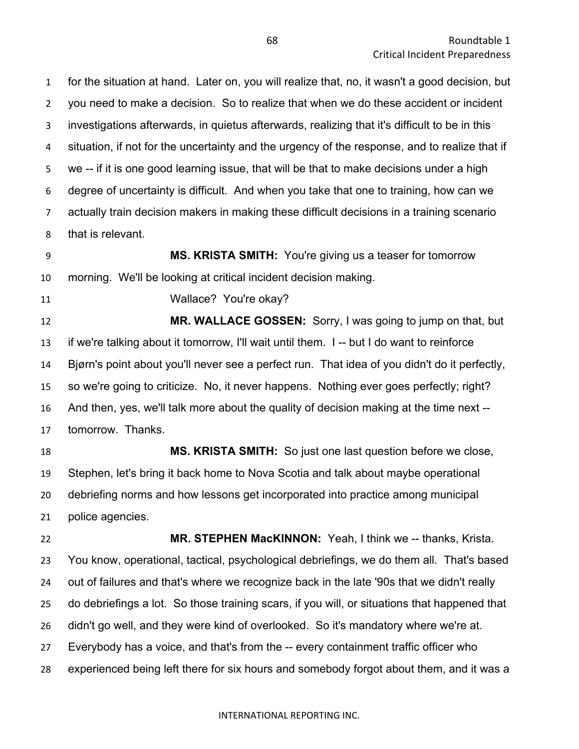for the situation at hand. Later on, you will realize that, no, it wasn't a good decision, but you need to make a decision. So to realize that when we do these accident or incident investigations afterwards, in quietus afterwards, realizing that it's difficult to be in this situation, if not for the uncertainty and the urgency of the response, and to realize that if we -- if it is one good learning issue, that will be that to make decisions under a high degree of uncertainty is difficult. And when you take that one to training, how can we actually train decision makers in making these difficult decisions in a training scenario that is relevant.

 **MS. KRISTA SMITH:** You're giving us a teaser for tomorrow morning. We'll be looking at critical incident decision making.

Wallace? You're okay?

 **MR. WALLACE GOSSEN:** Sorry, I was going to jump on that, but if we're talking about it tomorrow, I'll wait until them. I -- but I do want to reinforce Bjørn's point about you'll never see a perfect run. That idea of you didn't do it perfectly, so we're going to criticize. No, it never happens. Nothing ever goes perfectly; right? And then, yes, we'll talk more about the quality of decision making at the time next -- tomorrow. Thanks.

 **MS. KRISTA SMITH:** So just one last question before we close, Stephen, let's bring it back home to Nova Scotia and talk about maybe operational debriefing norms and how lessons get incorporated into practice among municipal police agencies.

 **MR. STEPHEN MacKINNON:** Yeah, I think we -- thanks, Krista. You know, operational, tactical, psychological debriefings, we do them all. That's based out of failures and that's where we recognize back in the late '90s that we didn't really do debriefings a lot. So those training scars, if you will, or situations that happened that didn't go well, and they were kind of overlooked. So it's mandatory where we're at. Everybody has a voice, and that's from the -- every containment traffic officer who experienced being left there for six hours and somebody forgot about them, and it was a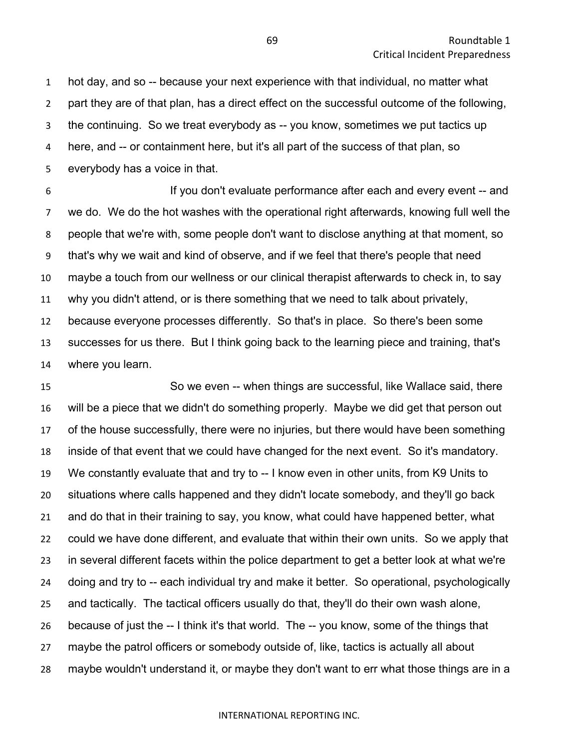hot day, and so -- because your next experience with that individual, no matter what part they are of that plan, has a direct effect on the successful outcome of the following, the continuing. So we treat everybody as -- you know, sometimes we put tactics up here, and -- or containment here, but it's all part of the success of that plan, so everybody has a voice in that.

 If you don't evaluate performance after each and every event -- and we do. We do the hot washes with the operational right afterwards, knowing full well the people that we're with, some people don't want to disclose anything at that moment, so that's why we wait and kind of observe, and if we feel that there's people that need maybe a touch from our wellness or our clinical therapist afterwards to check in, to say why you didn't attend, or is there something that we need to talk about privately, because everyone processes differently. So that's in place. So there's been some successes for us there. But I think going back to the learning piece and training, that's where you learn.

 So we even -- when things are successful, like Wallace said, there will be a piece that we didn't do something properly. Maybe we did get that person out of the house successfully, there were no injuries, but there would have been something inside of that event that we could have changed for the next event. So it's mandatory. We constantly evaluate that and try to -- I know even in other units, from K9 Units to situations where calls happened and they didn't locate somebody, and they'll go back and do that in their training to say, you know, what could have happened better, what could we have done different, and evaluate that within their own units. So we apply that in several different facets within the police department to get a better look at what we're doing and try to -- each individual try and make it better. So operational, psychologically and tactically. The tactical officers usually do that, they'll do their own wash alone, because of just the -- I think it's that world. The -- you know, some of the things that maybe the patrol officers or somebody outside of, like, tactics is actually all about maybe wouldn't understand it, or maybe they don't want to err what those things are in a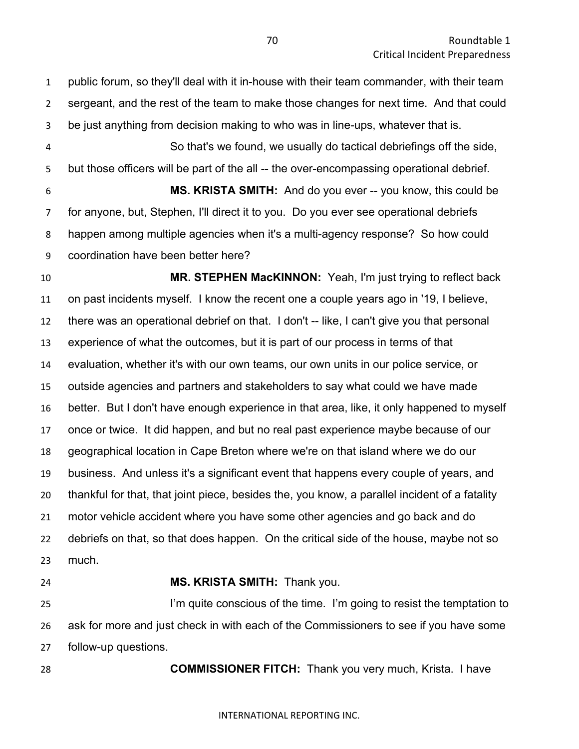public forum, so they'll deal with it in-house with their team commander, with their team sergeant, and the rest of the team to make those changes for next time. And that could be just anything from decision making to who was in line-ups, whatever that is. So that's we found, we usually do tactical debriefings off the side,

5 but those officers will be part of the all -- the over-encompassing operational debrief. **MS. KRISTA SMITH:** And do you ever -- you know, this could be for anyone, but, Stephen, I'll direct it to you. Do you ever see operational debriefs happen among multiple agencies when it's a multi-agency response? So how could coordination have been better here?

 **MR. STEPHEN MacKINNON:** Yeah, I'm just trying to reflect back on past incidents myself. I know the recent one a couple years ago in '19, I believe, there was an operational debrief on that. I don't -- like, I can't give you that personal experience of what the outcomes, but it is part of our process in terms of that evaluation, whether it's with our own teams, our own units in our police service, or outside agencies and partners and stakeholders to say what could we have made better. But I don't have enough experience in that area, like, it only happened to myself once or twice. It did happen, and but no real past experience maybe because of our geographical location in Cape Breton where we're on that island where we do our business. And unless it's a significant event that happens every couple of years, and thankful for that, that joint piece, besides the, you know, a parallel incident of a fatality motor vehicle accident where you have some other agencies and go back and do debriefs on that, so that does happen. On the critical side of the house, maybe not so much.

## **MS. KRISTA SMITH:** Thank you.

 I'm quite conscious of the time. I'm going to resist the temptation to ask for more and just check in with each of the Commissioners to see if you have some follow-up questions.

**COMMISSIONER FITCH:** Thank you very much, Krista. I have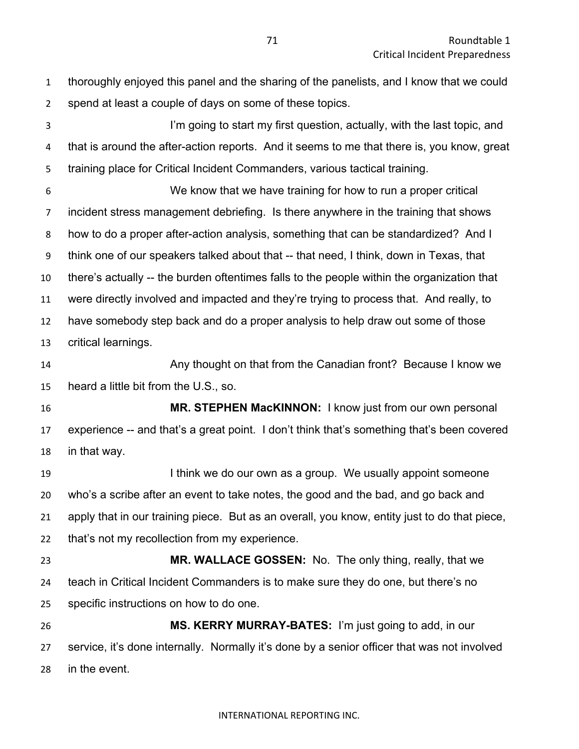| $\mathbf{1}$   | thoroughly enjoyed this panel and the sharing of the panelists, and I know that we could     |
|----------------|----------------------------------------------------------------------------------------------|
| 2              | spend at least a couple of days on some of these topics.                                     |
| 3              | I'm going to start my first question, actually, with the last topic, and                     |
| 4              | that is around the after-action reports. And it seems to me that there is, you know, great   |
| 5              | training place for Critical Incident Commanders, various tactical training.                  |
| 6              | We know that we have training for how to run a proper critical                               |
| $\overline{7}$ | incident stress management debriefing. Is there anywhere in the training that shows          |
| 8              | how to do a proper after-action analysis, something that can be standardized? And I          |
| 9              | think one of our speakers talked about that -- that need, I think, down in Texas, that       |
| 10             | there's actually -- the burden oftentimes falls to the people within the organization that   |
| 11             | were directly involved and impacted and they're trying to process that. And really, to       |
| 12             | have somebody step back and do a proper analysis to help draw out some of those              |
| 13             | critical learnings.                                                                          |
| 14             | Any thought on that from the Canadian front? Because I know we                               |
| 15             | heard a little bit from the U.S., so.                                                        |
| 16             | MR. STEPHEN MacKINNON: I know just from our own personal                                     |
| 17             | experience -- and that's a great point. I don't think that's something that's been covered   |
| 18             | in that way.                                                                                 |
| 19             | I think we do our own as a group. We usually appoint someone                                 |
| 20             | who's a scribe after an event to take notes, the good and the bad, and go back and           |
| 21             | apply that in our training piece. But as an overall, you know, entity just to do that piece, |
| 22             | that's not my recollection from my experience.                                               |
| 23             | MR. WALLACE GOSSEN: No. The only thing, really, that we                                      |
| 24             | teach in Critical Incident Commanders is to make sure they do one, but there's no            |
| 25             | specific instructions on how to do one.                                                      |
| 26             | MS. KERRY MURRAY-BATES: I'm just going to add, in our                                        |
| 27             | service, it's done internally. Normally it's done by a senior officer that was not involved  |
| 28             | in the event.                                                                                |
|                |                                                                                              |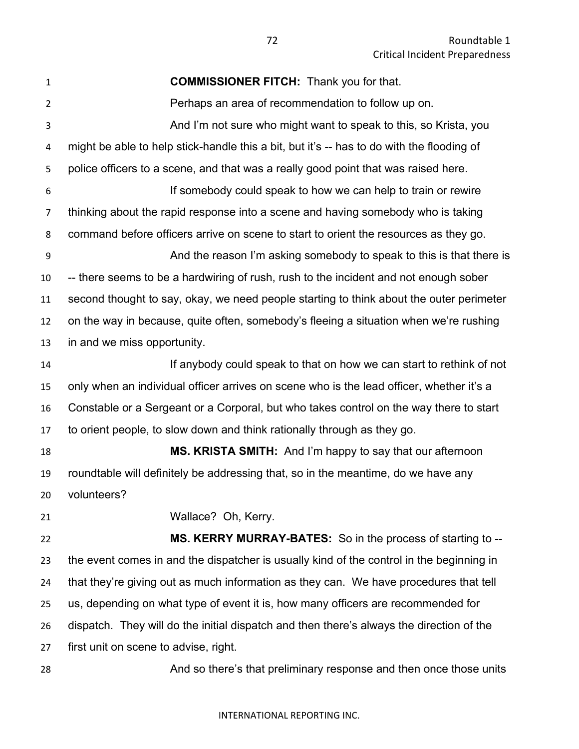**COMMISSIONER FITCH:** Thank you for that. Perhaps an area of recommendation to follow up on. And I'm not sure who might want to speak to this, so Krista, you might be able to help stick-handle this a bit, but it's -- has to do with the flooding of police officers to a scene, and that was a really good point that was raised here. If somebody could speak to how we can help to train or rewire thinking about the rapid response into a scene and having somebody who is taking command before officers arrive on scene to start to orient the resources as they go. And the reason I'm asking somebody to speak to this is that there is -- there seems to be a hardwiring of rush, rush to the incident and not enough sober second thought to say, okay, we need people starting to think about the outer perimeter on the way in because, quite often, somebody's fleeing a situation when we're rushing in and we miss opportunity. If anybody could speak to that on how we can start to rethink of not only when an individual officer arrives on scene who is the lead officer, whether it's a Constable or a Sergeant or a Corporal, but who takes control on the way there to start to orient people, to slow down and think rationally through as they go. **MS. KRISTA SMITH:** And I'm happy to say that our afternoon roundtable will definitely be addressing that, so in the meantime, do we have any volunteers? Wallace? Oh, Kerry. **MS. KERRY MURRAY-BATES:** So in the process of starting to -- the event comes in and the dispatcher is usually kind of the control in the beginning in that they're giving out as much information as they can. We have procedures that tell us, depending on what type of event it is, how many officers are recommended for dispatch. They will do the initial dispatch and then there's always the direction of the first unit on scene to advise, right. 28 And so there's that preliminary response and then once those units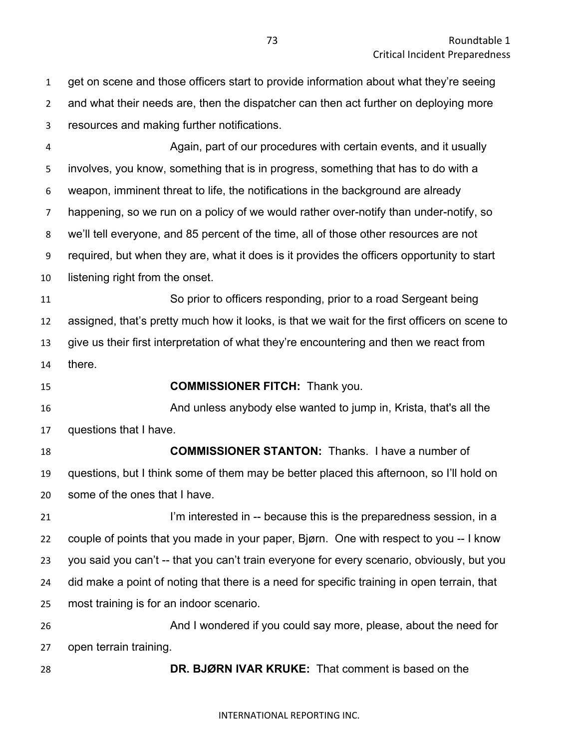get on scene and those officers start to provide information about what they're seeing and what their needs are, then the dispatcher can then act further on deploying more resources and making further notifications.

 Again, part of our procedures with certain events, and it usually involves, you know, something that is in progress, something that has to do with a weapon, imminent threat to life, the notifications in the background are already happening, so we run on a policy of we would rather over-notify than under-notify, so we'll tell everyone, and 85 percent of the time, all of those other resources are not required, but when they are, what it does is it provides the officers opportunity to start listening right from the onset.

 So prior to officers responding, prior to a road Sergeant being assigned, that's pretty much how it looks, is that we wait for the first officers on scene to give us their first interpretation of what they're encountering and then we react from there.

**COMMISSIONER FITCH:** Thank you.

 And unless anybody else wanted to jump in, Krista, that's all the questions that I have.

 **COMMISSIONER STANTON:** Thanks. I have a number of questions, but I think some of them may be better placed this afternoon, so I'll hold on some of the ones that I have.

**I'm interested in -- because this is the preparedness session, in a**  couple of points that you made in your paper, Bjørn. One with respect to you -- I know you said you can't -- that you can't train everyone for every scenario, obviously, but you did make a point of noting that there is a need for specific training in open terrain, that most training is for an indoor scenario. And I wondered if you could say more, please, about the need for

open terrain training.

**DR. BJØRN IVAR KRUKE:** That comment is based on the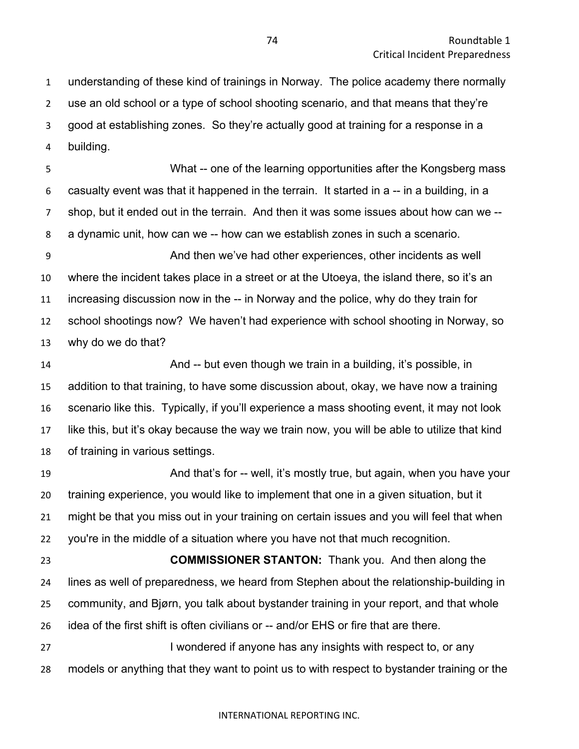understanding of these kind of trainings in Norway. The police academy there normally use an old school or a type of school shooting scenario, and that means that they're good at establishing zones. So they're actually good at training for a response in a building.

 What -- one of the learning opportunities after the Kongsberg mass casualty event was that it happened in the terrain. It started in a -- in a building, in a shop, but it ended out in the terrain. And then it was some issues about how can we -- a dynamic unit, how can we -- how can we establish zones in such a scenario.

 And then we've had other experiences, other incidents as well where the incident takes place in a street or at the Utoeya, the island there, so it's an increasing discussion now in the -- in Norway and the police, why do they train for school shootings now? We haven't had experience with school shooting in Norway, so why do we do that?

 And -- but even though we train in a building, it's possible, in addition to that training, to have some discussion about, okay, we have now a training scenario like this. Typically, if you'll experience a mass shooting event, it may not look like this, but it's okay because the way we train now, you will be able to utilize that kind of training in various settings.

**And that's for -- well, it's mostly true, but again, when you have your**  training experience, you would like to implement that one in a given situation, but it might be that you miss out in your training on certain issues and you will feel that when you're in the middle of a situation where you have not that much recognition.

 **COMMISSIONER STANTON:** Thank you. And then along the lines as well of preparedness, we heard from Stephen about the relationship-building in community, and Bjørn, you talk about bystander training in your report, and that whole idea of the first shift is often civilians or -- and/or EHS or fire that are there.

27 I wondered if anyone has any insights with respect to, or any models or anything that they want to point us to with respect to bystander training or the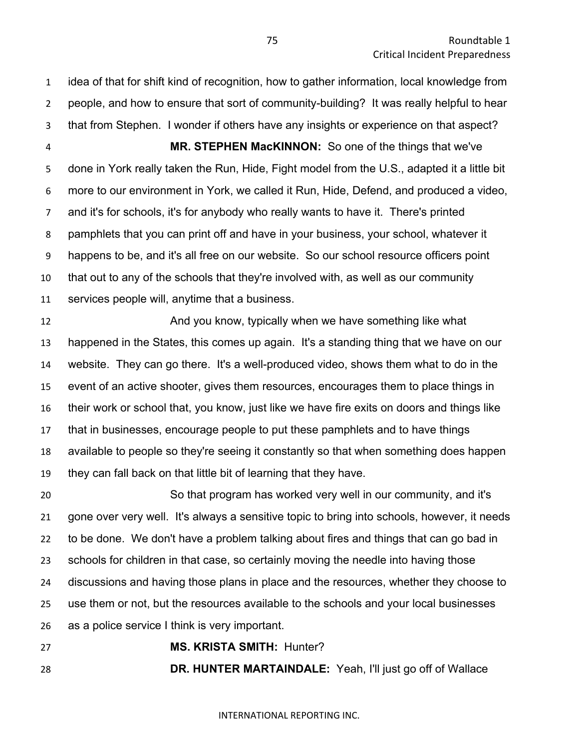idea of that for shift kind of recognition, how to gather information, local knowledge from people, and how to ensure that sort of community-building? It was really helpful to hear that from Stephen. I wonder if others have any insights or experience on that aspect? **MR. STEPHEN MacKINNON:** So one of the things that we've done in York really taken the Run, Hide, Fight model from the U.S., adapted it a little bit more to our environment in York, we called it Run, Hide, Defend, and produced a video, and it's for schools, it's for anybody who really wants to have it. There's printed

pamphlets that you can print off and have in your business, your school, whatever it

happens to be, and it's all free on our website. So our school resource officers point

 that out to any of the schools that they're involved with, as well as our community services people will, anytime that a business.

**And you know, typically when we have something like what**  happened in the States, this comes up again. It's a standing thing that we have on our website. They can go there. It's a well-produced video, shows them what to do in the event of an active shooter, gives them resources, encourages them to place things in their work or school that, you know, just like we have fire exits on doors and things like that in businesses, encourage people to put these pamphlets and to have things available to people so they're seeing it constantly so that when something does happen they can fall back on that little bit of learning that they have.

 So that program has worked very well in our community, and it's gone over very well. It's always a sensitive topic to bring into schools, however, it needs to be done. We don't have a problem talking about fires and things that can go bad in schools for children in that case, so certainly moving the needle into having those discussions and having those plans in place and the resources, whether they choose to use them or not, but the resources available to the schools and your local businesses as a police service I think is very important.

**MS. KRISTA SMITH:** Hunter?

**DR. HUNTER MARTAINDALE:** Yeah, I'll just go off of Wallace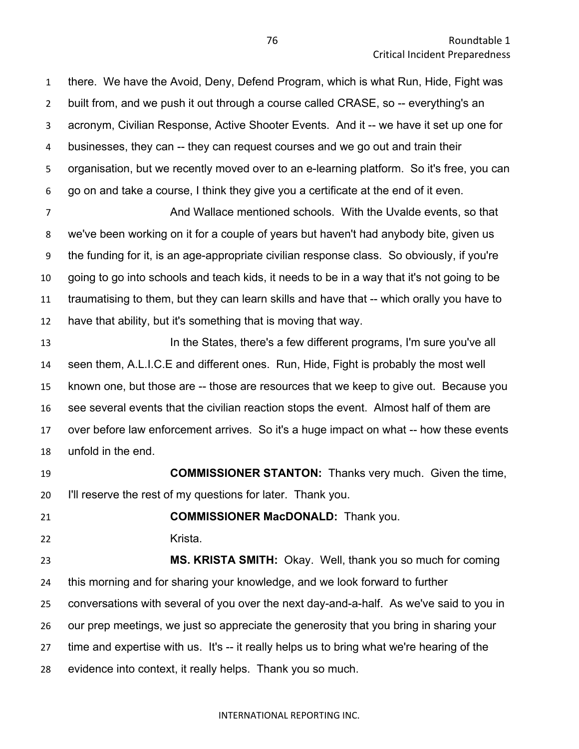there. We have the Avoid, Deny, Defend Program, which is what Run, Hide, Fight was built from, and we push it out through a course called CRASE, so -- everything's an acronym, Civilian Response, Active Shooter Events. And it -- we have it set up one for businesses, they can -- they can request courses and we go out and train their organisation, but we recently moved over to an e-learning platform. So it's free, you can go on and take a course, I think they give you a certificate at the end of it even.

 And Wallace mentioned schools. With the Uvalde events, so that we've been working on it for a couple of years but haven't had anybody bite, given us the funding for it, is an age-appropriate civilian response class. So obviously, if you're going to go into schools and teach kids, it needs to be in a way that it's not going to be traumatising to them, but they can learn skills and have that -- which orally you have to have that ability, but it's something that is moving that way.

**In the States, there's a few different programs, I'm sure you've all**  seen them, A.L.I.C.E and different ones. Run, Hide, Fight is probably the most well known one, but those are -- those are resources that we keep to give out. Because you see several events that the civilian reaction stops the event. Almost half of them are over before law enforcement arrives. So it's a huge impact on what -- how these events unfold in the end.

 **COMMISSIONER STANTON:** Thanks very much. Given the time, I'll reserve the rest of my questions for later. Thank you.

**COMMISSIONER MacDONALD:** Thank you.

Krista.

 **MS. KRISTA SMITH:** Okay. Well, thank you so much for coming this morning and for sharing your knowledge, and we look forward to further conversations with several of you over the next day-and-a-half. As we've said to you in our prep meetings, we just so appreciate the generosity that you bring in sharing your time and expertise with us. It's -- it really helps us to bring what we're hearing of the evidence into context, it really helps. Thank you so much.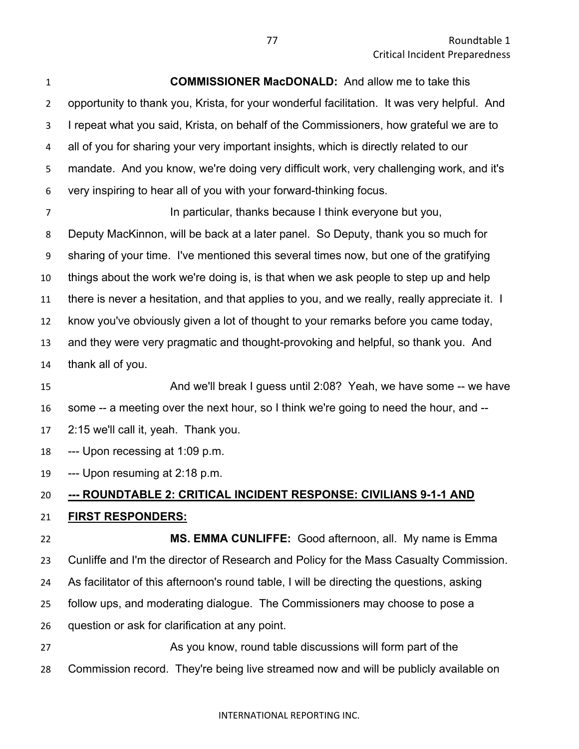**COMMISSIONER MacDONALD:** And allow me to take this opportunity to thank you, Krista, for your wonderful facilitation. It was very helpful. And I repeat what you said, Krista, on behalf of the Commissioners, how grateful we are to all of you for sharing your very important insights, which is directly related to our mandate. And you know, we're doing very difficult work, very challenging work, and it's very inspiring to hear all of you with your forward-thinking focus. **In particular, thanks because I think everyone but you,** Deputy MacKinnon, will be back at a later panel. So Deputy, thank you so much for sharing of your time. I've mentioned this several times now, but one of the gratifying things about the work we're doing is, is that when we ask people to step up and help there is never a hesitation, and that applies to you, and we really, really appreciate it. I know you've obviously given a lot of thought to your remarks before you came today, and they were very pragmatic and thought-provoking and helpful, so thank you. And thank all of you.

- And we'll break I guess until 2:08? Yeah, we have some -- we have some -- a meeting over the next hour, so I think we're going to need the hour, and --
- 2:15 we'll call it, yeah. Thank you.
- --- Upon recessing at 1:09 p.m.
- --- Upon resuming at 2:18 p.m.

# **--- ROUNDTABLE 2: CRITICAL INCIDENT RESPONSE: CIVILIANS 9-1-1 AND**

# **FIRST RESPONDERS:**

 **MS. EMMA CUNLIFFE:** Good afternoon, all. My name is Emma Cunliffe and I'm the director of Research and Policy for the Mass Casualty Commission. As facilitator of this afternoon's round table, I will be directing the questions, asking follow ups, and moderating dialogue. The Commissioners may choose to pose a question or ask for clarification at any point.

 As you know, round table discussions will form part of the Commission record. They're being live streamed now and will be publicly available on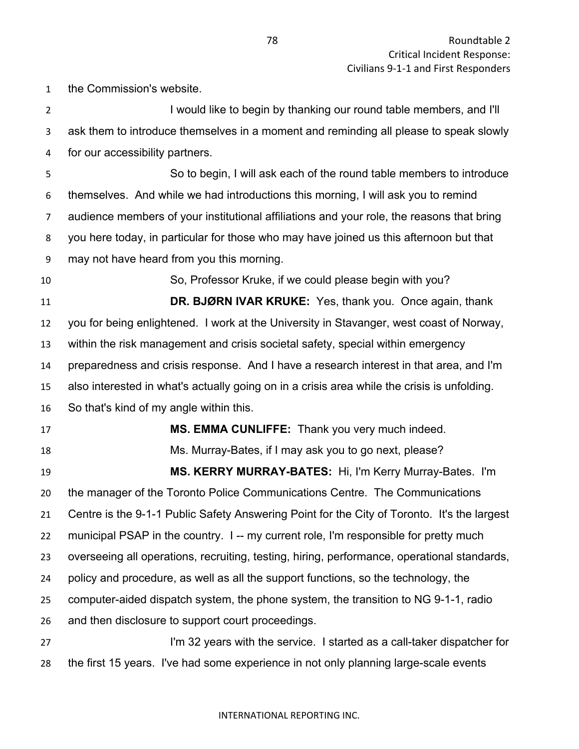the Commission's website. I would like to begin by thanking our round table members, and I'll ask them to introduce themselves in a moment and reminding all please to speak slowly for our accessibility partners. So to begin, I will ask each of the round table members to introduce themselves. And while we had introductions this morning, I will ask you to remind audience members of your institutional affiliations and your role, the reasons that bring you here today, in particular for those who may have joined us this afternoon but that may not have heard from you this morning. So, Professor Kruke, if we could please begin with you? **DR. BJØRN IVAR KRUKE:** Yes, thank you. Once again, thank you for being enlightened. I work at the University in Stavanger, west coast of Norway, within the risk management and crisis societal safety, special within emergency preparedness and crisis response. And I have a research interest in that area, and I'm also interested in what's actually going on in a crisis area while the crisis is unfolding. So that's kind of my angle within this. **MS. EMMA CUNLIFFE:** Thank you very much indeed. Ms. Murray-Bates, if I may ask you to go next, please? **MS. KERRY MURRAY-BATES:** Hi, I'm Kerry Murray-Bates. I'm the manager of the Toronto Police Communications Centre. The Communications Centre is the 9-1-1 Public Safety Answering Point for the City of Toronto. It's the largest 22 municipal PSAP in the country. I -- my current role, I'm responsible for pretty much overseeing all operations, recruiting, testing, hiring, performance, operational standards, policy and procedure, as well as all the support functions, so the technology, the computer-aided dispatch system, the phone system, the transition to NG 9-1-1, radio and then disclosure to support court proceedings. I'm 32 years with the service. I started as a call-taker dispatcher for the first 15 years. I've had some experience in not only planning large-scale events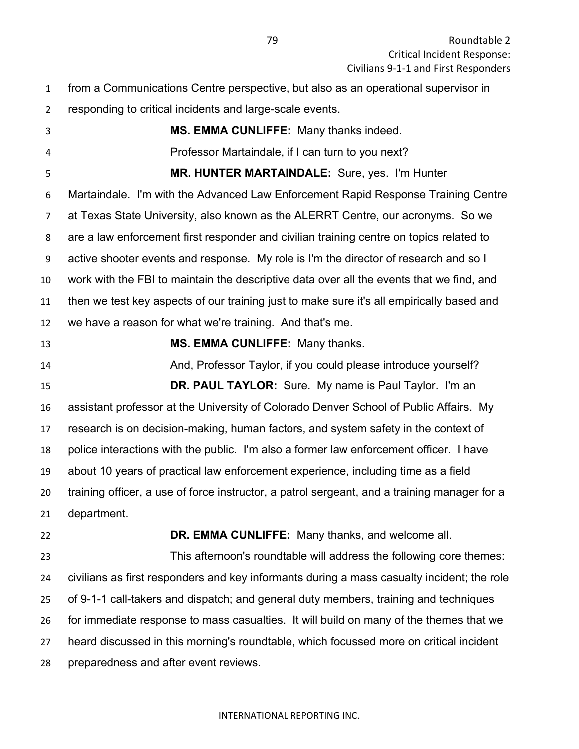- from a Communications Centre perspective, but also as an operational supervisor in
- responding to critical incidents and large-scale events.
- **MS. EMMA CUNLIFFE:** Many thanks indeed. Professor Martaindale, if I can turn to you next? **MR. HUNTER MARTAINDALE:** Sure, yes. I'm Hunter Martaindale. I'm with the Advanced Law Enforcement Rapid Response Training Centre at Texas State University, also known as the ALERRT Centre, our acronyms. So we are a law enforcement first responder and civilian training centre on topics related to active shooter events and response. My role is I'm the director of research and so I work with the FBI to maintain the descriptive data over all the events that we find, and then we test key aspects of our training just to make sure it's all empirically based and we have a reason for what we're training. And that's me. **MS. EMMA CUNLIFFE:** Many thanks. And, Professor Taylor, if you could please introduce yourself?

 **DR. PAUL TAYLOR:** Sure. My name is Paul Taylor. I'm an assistant professor at the University of Colorado Denver School of Public Affairs. My research is on decision-making, human factors, and system safety in the context of police interactions with the public. I'm also a former law enforcement officer. I have about 10 years of practical law enforcement experience, including time as a field training officer, a use of force instructor, a patrol sergeant, and a training manager for a department.

**DR. EMMA CUNLIFFE:** Many thanks, and welcome all.

 This afternoon's roundtable will address the following core themes: civilians as first responders and key informants during a mass casualty incident; the role of 9-1-1 call-takers and dispatch; and general duty members, training and techniques for immediate response to mass casualties. It will build on many of the themes that we heard discussed in this morning's roundtable, which focussed more on critical incident preparedness and after event reviews.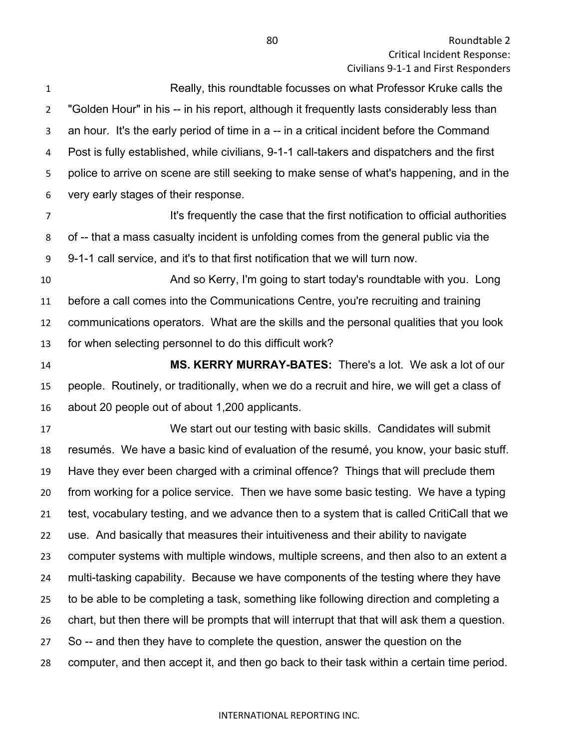**Roundtable 2** Critical Incident Response: Civilians 9-1-1 and First Responders

 Really, this roundtable focusses on what Professor Kruke calls the "Golden Hour" in his -- in his report, although it frequently lasts considerably less than an hour. It's the early period of time in a -- in a critical incident before the Command Post is fully established, while civilians, 9-1-1 call-takers and dispatchers and the first police to arrive on scene are still seeking to make sense of what's happening, and in the very early stages of their response. **It's frequently the case that the first notification to official authorities**  of -- that a mass casualty incident is unfolding comes from the general public via the 9-1-1 call service, and it's to that first notification that we will turn now. And so Kerry, I'm going to start today's roundtable with you. Long before a call comes into the Communications Centre, you're recruiting and training communications operators. What are the skills and the personal qualities that you look for when selecting personnel to do this difficult work? **MS. KERRY MURRAY-BATES:** There's a lot. We ask a lot of our people. Routinely, or traditionally, when we do a recruit and hire, we will get a class of about 20 people out of about 1,200 applicants. We start out our testing with basic skills. Candidates will submit resumés. We have a basic kind of evaluation of the resumé, you know, your basic stuff. Have they ever been charged with a criminal offence? Things that will preclude them from working for a police service. Then we have some basic testing. We have a typing

test, vocabulary testing, and we advance then to a system that is called CritiCall that we

use. And basically that measures their intuitiveness and their ability to navigate

computer systems with multiple windows, multiple screens, and then also to an extent a

multi-tasking capability. Because we have components of the testing where they have

to be able to be completing a task, something like following direction and completing a

chart, but then there will be prompts that will interrupt that that will ask them a question.

So -- and then they have to complete the question, answer the question on the

computer, and then accept it, and then go back to their task within a certain time period.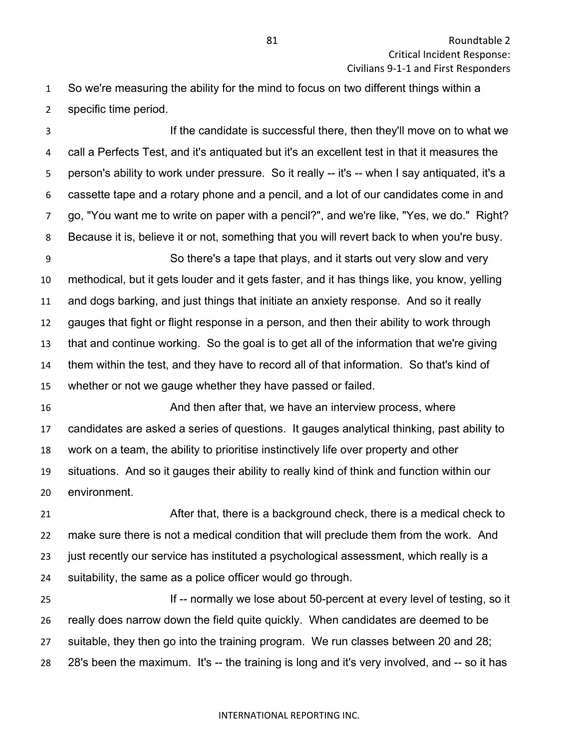So we're measuring the ability for the mind to focus on two different things within a specific time period.

 If the candidate is successful there, then they'll move on to what we call a Perfects Test, and it's antiquated but it's an excellent test in that it measures the 5 person's ability to work under pressure. So it really -- it's -- when I say antiquated, it's a cassette tape and a rotary phone and a pencil, and a lot of our candidates come in and go, "You want me to write on paper with a pencil?", and we're like, "Yes, we do." Right? Because it is, believe it or not, something that you will revert back to when you're busy.

 So there's a tape that plays, and it starts out very slow and very methodical, but it gets louder and it gets faster, and it has things like, you know, yelling and dogs barking, and just things that initiate an anxiety response. And so it really gauges that fight or flight response in a person, and then their ability to work through that and continue working. So the goal is to get all of the information that we're giving them within the test, and they have to record all of that information. So that's kind of whether or not we gauge whether they have passed or failed.

 And then after that, we have an interview process, where candidates are asked a series of questions. It gauges analytical thinking, past ability to work on a team, the ability to prioritise instinctively life over property and other situations. And so it gauges their ability to really kind of think and function within our environment.

 After that, there is a background check, there is a medical check to make sure there is not a medical condition that will preclude them from the work. And 23 just recently our service has instituted a psychological assessment, which really is a suitability, the same as a police officer would go through.

**If -- normally we lose about 50-percent at every level of testing, so it**  really does narrow down the field quite quickly. When candidates are deemed to be suitable, they then go into the training program. We run classes between 20 and 28; 28's been the maximum. It's -- the training is long and it's very involved, and -- so it has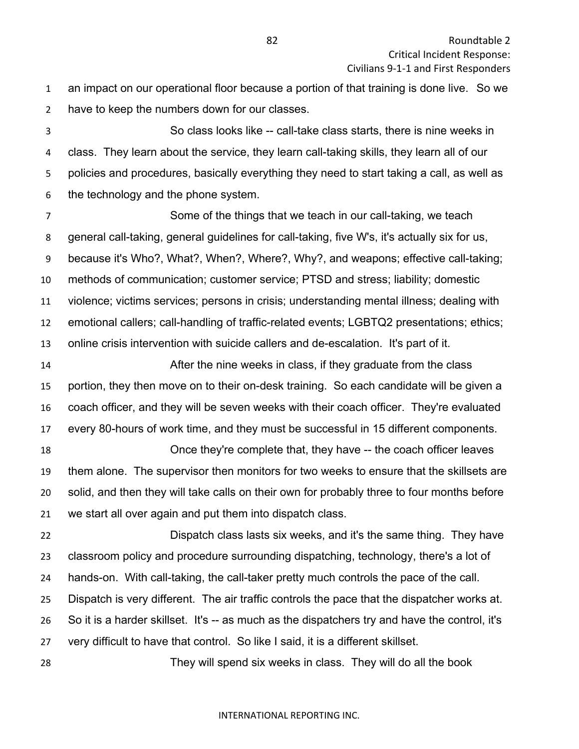an impact on our operational floor because a portion of that training is done live. So we have to keep the numbers down for our classes.

 So class looks like -- call-take class starts, there is nine weeks in class. They learn about the service, they learn call-taking skills, they learn all of our policies and procedures, basically everything they need to start taking a call, as well as the technology and the phone system.

 Some of the things that we teach in our call-taking, we teach general call-taking, general guidelines for call-taking, five W's, it's actually six for us, because it's Who?, What?, When?, Where?, Why?, and weapons; effective call-taking; methods of communication; customer service; PTSD and stress; liability; domestic violence; victims services; persons in crisis; understanding mental illness; dealing with emotional callers; call-handling of traffic-related events; LGBTQ2 presentations; ethics; online crisis intervention with suicide callers and de-escalation. It's part of it.

 After the nine weeks in class, if they graduate from the class portion, they then move on to their on-desk training. So each candidate will be given a coach officer, and they will be seven weeks with their coach officer. They're evaluated every 80-hours of work time, and they must be successful in 15 different components.

 Once they're complete that, they have -- the coach officer leaves them alone. The supervisor then monitors for two weeks to ensure that the skillsets are solid, and then they will take calls on their own for probably three to four months before we start all over again and put them into dispatch class.

 Dispatch class lasts six weeks, and it's the same thing. They have classroom policy and procedure surrounding dispatching, technology, there's a lot of hands-on. With call-taking, the call-taker pretty much controls the pace of the call. Dispatch is very different. The air traffic controls the pace that the dispatcher works at. So it is a harder skillset. It's -- as much as the dispatchers try and have the control, it's very difficult to have that control. So like I said, it is a different skillset.

They will spend six weeks in class. They will do all the book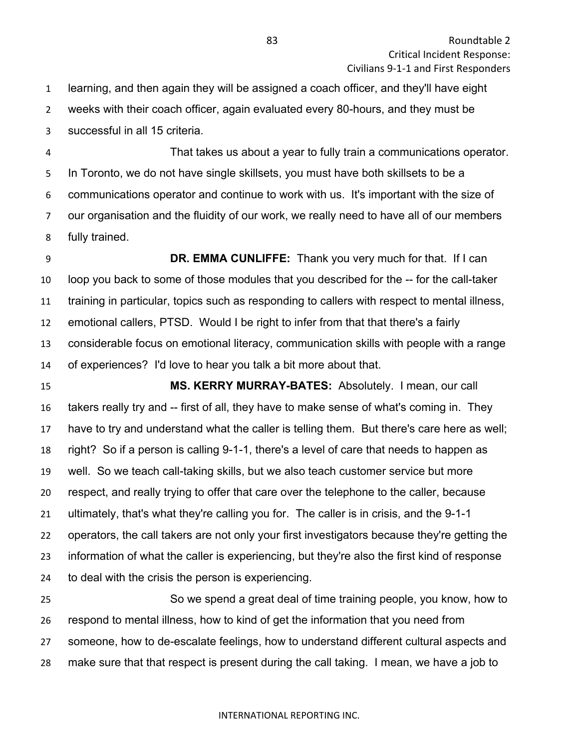learning, and then again they will be assigned a coach officer, and they'll have eight weeks with their coach officer, again evaluated every 80-hours, and they must be successful in all 15 criteria.

 That takes us about a year to fully train a communications operator. In Toronto, we do not have single skillsets, you must have both skillsets to be a communications operator and continue to work with us. It's important with the size of our organisation and the fluidity of our work, we really need to have all of our members fully trained.

 **DR. EMMA CUNLIFFE:** Thank you very much for that. If I can loop you back to some of those modules that you described for the -- for the call-taker training in particular, topics such as responding to callers with respect to mental illness, emotional callers, PTSD. Would I be right to infer from that that there's a fairly considerable focus on emotional literacy, communication skills with people with a range of experiences? I'd love to hear you talk a bit more about that.

 **MS. KERRY MURRAY-BATES:** Absolutely. I mean, our call takers really try and -- first of all, they have to make sense of what's coming in. They have to try and understand what the caller is telling them. But there's care here as well; right? So if a person is calling 9-1-1, there's a level of care that needs to happen as well. So we teach call-taking skills, but we also teach customer service but more respect, and really trying to offer that care over the telephone to the caller, because ultimately, that's what they're calling you for. The caller is in crisis, and the 9-1-1 operators, the call takers are not only your first investigators because they're getting the information of what the caller is experiencing, but they're also the first kind of response to deal with the crisis the person is experiencing.

 So we spend a great deal of time training people, you know, how to respond to mental illness, how to kind of get the information that you need from someone, how to de-escalate feelings, how to understand different cultural aspects and make sure that that respect is present during the call taking. I mean, we have a job to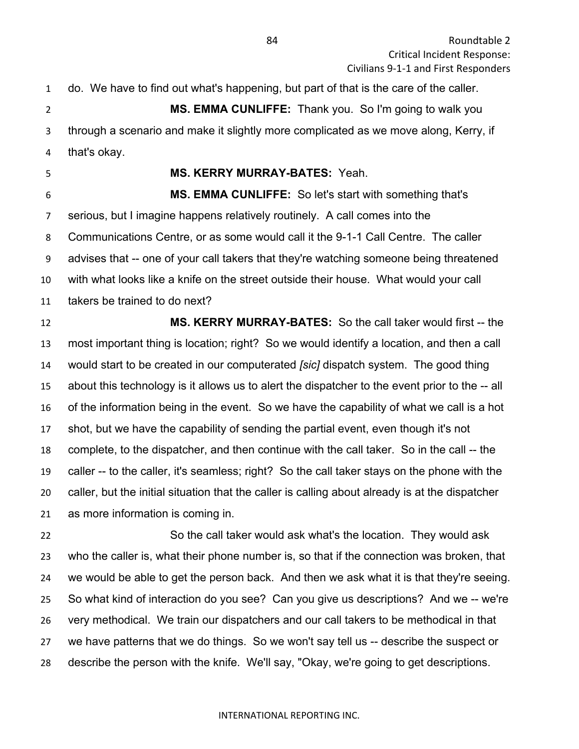do. We have to find out what's happening, but part of that is the care of the caller. **MS. EMMA CUNLIFFE:** Thank you. So I'm going to walk you through a scenario and make it slightly more complicated as we move along, Kerry, if that's okay. **MS. KERRY MURRAY-BATES:** Yeah. **MS. EMMA CUNLIFFE:** So let's start with something that's serious, but I imagine happens relatively routinely. A call comes into the Communications Centre, or as some would call it the 9-1-1 Call Centre. The caller advises that -- one of your call takers that they're watching someone being threatened with what looks like a knife on the street outside their house. What would your call

takers be trained to do next?

 **MS. KERRY MURRAY-BATES:** So the call taker would first -- the most important thing is location; right? So we would identify a location, and then a call would start to be created in our computerated *[sic]* dispatch system. The good thing about this technology is it allows us to alert the dispatcher to the event prior to the -- all of the information being in the event. So we have the capability of what we call is a hot shot, but we have the capability of sending the partial event, even though it's not complete, to the dispatcher, and then continue with the call taker. So in the call -- the caller -- to the caller, it's seamless; right? So the call taker stays on the phone with the caller, but the initial situation that the caller is calling about already is at the dispatcher as more information is coming in.

 So the call taker would ask what's the location. They would ask who the caller is, what their phone number is, so that if the connection was broken, that we would be able to get the person back. And then we ask what it is that they're seeing. So what kind of interaction do you see? Can you give us descriptions? And we -- we're very methodical. We train our dispatchers and our call takers to be methodical in that we have patterns that we do things. So we won't say tell us -- describe the suspect or describe the person with the knife. We'll say, "Okay, we're going to get descriptions.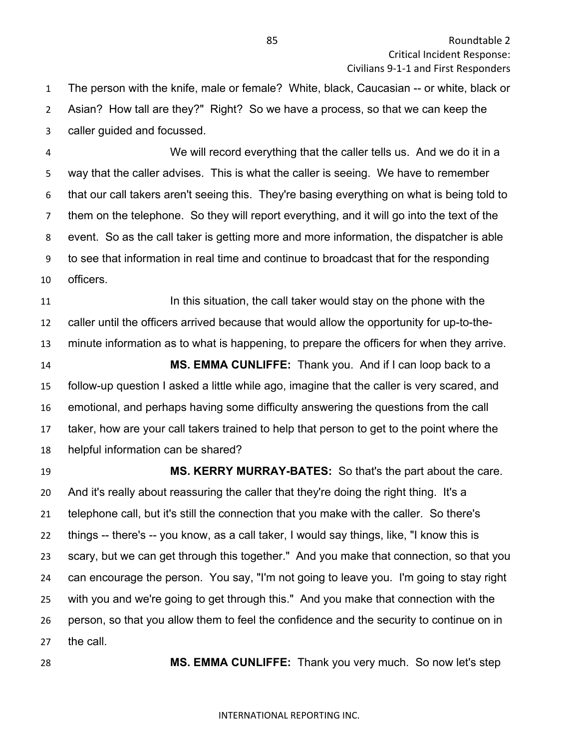The person with the knife, male or female? White, black, Caucasian -- or white, black or Asian? How tall are they?" Right? So we have a process, so that we can keep the caller guided and focussed.

 We will record everything that the caller tells us. And we do it in a way that the caller advises. This is what the caller is seeing. We have to remember that our call takers aren't seeing this. They're basing everything on what is being told to them on the telephone. So they will report everything, and it will go into the text of the event. So as the call taker is getting more and more information, the dispatcher is able to see that information in real time and continue to broadcast that for the responding officers.

**In this situation, the call taker would stay on the phone with the**  caller until the officers arrived because that would allow the opportunity for up-to-the- minute information as to what is happening, to prepare the officers for when they arrive. **MS. EMMA CUNLIFFE:** Thank you. And if I can loop back to a follow-up question I asked a little while ago, imagine that the caller is very scared, and emotional, and perhaps having some difficulty answering the questions from the call

 taker, how are your call takers trained to help that person to get to the point where the helpful information can be shared?

 **MS. KERRY MURRAY-BATES:** So that's the part about the care. And it's really about reassuring the caller that they're doing the right thing. It's a telephone call, but it's still the connection that you make with the caller. So there's things -- there's -- you know, as a call taker, I would say things, like, "I know this is scary, but we can get through this together." And you make that connection, so that you can encourage the person. You say, "I'm not going to leave you. I'm going to stay right with you and we're going to get through this." And you make that connection with the person, so that you allow them to feel the confidence and the security to continue on in the call.

**MS. EMMA CUNLIFFE:** Thank you very much. So now let's step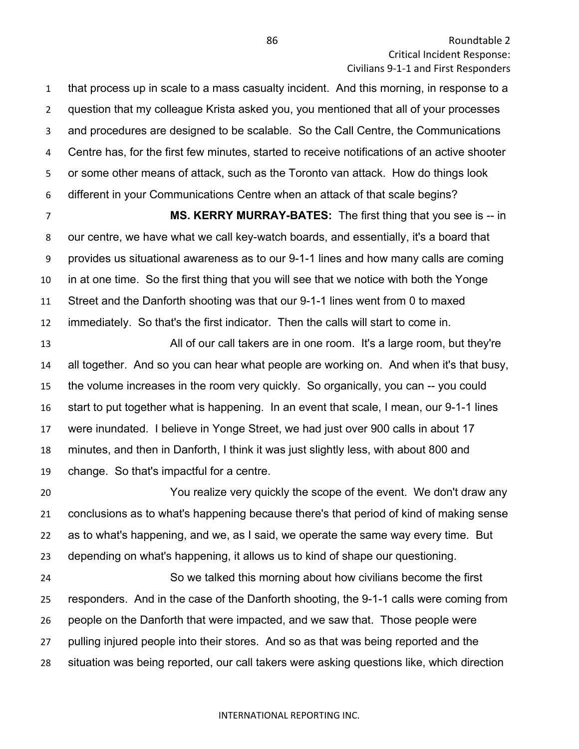that process up in scale to a mass casualty incident. And this morning, in response to a question that my colleague Krista asked you, you mentioned that all of your processes and procedures are designed to be scalable. So the Call Centre, the Communications Centre has, for the first few minutes, started to receive notifications of an active shooter or some other means of attack, such as the Toronto van attack. How do things look different in your Communications Centre when an attack of that scale begins?

 **MS. KERRY MURRAY-BATES:** The first thing that you see is -- in our centre, we have what we call key-watch boards, and essentially, it's a board that provides us situational awareness as to our 9-1-1 lines and how many calls are coming in at one time. So the first thing that you will see that we notice with both the Yonge Street and the Danforth shooting was that our 9-1-1 lines went from 0 to maxed immediately. So that's the first indicator. Then the calls will start to come in.

 All of our call takers are in one room. It's a large room, but they're all together. And so you can hear what people are working on. And when it's that busy, the volume increases in the room very quickly. So organically, you can -- you could start to put together what is happening. In an event that scale, I mean, our 9-1-1 lines were inundated. I believe in Yonge Street, we had just over 900 calls in about 17 minutes, and then in Danforth, I think it was just slightly less, with about 800 and change. So that's impactful for a centre.

 You realize very quickly the scope of the event. We don't draw any conclusions as to what's happening because there's that period of kind of making sense as to what's happening, and we, as I said, we operate the same way every time. But depending on what's happening, it allows us to kind of shape our questioning. So we talked this morning about how civilians become the first responders. And in the case of the Danforth shooting, the 9-1-1 calls were coming from people on the Danforth that were impacted, and we saw that. Those people were pulling injured people into their stores. And so as that was being reported and the

situation was being reported, our call takers were asking questions like, which direction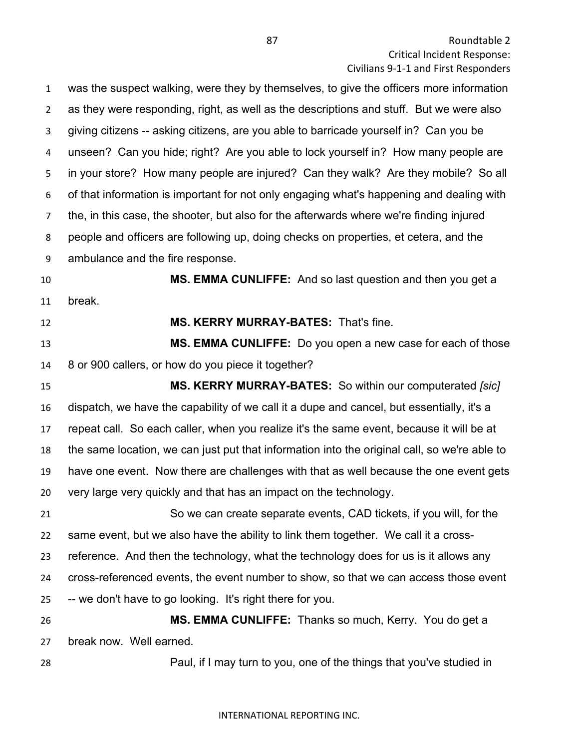was the suspect walking, were they by themselves, to give the officers more information as they were responding, right, as well as the descriptions and stuff. But we were also giving citizens -- asking citizens, are you able to barricade yourself in? Can you be unseen? Can you hide; right? Are you able to lock yourself in? How many people are in your store? How many people are injured? Can they walk? Are they mobile? So all of that information is important for not only engaging what's happening and dealing with the, in this case, the shooter, but also for the afterwards where we're finding injured people and officers are following up, doing checks on properties, et cetera, and the ambulance and the fire response.

 **MS. EMMA CUNLIFFE:** And so last question and then you get a break.

**MS. KERRY MURRAY-BATES:** That's fine.

 **MS. EMMA CUNLIFFE:** Do you open a new case for each of those 8 or 900 callers, or how do you piece it together?

 **MS. KERRY MURRAY-BATES:** So within our computerated *[sic]* dispatch, we have the capability of we call it a dupe and cancel, but essentially, it's a repeat call. So each caller, when you realize it's the same event, because it will be at the same location, we can just put that information into the original call, so we're able to have one event. Now there are challenges with that as well because the one event gets very large very quickly and that has an impact on the technology.

 So we can create separate events, CAD tickets, if you will, for the same event, but we also have the ability to link them together. We call it a cross- reference. And then the technology, what the technology does for us is it allows any cross-referenced events, the event number to show, so that we can access those event -- we don't have to go looking. It's right there for you.

 **MS. EMMA CUNLIFFE:** Thanks so much, Kerry. You do get a break now. Well earned.

Paul, if I may turn to you, one of the things that you've studied in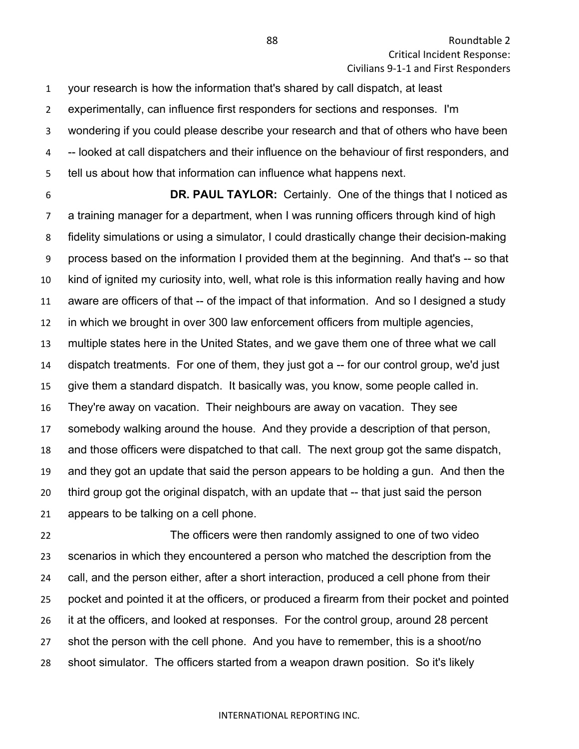your research is how the information that's shared by call dispatch, at least experimentally, can influence first responders for sections and responses. I'm wondering if you could please describe your research and that of others who have been -- looked at call dispatchers and their influence on the behaviour of first responders, and tell us about how that information can influence what happens next.

 **DR. PAUL TAYLOR:** Certainly. One of the things that I noticed as a training manager for a department, when I was running officers through kind of high fidelity simulations or using a simulator, I could drastically change their decision-making process based on the information I provided them at the beginning. And that's -- so that kind of ignited my curiosity into, well, what role is this information really having and how aware are officers of that -- of the impact of that information. And so I designed a study in which we brought in over 300 law enforcement officers from multiple agencies, multiple states here in the United States, and we gave them one of three what we call dispatch treatments. For one of them, they just got a -- for our control group, we'd just give them a standard dispatch. It basically was, you know, some people called in. They're away on vacation. Their neighbours are away on vacation. They see somebody walking around the house. And they provide a description of that person, and those officers were dispatched to that call. The next group got the same dispatch, and they got an update that said the person appears to be holding a gun. And then the third group got the original dispatch, with an update that -- that just said the person appears to be talking on a cell phone.

 The officers were then randomly assigned to one of two video scenarios in which they encountered a person who matched the description from the call, and the person either, after a short interaction, produced a cell phone from their pocket and pointed it at the officers, or produced a firearm from their pocket and pointed it at the officers, and looked at responses. For the control group, around 28 percent shot the person with the cell phone. And you have to remember, this is a shoot/no shoot simulator. The officers started from a weapon drawn position. So it's likely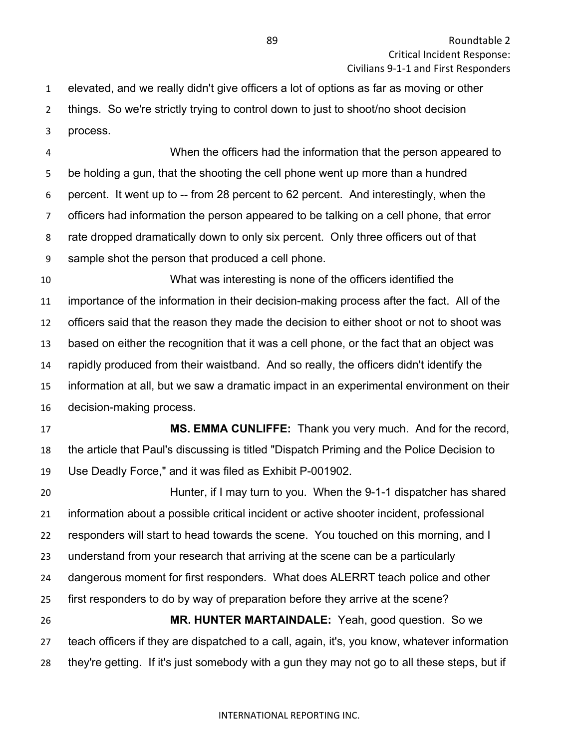elevated, and we really didn't give officers a lot of options as far as moving or other things. So we're strictly trying to control down to just to shoot/no shoot decision process.

 When the officers had the information that the person appeared to be holding a gun, that the shooting the cell phone went up more than a hundred percent. It went up to -- from 28 percent to 62 percent. And interestingly, when the officers had information the person appeared to be talking on a cell phone, that error rate dropped dramatically down to only six percent. Only three officers out of that sample shot the person that produced a cell phone.

 What was interesting is none of the officers identified the importance of the information in their decision-making process after the fact. All of the officers said that the reason they made the decision to either shoot or not to shoot was based on either the recognition that it was a cell phone, or the fact that an object was rapidly produced from their waistband. And so really, the officers didn't identify the information at all, but we saw a dramatic impact in an experimental environment on their decision-making process.

 **MS. EMMA CUNLIFFE:** Thank you very much. And for the record, the article that Paul's discussing is titled "Dispatch Priming and the Police Decision to Use Deadly Force," and it was filed as Exhibit P-001902.

 Hunter, if I may turn to you. When the 9-1-1 dispatcher has shared information about a possible critical incident or active shooter incident, professional responders will start to head towards the scene. You touched on this morning, and I understand from your research that arriving at the scene can be a particularly dangerous moment for first responders. What does ALERRT teach police and other first responders to do by way of preparation before they arrive at the scene? **MR. HUNTER MARTAINDALE:** Yeah, good question. So we teach officers if they are dispatched to a call, again, it's, you know, whatever information they're getting. If it's just somebody with a gun they may not go to all these steps, but if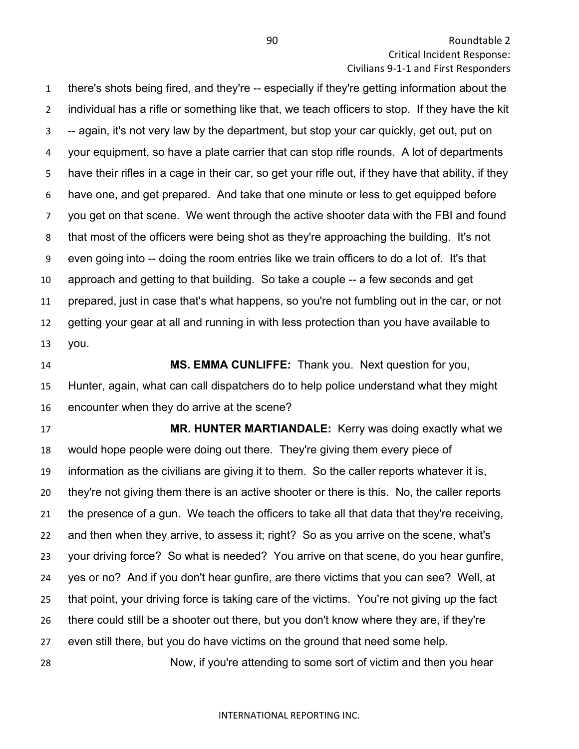there's shots being fired, and they're -- especially if they're getting information about the individual has a rifle or something like that, we teach officers to stop. If they have the kit -- again, it's not very law by the department, but stop your car quickly, get out, put on your equipment, so have a plate carrier that can stop rifle rounds. A lot of departments have their rifles in a cage in their car, so get your rifle out, if they have that ability, if they have one, and get prepared. And take that one minute or less to get equipped before you get on that scene. We went through the active shooter data with the FBI and found that most of the officers were being shot as they're approaching the building. It's not even going into -- doing the room entries like we train officers to do a lot of. It's that approach and getting to that building. So take a couple -- a few seconds and get prepared, just in case that's what happens, so you're not fumbling out in the car, or not getting your gear at all and running in with less protection than you have available to you.

 **MS. EMMA CUNLIFFE:** Thank you. Next question for you, Hunter, again, what can call dispatchers do to help police understand what they might encounter when they do arrive at the scene?

 **MR. HUNTER MARTIANDALE:** Kerry was doing exactly what we would hope people were doing out there. They're giving them every piece of information as the civilians are giving it to them. So the caller reports whatever it is, they're not giving them there is an active shooter or there is this. No, the caller reports the presence of a gun. We teach the officers to take all that data that they're receiving, and then when they arrive, to assess it; right? So as you arrive on the scene, what's your driving force? So what is needed? You arrive on that scene, do you hear gunfire, yes or no? And if you don't hear gunfire, are there victims that you can see? Well, at that point, your driving force is taking care of the victims. You're not giving up the fact there could still be a shooter out there, but you don't know where they are, if they're even still there, but you do have victims on the ground that need some help. Now, if you're attending to some sort of victim and then you hear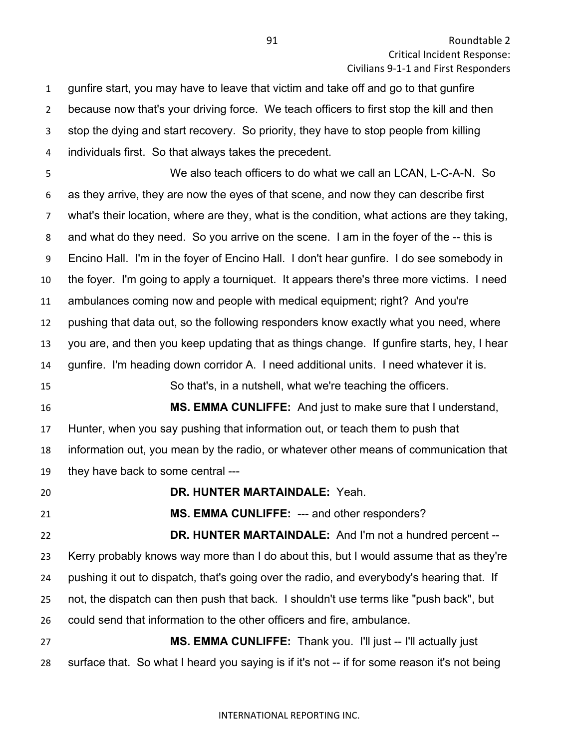gunfire start, you may have to leave that victim and take off and go to that gunfire because now that's your driving force. We teach officers to first stop the kill and then stop the dying and start recovery. So priority, they have to stop people from killing individuals first. So that always takes the precedent.

 We also teach officers to do what we call an LCAN, L-C-A-N. So as they arrive, they are now the eyes of that scene, and now they can describe first what's their location, where are they, what is the condition, what actions are they taking, and what do they need. So you arrive on the scene. I am in the foyer of the -- this is Encino Hall. I'm in the foyer of Encino Hall. I don't hear gunfire. I do see somebody in the foyer. I'm going to apply a tourniquet. It appears there's three more victims. I need ambulances coming now and people with medical equipment; right? And you're pushing that data out, so the following responders know exactly what you need, where you are, and then you keep updating that as things change. If gunfire starts, hey, I hear gunfire. I'm heading down corridor A. I need additional units. I need whatever it is. So that's, in a nutshell, what we're teaching the officers. **MS. EMMA CUNLIFFE:** And just to make sure that I understand, Hunter, when you say pushing that information out, or teach them to push that information out, you mean by the radio, or whatever other means of communication that they have back to some central --- **DR. HUNTER MARTAINDALE:** Yeah. **MS. EMMA CUNLIFFE:** --- and other responders? **DR. HUNTER MARTAINDALE:** And I'm not a hundred percent --

 Kerry probably knows way more than I do about this, but I would assume that as they're pushing it out to dispatch, that's going over the radio, and everybody's hearing that. If not, the dispatch can then push that back. I shouldn't use terms like "push back", but could send that information to the other officers and fire, ambulance. **MS. EMMA CUNLIFFE:** Thank you. I'll just -- I'll actually just

surface that. So what I heard you saying is if it's not -- if for some reason it's not being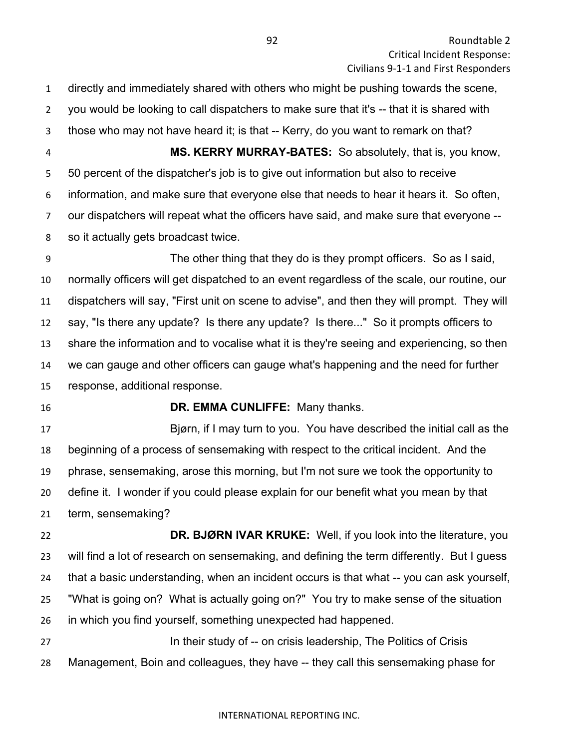directly and immediately shared with others who might be pushing towards the scene, you would be looking to call dispatchers to make sure that it's -- that it is shared with those who may not have heard it; is that -- Kerry, do you want to remark on that? **MS. KERRY MURRAY-BATES:** So absolutely, that is, you know, 50 percent of the dispatcher's job is to give out information but also to receive information, and make sure that everyone else that needs to hear it hears it. So often, our dispatchers will repeat what the officers have said, and make sure that everyone -- so it actually gets broadcast twice.

 The other thing that they do is they prompt officers. So as I said, normally officers will get dispatched to an event regardless of the scale, our routine, our dispatchers will say, "First unit on scene to advise", and then they will prompt. They will say, "Is there any update? Is there any update? Is there..." So it prompts officers to share the information and to vocalise what it is they're seeing and experiencing, so then we can gauge and other officers can gauge what's happening and the need for further response, additional response.

# **DR. EMMA CUNLIFFE:** Many thanks.

 Bjørn, if I may turn to you. You have described the initial call as the beginning of a process of sensemaking with respect to the critical incident. And the phrase, sensemaking, arose this morning, but I'm not sure we took the opportunity to define it. I wonder if you could please explain for our benefit what you mean by that term, sensemaking?

 **DR. BJØRN IVAR KRUKE:** Well, if you look into the literature, you will find a lot of research on sensemaking, and defining the term differently. But I guess that a basic understanding, when an incident occurs is that what -- you can ask yourself, "What is going on? What is actually going on?" You try to make sense of the situation in which you find yourself, something unexpected had happened. **In their study of -- on crisis leadership, The Politics of Crisis** 

Management, Boin and colleagues, they have -- they call this sensemaking phase for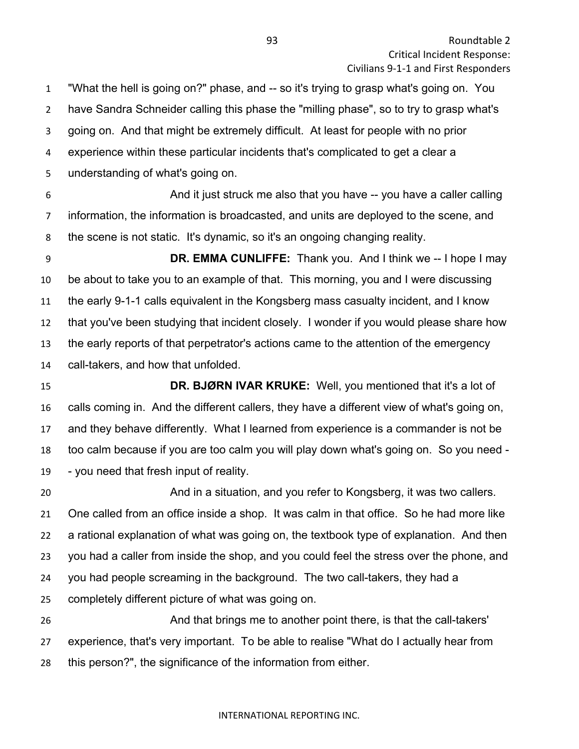"What the hell is going on?" phase, and -- so it's trying to grasp what's going on. You have Sandra Schneider calling this phase the "milling phase", so to try to grasp what's going on. And that might be extremely difficult. At least for people with no prior experience within these particular incidents that's complicated to get a clear a

understanding of what's going on.

 And it just struck me also that you have -- you have a caller calling information, the information is broadcasted, and units are deployed to the scene, and the scene is not static. It's dynamic, so it's an ongoing changing reality.

**DR. EMMA CUNLIFFE:** Thank you. And I think we -- I hope I may be about to take you to an example of that. This morning, you and I were discussing the early 9-1-1 calls equivalent in the Kongsberg mass casualty incident, and I know that you've been studying that incident closely. I wonder if you would please share how the early reports of that perpetrator's actions came to the attention of the emergency call-takers, and how that unfolded.

 **DR. BJØRN IVAR KRUKE:** Well, you mentioned that it's a lot of calls coming in. And the different callers, they have a different view of what's going on, and they behave differently. What I learned from experience is a commander is not be too calm because if you are too calm you will play down what's going on. So you need - - you need that fresh input of reality.

 And in a situation, and you refer to Kongsberg, it was two callers. One called from an office inside a shop. It was calm in that office. So he had more like a rational explanation of what was going on, the textbook type of explanation. And then you had a caller from inside the shop, and you could feel the stress over the phone, and you had people screaming in the background. The two call-takers, they had a completely different picture of what was going on. And that brings me to another point there, is that the call-takers'

experience, that's very important. To be able to realise "What do I actually hear from

this person?", the significance of the information from either.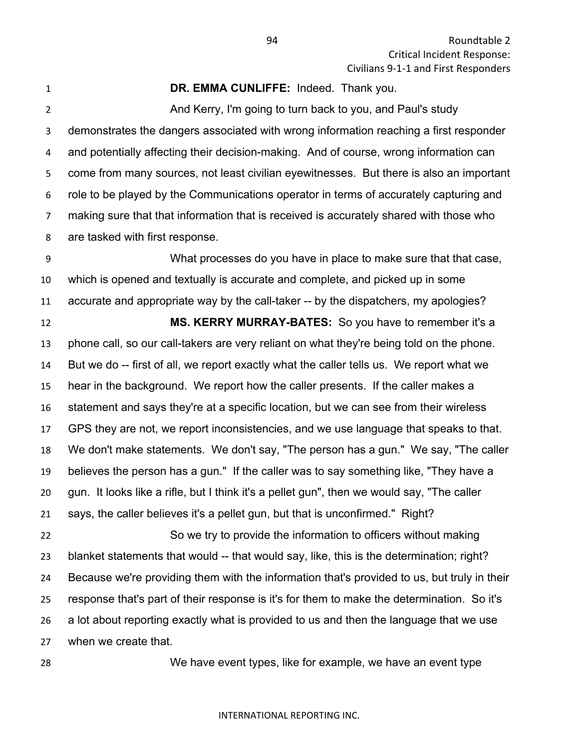Roundtable 2 Critical Incident Response: Civilians 9-1-1 and First Responders

**DR. EMMA CUNLIFFE:** Indeed. Thank you.

 And Kerry, I'm going to turn back to you, and Paul's study demonstrates the dangers associated with wrong information reaching a first responder and potentially affecting their decision-making. And of course, wrong information can come from many sources, not least civilian eyewitnesses. But there is also an important role to be played by the Communications operator in terms of accurately capturing and making sure that that information that is received is accurately shared with those who are tasked with first response.

 What processes do you have in place to make sure that that case, which is opened and textually is accurate and complete, and picked up in some accurate and appropriate way by the call-taker -- by the dispatchers, my apologies? **MS. KERRY MURRAY-BATES:** So you have to remember it's a phone call, so our call-takers are very reliant on what they're being told on the phone. But we do -- first of all, we report exactly what the caller tells us. We report what we hear in the background. We report how the caller presents. If the caller makes a statement and says they're at a specific location, but we can see from their wireless GPS they are not, we report inconsistencies, and we use language that speaks to that. We don't make statements. We don't say, "The person has a gun." We say, "The caller believes the person has a gun." If the caller was to say something like, "They have a gun. It looks like a rifle, but I think it's a pellet gun", then we would say, "The caller says, the caller believes it's a pellet gun, but that is unconfirmed." Right? So we try to provide the information to officers without making blanket statements that would -- that would say, like, this is the determination; right? Because we're providing them with the information that's provided to us, but truly in their response that's part of their response is it's for them to make the determination. So it's

 a lot about reporting exactly what is provided to us and then the language that we use when we create that.

We have event types, like for example, we have an event type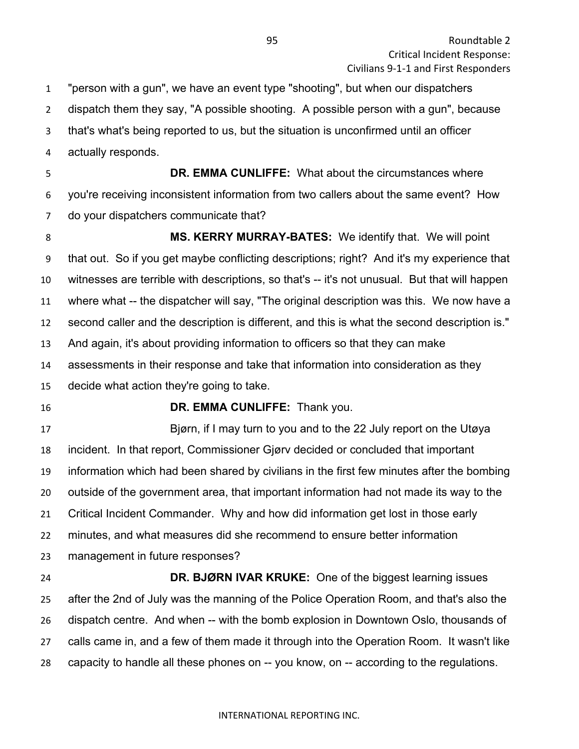"person with a gun", we have an event type "shooting", but when our dispatchers

- dispatch them they say, "A possible shooting. A possible person with a gun", because
- that's what's being reported to us, but the situation is unconfirmed until an officer
- actually responds.

 **DR. EMMA CUNLIFFE:** What about the circumstances where you're receiving inconsistent information from two callers about the same event? How do your dispatchers communicate that?

 **MS. KERRY MURRAY-BATES:** We identify that. We will point that out. So if you get maybe conflicting descriptions; right? And it's my experience that witnesses are terrible with descriptions, so that's -- it's not unusual. But that will happen where what -- the dispatcher will say, "The original description was this. We now have a second caller and the description is different, and this is what the second description is." And again, it's about providing information to officers so that they can make assessments in their response and take that information into consideration as they decide what action they're going to take.

## **DR. EMMA CUNLIFFE:** Thank you.

 Bjørn, if I may turn to you and to the 22 July report on the Utøya incident. In that report, Commissioner Gjørv decided or concluded that important information which had been shared by civilians in the first few minutes after the bombing outside of the government area, that important information had not made its way to the Critical Incident Commander. Why and how did information get lost in those early minutes, and what measures did she recommend to ensure better information management in future responses? **DR. BJØRN IVAR KRUKE:** One of the biggest learning issues after the 2nd of July was the manning of the Police Operation Room, and that's also the

 dispatch centre. And when -- with the bomb explosion in Downtown Oslo, thousands of calls came in, and a few of them made it through into the Operation Room. It wasn't like

capacity to handle all these phones on -- you know, on -- according to the regulations.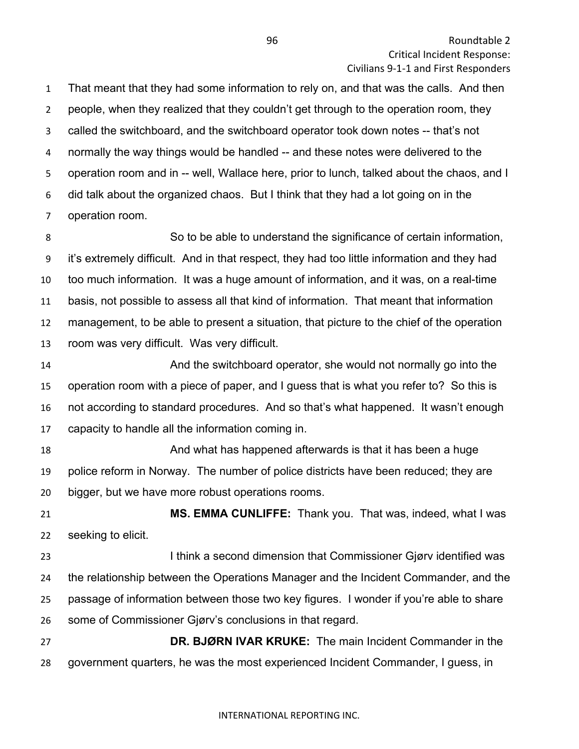That meant that they had some information to rely on, and that was the calls. And then people, when they realized that they couldn't get through to the operation room, they called the switchboard, and the switchboard operator took down notes -- that's not normally the way things would be handled -- and these notes were delivered to the operation room and in -- well, Wallace here, prior to lunch, talked about the chaos, and I did talk about the organized chaos. But I think that they had a lot going on in the operation room.

 So to be able to understand the significance of certain information, it's extremely difficult. And in that respect, they had too little information and they had too much information. It was a huge amount of information, and it was, on a real-time basis, not possible to assess all that kind of information. That meant that information management, to be able to present a situation, that picture to the chief of the operation room was very difficult. Was very difficult.

 And the switchboard operator, she would not normally go into the operation room with a piece of paper, and I guess that is what you refer to? So this is not according to standard procedures. And so that's what happened. It wasn't enough capacity to handle all the information coming in.

 And what has happened afterwards is that it has been a huge police reform in Norway. The number of police districts have been reduced; they are bigger, but we have more robust operations rooms.

 **MS. EMMA CUNLIFFE:** Thank you. That was, indeed, what I was seeking to elicit.

23 I think a second dimension that Commissioner Gjørv identified was the relationship between the Operations Manager and the Incident Commander, and the passage of information between those two key figures. I wonder if you're able to share some of Commissioner Gjørv's conclusions in that regard.

 **DR. BJØRN IVAR KRUKE:** The main Incident Commander in the government quarters, he was the most experienced Incident Commander, I guess, in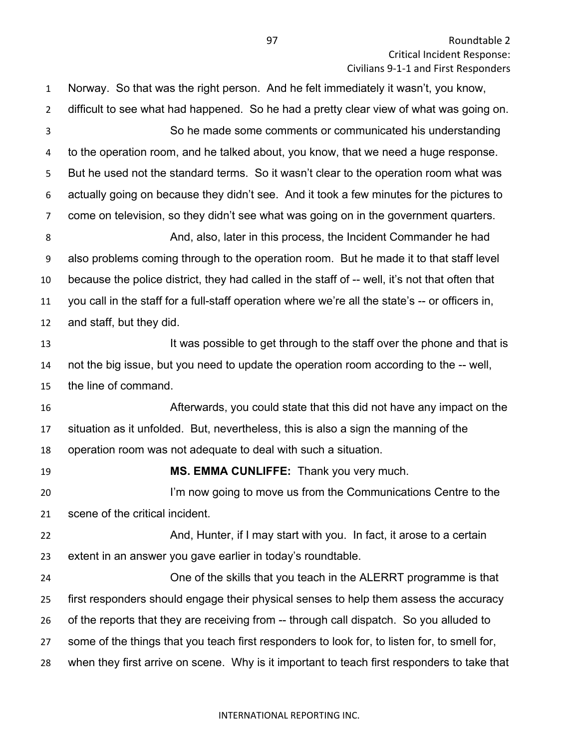Norway. So that was the right person. And he felt immediately it wasn't, you know, difficult to see what had happened. So he had a pretty clear view of what was going on. So he made some comments or communicated his understanding to the operation room, and he talked about, you know, that we need a huge response. But he used not the standard terms. So it wasn't clear to the operation room what was actually going on because they didn't see. And it took a few minutes for the pictures to come on television, so they didn't see what was going on in the government quarters. And, also, later in this process, the Incident Commander he had also problems coming through to the operation room. But he made it to that staff level because the police district, they had called in the staff of -- well, it's not that often that you call in the staff for a full-staff operation where we're all the state's -- or officers in, and staff, but they did. **It was possible to get through to the staff over the phone and that is**  not the big issue, but you need to update the operation room according to the -- well, the line of command. Afterwards, you could state that this did not have any impact on the situation as it unfolded. But, nevertheless, this is also a sign the manning of the operation room was not adequate to deal with such a situation. **MS. EMMA CUNLIFFE:** Thank you very much. 20 I'm now going to move us from the Communications Centre to the scene of the critical incident. 22 And, Hunter, if I may start with you. In fact, it arose to a certain extent in an answer you gave earlier in today's roundtable. One of the skills that you teach in the ALERRT programme is that first responders should engage their physical senses to help them assess the accuracy of the reports that they are receiving from -- through call dispatch. So you alluded to some of the things that you teach first responders to look for, to listen for, to smell for, when they first arrive on scene. Why is it important to teach first responders to take that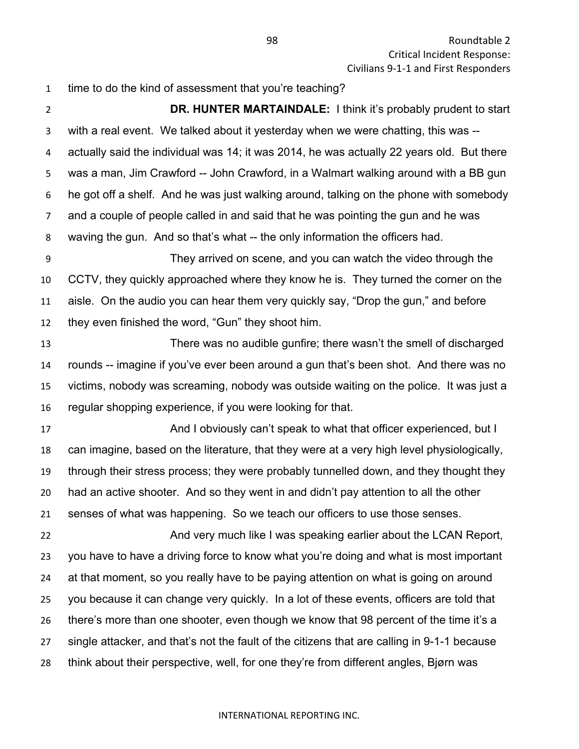time to do the kind of assessment that you're teaching?

 **DR. HUNTER MARTAINDALE:** I think it's probably prudent to start with a real event. We talked about it yesterday when we were chatting, this was -- actually said the individual was 14; it was 2014, he was actually 22 years old. But there was a man, Jim Crawford -- John Crawford, in a Walmart walking around with a BB gun he got off a shelf. And he was just walking around, talking on the phone with somebody and a couple of people called in and said that he was pointing the gun and he was waving the gun. And so that's what -- the only information the officers had.

 They arrived on scene, and you can watch the video through the CCTV, they quickly approached where they know he is. They turned the corner on the aisle. On the audio you can hear them very quickly say, "Drop the gun," and before they even finished the word, "Gun" they shoot him.

 There was no audible gunfire; there wasn't the smell of discharged rounds -- imagine if you've ever been around a gun that's been shot. And there was no victims, nobody was screaming, nobody was outside waiting on the police. It was just a regular shopping experience, if you were looking for that.

 And I obviously can't speak to what that officer experienced, but I can imagine, based on the literature, that they were at a very high level physiologically, through their stress process; they were probably tunnelled down, and they thought they had an active shooter. And so they went in and didn't pay attention to all the other senses of what was happening. So we teach our officers to use those senses.

22 And very much like I was speaking earlier about the LCAN Report, you have to have a driving force to know what you're doing and what is most important at that moment, so you really have to be paying attention on what is going on around you because it can change very quickly. In a lot of these events, officers are told that there's more than one shooter, even though we know that 98 percent of the time it's a single attacker, and that's not the fault of the citizens that are calling in 9-1-1 because think about their perspective, well, for one they're from different angles, Bjørn was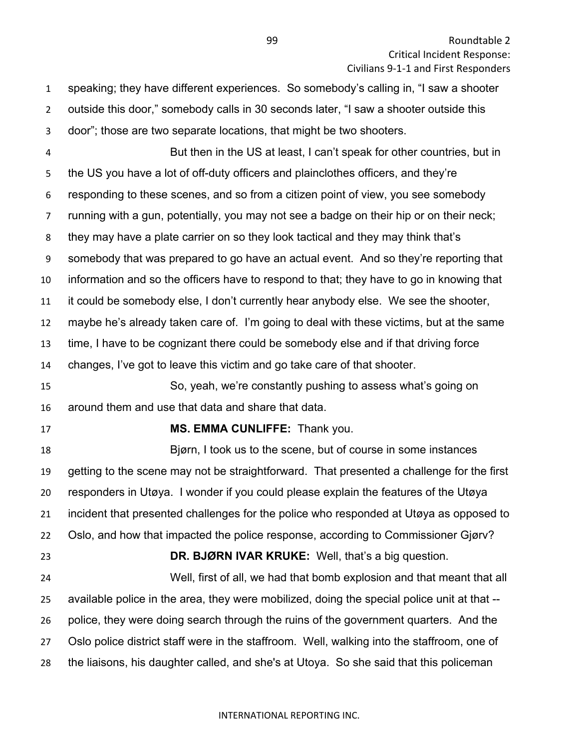speaking; they have different experiences. So somebody's calling in, "I saw a shooter outside this door," somebody calls in 30 seconds later, "I saw a shooter outside this door"; those are two separate locations, that might be two shooters. But then in the US at least, I can't speak for other countries, but in the US you have a lot of off-duty officers and plainclothes officers, and they're responding to these scenes, and so from a citizen point of view, you see somebody running with a gun, potentially, you may not see a badge on their hip or on their neck; they may have a plate carrier on so they look tactical and they may think that's somebody that was prepared to go have an actual event. And so they're reporting that information and so the officers have to respond to that; they have to go in knowing that it could be somebody else, I don't currently hear anybody else. We see the shooter, maybe he's already taken care of. I'm going to deal with these victims, but at the same time, I have to be cognizant there could be somebody else and if that driving force changes, I've got to leave this victim and go take care of that shooter. So, yeah, we're constantly pushing to assess what's going on around them and use that data and share that data. **MS. EMMA CUNLIFFE:** Thank you. Bjørn, I took us to the scene, but of course in some instances getting to the scene may not be straightforward. That presented a challenge for the first responders in Utøya. I wonder if you could please explain the features of the Utøya incident that presented challenges for the police who responded at Utøya as opposed to Oslo, and how that impacted the police response, according to Commissioner Gjørv? **DR. BJØRN IVAR KRUKE:** Well, that's a big question. Well, first of all, we had that bomb explosion and that meant that all available police in the area, they were mobilized, doing the special police unit at that -- police, they were doing search through the ruins of the government quarters. And the Oslo police district staff were in the staffroom. Well, walking into the staffroom, one of the liaisons, his daughter called, and she's at Utoya. So she said that this policeman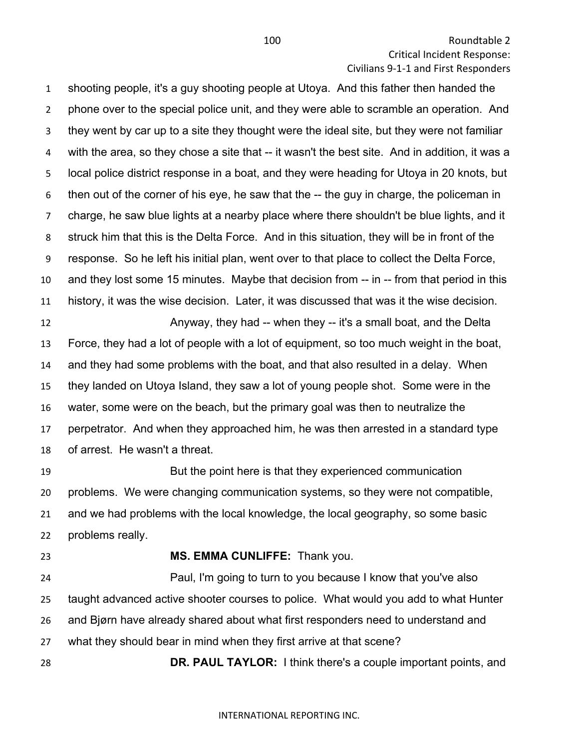shooting people, it's a guy shooting people at Utoya. And this father then handed the phone over to the special police unit, and they were able to scramble an operation. And they went by car up to a site they thought were the ideal site, but they were not familiar with the area, so they chose a site that -- it wasn't the best site. And in addition, it was a local police district response in a boat, and they were heading for Utoya in 20 knots, but then out of the corner of his eye, he saw that the -- the guy in charge, the policeman in charge, he saw blue lights at a nearby place where there shouldn't be blue lights, and it struck him that this is the Delta Force. And in this situation, they will be in front of the response. So he left his initial plan, went over to that place to collect the Delta Force, and they lost some 15 minutes. Maybe that decision from -- in -- from that period in this history, it was the wise decision. Later, it was discussed that was it the wise decision.

**Anyway, they had -- when they -- it's a small boat, and the Delta**  Force, they had a lot of people with a lot of equipment, so too much weight in the boat, and they had some problems with the boat, and that also resulted in a delay. When they landed on Utoya Island, they saw a lot of young people shot. Some were in the water, some were on the beach, but the primary goal was then to neutralize the perpetrator. And when they approached him, he was then arrested in a standard type of arrest. He wasn't a threat.

 But the point here is that they experienced communication problems. We were changing communication systems, so they were not compatible, and we had problems with the local knowledge, the local geography, so some basic problems really.

## **MS. EMMA CUNLIFFE:** Thank you.

 Paul, I'm going to turn to you because I know that you've also taught advanced active shooter courses to police. What would you add to what Hunter and Bjørn have already shared about what first responders need to understand and what they should bear in mind when they first arrive at that scene?

**DR. PAUL TAYLOR:** I think there's a couple important points, and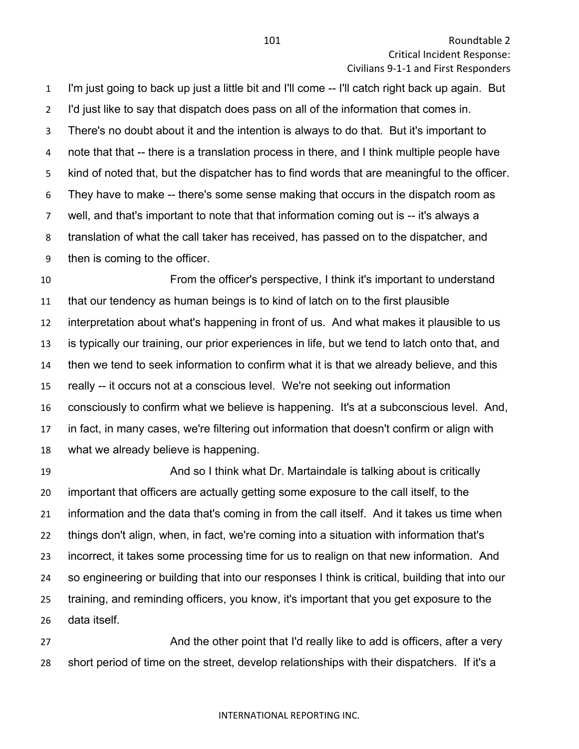I'm just going to back up just a little bit and I'll come -- I'll catch right back up again. But I'd just like to say that dispatch does pass on all of the information that comes in. There's no doubt about it and the intention is always to do that. But it's important to note that that -- there is a translation process in there, and I think multiple people have kind of noted that, but the dispatcher has to find words that are meaningful to the officer. They have to make -- there's some sense making that occurs in the dispatch room as well, and that's important to note that that information coming out is -- it's always a translation of what the call taker has received, has passed on to the dispatcher, and then is coming to the officer.

 From the officer's perspective, I think it's important to understand that our tendency as human beings is to kind of latch on to the first plausible interpretation about what's happening in front of us. And what makes it plausible to us is typically our training, our prior experiences in life, but we tend to latch onto that, and then we tend to seek information to confirm what it is that we already believe, and this really -- it occurs not at a conscious level. We're not seeking out information consciously to confirm what we believe is happening. It's at a subconscious level. And, in fact, in many cases, we're filtering out information that doesn't confirm or align with what we already believe is happening.

 And so I think what Dr. Martaindale is talking about is critically important that officers are actually getting some exposure to the call itself, to the information and the data that's coming in from the call itself. And it takes us time when things don't align, when, in fact, we're coming into a situation with information that's incorrect, it takes some processing time for us to realign on that new information. And so engineering or building that into our responses I think is critical, building that into our training, and reminding officers, you know, it's important that you get exposure to the data itself.

**And the other point that I'd really like to add is officers, after a very** short period of time on the street, develop relationships with their dispatchers. If it's a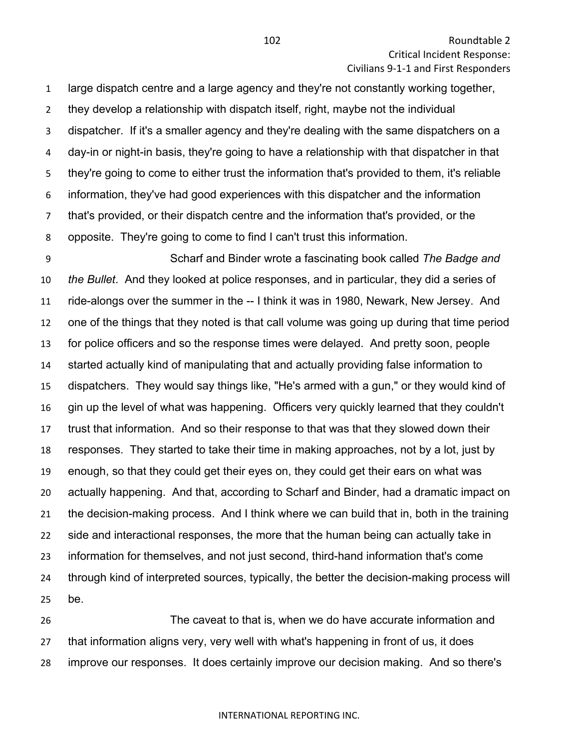Roundtable 2 Critical Incident Response: Civilians 9-1-1 and First Responders

 large dispatch centre and a large agency and they're not constantly working together, they develop a relationship with dispatch itself, right, maybe not the individual dispatcher. If it's a smaller agency and they're dealing with the same dispatchers on a day-in or night-in basis, they're going to have a relationship with that dispatcher in that they're going to come to either trust the information that's provided to them, it's reliable information, they've had good experiences with this dispatcher and the information that's provided, or their dispatch centre and the information that's provided, or the opposite. They're going to come to find I can't trust this information.

 Scharf and Binder wrote a fascinating book called *The Badge and the Bullet*. And they looked at police responses, and in particular, they did a series of ride-alongs over the summer in the -- I think it was in 1980, Newark, New Jersey. And one of the things that they noted is that call volume was going up during that time period for police officers and so the response times were delayed. And pretty soon, people started actually kind of manipulating that and actually providing false information to dispatchers. They would say things like, "He's armed with a gun," or they would kind of gin up the level of what was happening. Officers very quickly learned that they couldn't trust that information. And so their response to that was that they slowed down their responses. They started to take their time in making approaches, not by a lot, just by enough, so that they could get their eyes on, they could get their ears on what was actually happening. And that, according to Scharf and Binder, had a dramatic impact on the decision-making process. And I think where we can build that in, both in the training side and interactional responses, the more that the human being can actually take in information for themselves, and not just second, third-hand information that's come through kind of interpreted sources, typically, the better the decision-making process will be.

 The caveat to that is, when we do have accurate information and that information aligns very, very well with what's happening in front of us, it does improve our responses. It does certainly improve our decision making. And so there's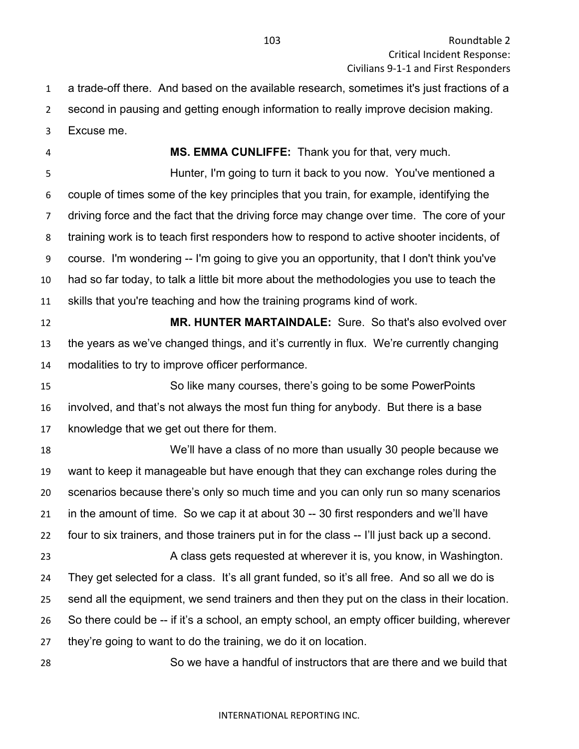a trade-off there. And based on the available research, sometimes it's just fractions of a second in pausing and getting enough information to really improve decision making.

Excuse me.

**MS. EMMA CUNLIFFE:** Thank you for that, very much.

 Hunter, I'm going to turn it back to you now. You've mentioned a couple of times some of the key principles that you train, for example, identifying the driving force and the fact that the driving force may change over time. The core of your training work is to teach first responders how to respond to active shooter incidents, of course. I'm wondering -- I'm going to give you an opportunity, that I don't think you've had so far today, to talk a little bit more about the methodologies you use to teach the skills that you're teaching and how the training programs kind of work.

 **MR. HUNTER MARTAINDALE:** Sure. So that's also evolved over the years as we've changed things, and it's currently in flux. We're currently changing modalities to try to improve officer performance.

 So like many courses, there's going to be some PowerPoints involved, and that's not always the most fun thing for anybody. But there is a base knowledge that we get out there for them.

 We'll have a class of no more than usually 30 people because we want to keep it manageable but have enough that they can exchange roles during the scenarios because there's only so much time and you can only run so many scenarios in the amount of time. So we cap it at about 30 -- 30 first responders and we'll have four to six trainers, and those trainers put in for the class -- I'll just back up a second. 23 A class gets requested at wherever it is, you know, in Washington. They get selected for a class. It's all grant funded, so it's all free. And so all we do is send all the equipment, we send trainers and then they put on the class in their location. So there could be -- if it's a school, an empty school, an empty officer building, wherever they're going to want to do the training, we do it on location.

So we have a handful of instructors that are there and we build that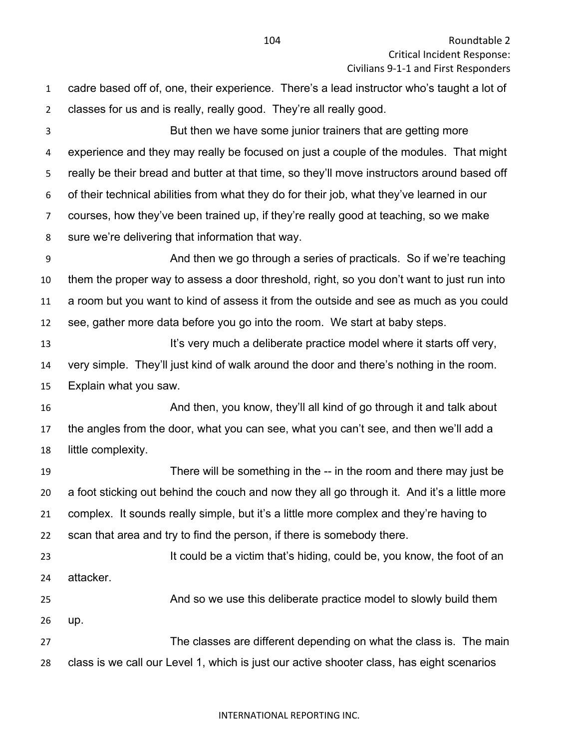| 1              | cadre based off of, one, their experience. There's a lead instructor who's taught a lot of  |
|----------------|---------------------------------------------------------------------------------------------|
| $\overline{2}$ | classes for us and is really, really good. They're all really good.                         |
| 3              | But then we have some junior trainers that are getting more                                 |
| 4              | experience and they may really be focused on just a couple of the modules. That might       |
| 5              | really be their bread and butter at that time, so they'll move instructors around based off |
| 6              | of their technical abilities from what they do for their job, what they've learned in our   |
| $\overline{7}$ | courses, how they've been trained up, if they're really good at teaching, so we make        |
| 8              | sure we're delivering that information that way.                                            |
| 9              | And then we go through a series of practicals. So if we're teaching                         |
| 10             | them the proper way to assess a door threshold, right, so you don't want to just run into   |
| 11             | a room but you want to kind of assess it from the outside and see as much as you could      |
| 12             | see, gather more data before you go into the room. We start at baby steps.                  |
| 13             | It's very much a deliberate practice model where it starts off very,                        |
| 14             | very simple. They'll just kind of walk around the door and there's nothing in the room.     |
| 15             | Explain what you saw.                                                                       |
| 16             | And then, you know, they'll all kind of go through it and talk about                        |
| 17             | the angles from the door, what you can see, what you can't see, and then we'll add a        |
| 18             | little complexity.                                                                          |
| 19             | There will be something in the -- in the room and there may just be                         |
| 20             | a foot sticking out behind the couch and now they all go through it. And it's a little more |
| 21             | complex. It sounds really simple, but it's a little more complex and they're having to      |
| 22             | scan that area and try to find the person, if there is somebody there.                      |
| 23             | It could be a victim that's hiding, could be, you know, the foot of an                      |
| 24             | attacker.                                                                                   |
| 25             | And so we use this deliberate practice model to slowly build them                           |
| 26             | up.                                                                                         |
| 27             | The classes are different depending on what the class is. The main                          |
| 28             | class is we call our Level 1, which is just our active shooter class, has eight scenarios   |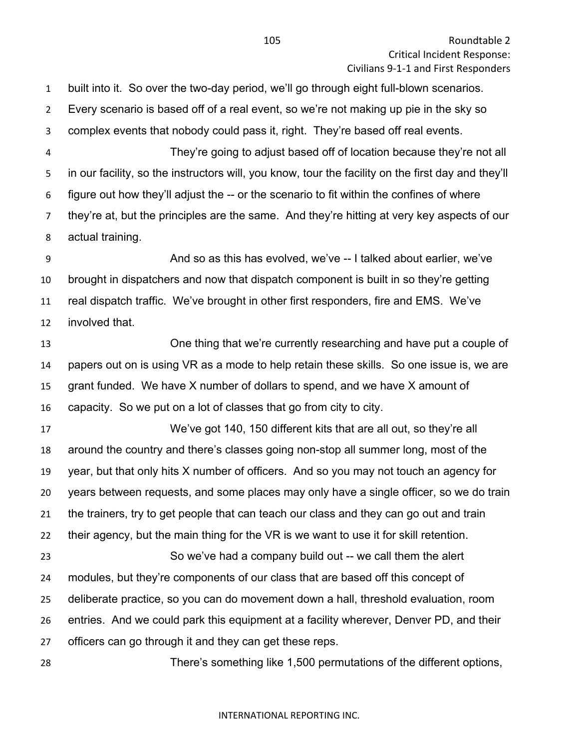built into it. So over the two-day period, we'll go through eight full-blown scenarios. Every scenario is based off of a real event, so we're not making up pie in the sky so complex events that nobody could pass it, right. They're based off real events. They're going to adjust based off of location because they're not all

 in our facility, so the instructors will, you know, tour the facility on the first day and they'll figure out how they'll adjust the -- or the scenario to fit within the confines of where they're at, but the principles are the same. And they're hitting at very key aspects of our actual training.

 And so as this has evolved, we've -- I talked about earlier, we've brought in dispatchers and now that dispatch component is built in so they're getting real dispatch traffic. We've brought in other first responders, fire and EMS. We've involved that.

 One thing that we're currently researching and have put a couple of papers out on is using VR as a mode to help retain these skills. So one issue is, we are grant funded. We have X number of dollars to spend, and we have X amount of capacity. So we put on a lot of classes that go from city to city.

 We've got 140, 150 different kits that are all out, so they're all around the country and there's classes going non-stop all summer long, most of the year, but that only hits X number of officers. And so you may not touch an agency for years between requests, and some places may only have a single officer, so we do train the trainers, try to get people that can teach our class and they can go out and train their agency, but the main thing for the VR is we want to use it for skill retention. So we've had a company build out -- we call them the alert modules, but they're components of our class that are based off this concept of deliberate practice, so you can do movement down a hall, threshold evaluation, room entries. And we could park this equipment at a facility wherever, Denver PD, and their officers can go through it and they can get these reps.

There's something like 1,500 permutations of the different options,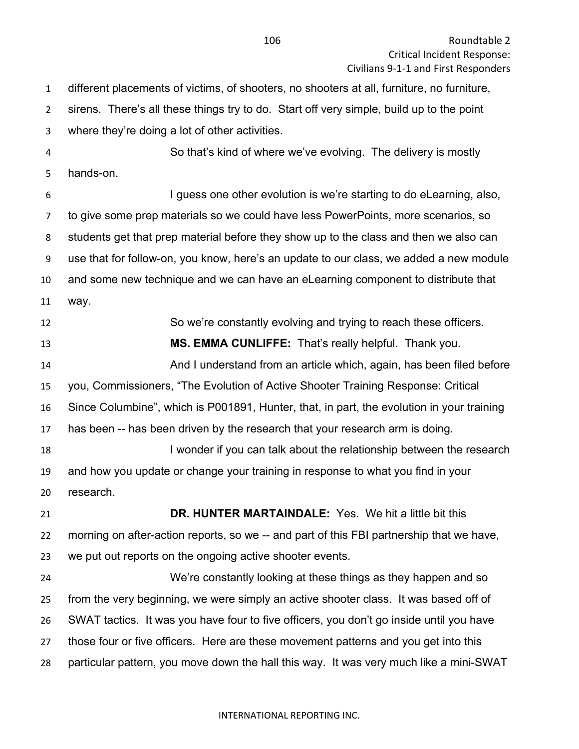different placements of victims, of shooters, no shooters at all, furniture, no furniture, sirens. There's all these things try to do. Start off very simple, build up to the point where they're doing a lot of other activities. So that's kind of where we've evolving. The delivery is mostly hands-on. I guess one other evolution is we're starting to do eLearning, also, to give some prep materials so we could have less PowerPoints, more scenarios, so students get that prep material before they show up to the class and then we also can use that for follow-on, you know, here's an update to our class, we added a new module and some new technique and we can have an eLearning component to distribute that way. So we're constantly evolving and trying to reach these officers. **MS. EMMA CUNLIFFE:** That's really helpful. Thank you. And I understand from an article which, again, has been filed before you, Commissioners, "The Evolution of Active Shooter Training Response: Critical Since Columbine", which is P001891, Hunter, that, in part, the evolution in your training has been -- has been driven by the research that your research arm is doing. 18 I wonder if you can talk about the relationship between the research and how you update or change your training in response to what you find in your research. **DR. HUNTER MARTAINDALE:** Yes. We hit a little bit this morning on after-action reports, so we -- and part of this FBI partnership that we have, we put out reports on the ongoing active shooter events. We're constantly looking at these things as they happen and so from the very beginning, we were simply an active shooter class. It was based off of SWAT tactics. It was you have four to five officers, you don't go inside until you have those four or five officers. Here are these movement patterns and you get into this particular pattern, you move down the hall this way. It was very much like a mini-SWAT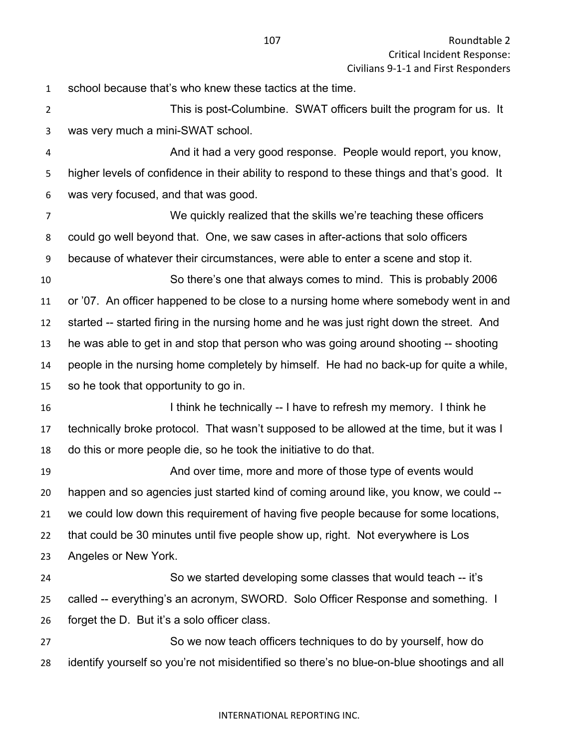school because that's who knew these tactics at the time.

 This is post-Columbine. SWAT officers built the program for us. It was very much a mini-SWAT school.

 And it had a very good response. People would report, you know, higher levels of confidence in their ability to respond to these things and that's good. It was very focused, and that was good.

 We quickly realized that the skills we're teaching these officers could go well beyond that. One, we saw cases in after-actions that solo officers because of whatever their circumstances, were able to enter a scene and stop it.

 So there's one that always comes to mind. This is probably 2006 or '07. An officer happened to be close to a nursing home where somebody went in and started -- started firing in the nursing home and he was just right down the street. And he was able to get in and stop that person who was going around shooting -- shooting people in the nursing home completely by himself. He had no back-up for quite a while, so he took that opportunity to go in.

16 I think he technically -- I have to refresh my memory. I think he technically broke protocol. That wasn't supposed to be allowed at the time, but it was I do this or more people die, so he took the initiative to do that.

 And over time, more and more of those type of events would happen and so agencies just started kind of coming around like, you know, we could -- we could low down this requirement of having five people because for some locations, that could be 30 minutes until five people show up, right. Not everywhere is Los Angeles or New York.

 So we started developing some classes that would teach -- it's called -- everything's an acronym, SWORD. Solo Officer Response and something. I forget the D. But it's a solo officer class.

 So we now teach officers techniques to do by yourself, how do identify yourself so you're not misidentified so there's no blue-on-blue shootings and all

### INTERNATIONAL REPORTING INC.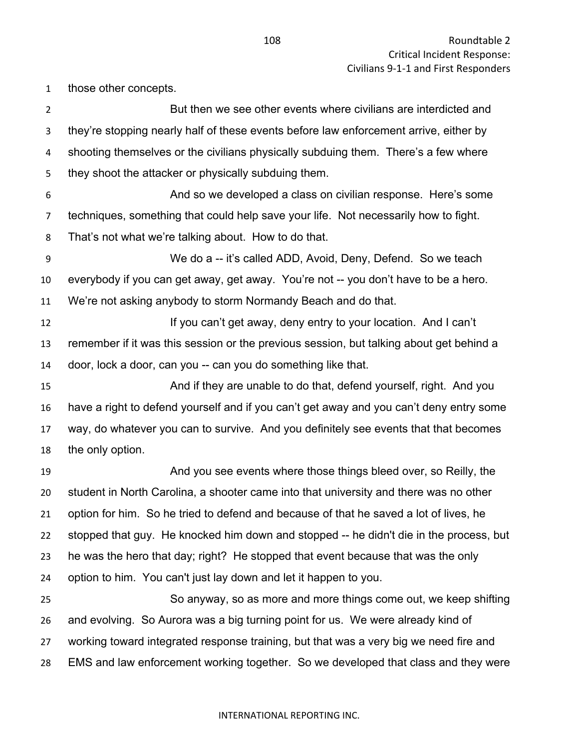those other concepts.

| $\overline{2}$   | But then we see other events where civilians are interdicted and                        |
|------------------|-----------------------------------------------------------------------------------------|
| 3                | they're stopping nearly half of these events before law enforcement arrive, either by   |
| 4                | shooting themselves or the civilians physically subduing them. There's a few where      |
| 5                | they shoot the attacker or physically subduing them.                                    |
| 6                | And so we developed a class on civilian response. Here's some                           |
| $\overline{7}$   | techniques, something that could help save your life. Not necessarily how to fight.     |
| 8                | That's not what we're talking about. How to do that.                                    |
| $\boldsymbol{9}$ | We do a -- it's called ADD, Avoid, Deny, Defend. So we teach                            |
| 10               | everybody if you can get away, get away. You're not -- you don't have to be a hero.     |
| 11               | We're not asking anybody to storm Normandy Beach and do that.                           |
| 12               | If you can't get away, deny entry to your location. And I can't                         |
| 13               | remember if it was this session or the previous session, but talking about get behind a |
| 14               | door, lock a door, can you -- can you do something like that.                           |
| 15               | And if they are unable to do that, defend yourself, right. And you                      |
| 16               | have a right to defend yourself and if you can't get away and you can't deny entry some |
| 17               | way, do whatever you can to survive. And you definitely see events that that becomes    |
| 18               | the only option.                                                                        |
| 19               | And you see events where those things bleed over, so Reilly, the                        |
| 20               | student in North Carolina, a shooter came into that university and there was no other   |
| 21               | option for him. So he tried to defend and because of that he saved a lot of lives, he   |
| 22               | stopped that guy. He knocked him down and stopped -- he didn't die in the process, but  |
| 23               | he was the hero that day; right? He stopped that event because that was the only        |
| 24               | option to him. You can't just lay down and let it happen to you.                        |
| 25               | So anyway, so as more and more things come out, we keep shifting                        |
| 26               | and evolving. So Aurora was a big turning point for us. We were already kind of         |
| 27               | working toward integrated response training, but that was a very big we need fire and   |
| 28               | EMS and law enforcement working together. So we developed that class and they were      |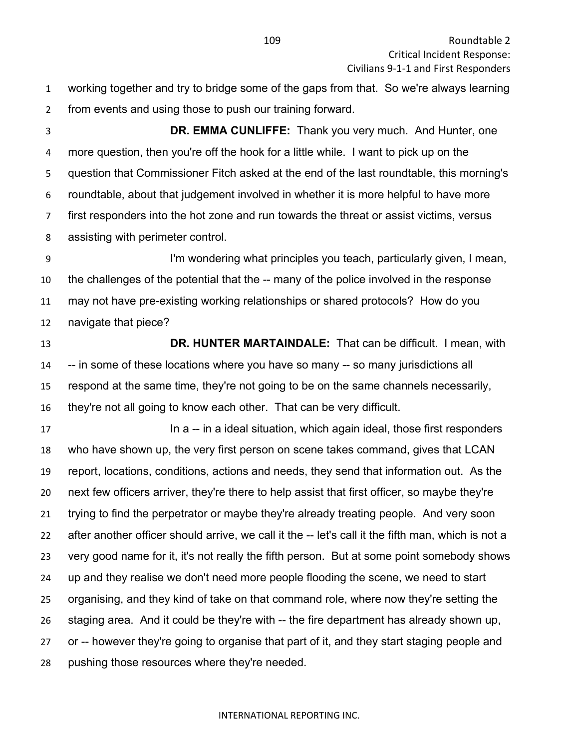working together and try to bridge some of the gaps from that. So we're always learning from events and using those to push our training forward.

 **DR. EMMA CUNLIFFE:** Thank you very much. And Hunter, one more question, then you're off the hook for a little while. I want to pick up on the question that Commissioner Fitch asked at the end of the last roundtable, this morning's roundtable, about that judgement involved in whether it is more helpful to have more first responders into the hot zone and run towards the threat or assist victims, versus assisting with perimeter control.

 I'm wondering what principles you teach, particularly given, I mean, the challenges of the potential that the -- many of the police involved in the response may not have pre-existing working relationships or shared protocols? How do you navigate that piece?

 **DR. HUNTER MARTAINDALE:** That can be difficult. I mean, with -- in some of these locations where you have so many -- so many jurisdictions all respond at the same time, they're not going to be on the same channels necessarily, they're not all going to know each other. That can be very difficult.

**In a -- in a ideal situation, which again ideal, those first responders**  who have shown up, the very first person on scene takes command, gives that LCAN report, locations, conditions, actions and needs, they send that information out. As the next few officers arriver, they're there to help assist that first officer, so maybe they're trying to find the perpetrator or maybe they're already treating people. And very soon after another officer should arrive, we call it the -- let's call it the fifth man, which is not a very good name for it, it's not really the fifth person. But at some point somebody shows up and they realise we don't need more people flooding the scene, we need to start organising, and they kind of take on that command role, where now they're setting the staging area. And it could be they're with -- the fire department has already shown up, or -- however they're going to organise that part of it, and they start staging people and pushing those resources where they're needed.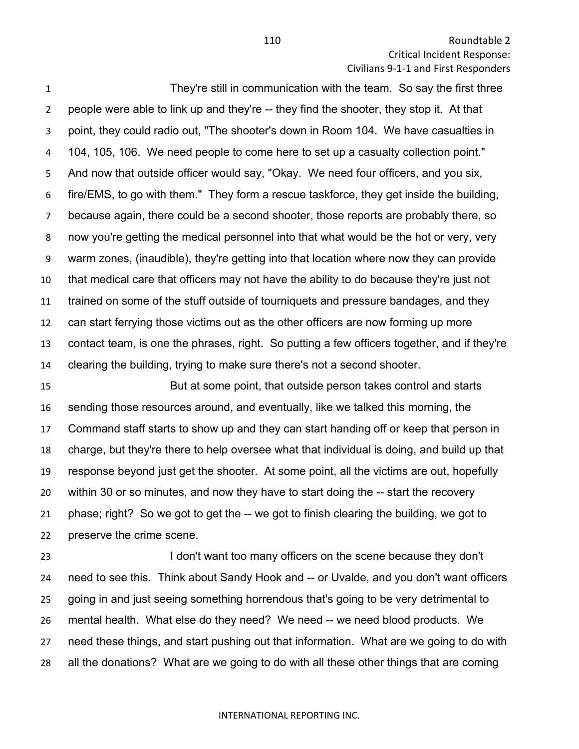110 Roundtable 2 Critical Incident Response: Civilians 9-1-1 and First Responders

 They're still in communication with the team. So say the first three people were able to link up and they're -- they find the shooter, they stop it. At that point, they could radio out, "The shooter's down in Room 104. We have casualties in 104, 105, 106. We need people to come here to set up a casualty collection point." And now that outside officer would say, "Okay. We need four officers, and you six, fire/EMS, to go with them." They form a rescue taskforce, they get inside the building, because again, there could be a second shooter, those reports are probably there, so now you're getting the medical personnel into that what would be the hot or very, very warm zones, (inaudible), they're getting into that location where now they can provide that medical care that officers may not have the ability to do because they're just not trained on some of the stuff outside of tourniquets and pressure bandages, and they can start ferrying those victims out as the other officers are now forming up more contact team, is one the phrases, right. So putting a few officers together, and if they're clearing the building, trying to make sure there's not a second shooter.

 But at some point, that outside person takes control and starts sending those resources around, and eventually, like we talked this morning, the Command staff starts to show up and they can start handing off or keep that person in charge, but they're there to help oversee what that individual is doing, and build up that response beyond just get the shooter. At some point, all the victims are out, hopefully within 30 or so minutes, and now they have to start doing the -- start the recovery phase; right? So we got to get the -- we got to finish clearing the building, we got to preserve the crime scene.

 I don't want too many officers on the scene because they don't need to see this. Think about Sandy Hook and -- or Uvalde, and you don't want officers going in and just seeing something horrendous that's going to be very detrimental to mental health. What else do they need? We need -- we need blood products. We need these things, and start pushing out that information. What are we going to do with all the donations? What are we going to do with all these other things that are coming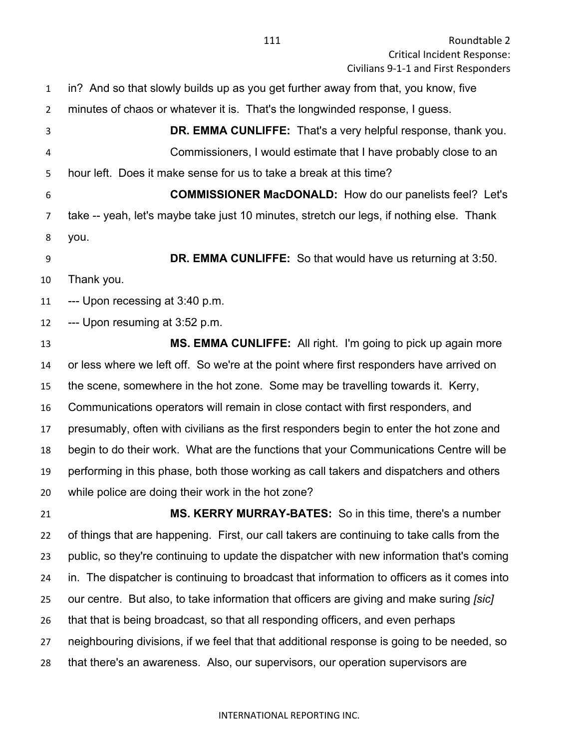in? And so that slowly builds up as you get further away from that, you know, five

minutes of chaos or whatever it is. That's the longwinded response, I guess.

 **DR. EMMA CUNLIFFE:** That's a very helpful response, thank you. Commissioners, I would estimate that I have probably close to an hour left. Does it make sense for us to take a break at this time?

 **COMMISSIONER MacDONALD:** How do our panelists feel? Let's take -- yeah, let's maybe take just 10 minutes, stretch our legs, if nothing else. Thank you.

 **DR. EMMA CUNLIFFE:** So that would have us returning at 3:50. Thank you.

--- Upon recessing at 3:40 p.m.

--- Upon resuming at 3:52 p.m.

 **MS. EMMA CUNLIFFE:** All right. I'm going to pick up again more or less where we left off. So we're at the point where first responders have arrived on the scene, somewhere in the hot zone. Some may be travelling towards it. Kerry, Communications operators will remain in close contact with first responders, and presumably, often with civilians as the first responders begin to enter the hot zone and begin to do their work. What are the functions that your Communications Centre will be performing in this phase, both those working as call takers and dispatchers and others while police are doing their work in the hot zone?

 **MS. KERRY MURRAY-BATES:** So in this time, there's a number of things that are happening. First, our call takers are continuing to take calls from the public, so they're continuing to update the dispatcher with new information that's coming in. The dispatcher is continuing to broadcast that information to officers as it comes into our centre. But also, to take information that officers are giving and make suring *[sic]* that that is being broadcast, so that all responding officers, and even perhaps neighbouring divisions, if we feel that that additional response is going to be needed, so that there's an awareness. Also, our supervisors, our operation supervisors are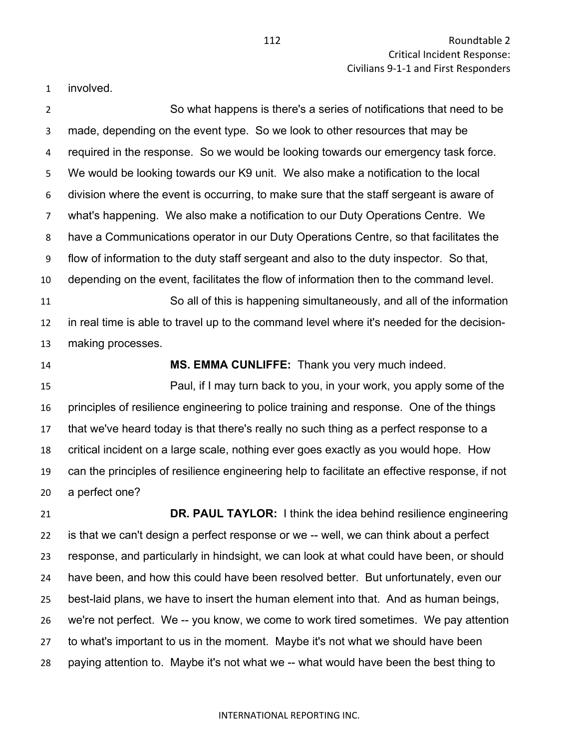involved.

 So what happens is there's a series of notifications that need to be made, depending on the event type. So we look to other resources that may be required in the response. So we would be looking towards our emergency task force. We would be looking towards our K9 unit. We also make a notification to the local division where the event is occurring, to make sure that the staff sergeant is aware of what's happening. We also make a notification to our Duty Operations Centre. We have a Communications operator in our Duty Operations Centre, so that facilitates the flow of information to the duty staff sergeant and also to the duty inspector. So that, depending on the event, facilitates the flow of information then to the command level. So all of this is happening simultaneously, and all of the information in real time is able to travel up to the command level where it's needed for the decision- making processes. **MS. EMMA CUNLIFFE:** Thank you very much indeed.

 Paul, if I may turn back to you, in your work, you apply some of the principles of resilience engineering to police training and response. One of the things that we've heard today is that there's really no such thing as a perfect response to a critical incident on a large scale, nothing ever goes exactly as you would hope. How can the principles of resilience engineering help to facilitate an effective response, if not a perfect one?

 **DR. PAUL TAYLOR:** I think the idea behind resilience engineering is that we can't design a perfect response or we -- well, we can think about a perfect response, and particularly in hindsight, we can look at what could have been, or should have been, and how this could have been resolved better. But unfortunately, even our best-laid plans, we have to insert the human element into that. And as human beings, we're not perfect. We -- you know, we come to work tired sometimes. We pay attention to what's important to us in the moment. Maybe it's not what we should have been paying attention to. Maybe it's not what we -- what would have been the best thing to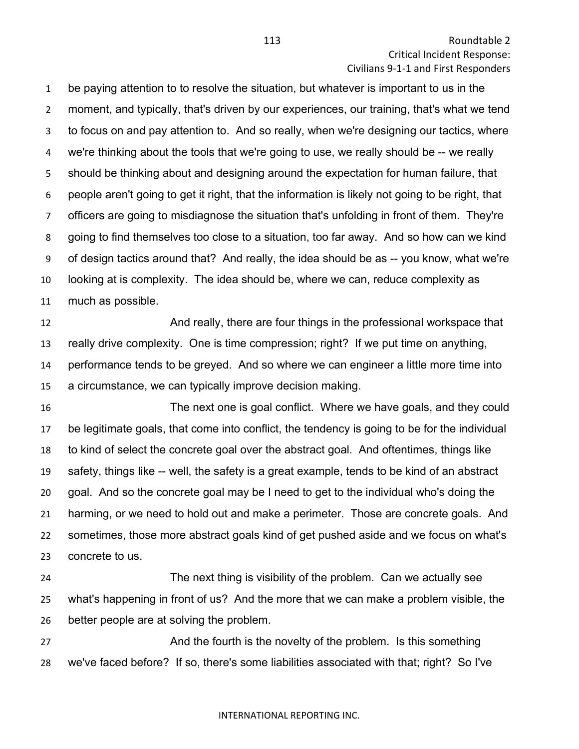be paying attention to to resolve the situation, but whatever is important to us in the moment, and typically, that's driven by our experiences, our training, that's what we tend to focus on and pay attention to. And so really, when we're designing our tactics, where we're thinking about the tools that we're going to use, we really should be -- we really should be thinking about and designing around the expectation for human failure, that people aren't going to get it right, that the information is likely not going to be right, that officers are going to misdiagnose the situation that's unfolding in front of them. They're going to find themselves too close to a situation, too far away. And so how can we kind of design tactics around that? And really, the idea should be as -- you know, what we're looking at is complexity. The idea should be, where we can, reduce complexity as much as possible.

**And really, there are four things in the professional workspace that**  really drive complexity. One is time compression; right? If we put time on anything, performance tends to be greyed. And so where we can engineer a little more time into a circumstance, we can typically improve decision making.

 The next one is goal conflict. Where we have goals, and they could be legitimate goals, that come into conflict, the tendency is going to be for the individual to kind of select the concrete goal over the abstract goal. And oftentimes, things like safety, things like -- well, the safety is a great example, tends to be kind of an abstract goal. And so the concrete goal may be I need to get to the individual who's doing the harming, or we need to hold out and make a perimeter. Those are concrete goals. And sometimes, those more abstract goals kind of get pushed aside and we focus on what's concrete to us.

 The next thing is visibility of the problem. Can we actually see what's happening in front of us? And the more that we can make a problem visible, the better people are at solving the problem.

 And the fourth is the novelty of the problem. Is this something we've faced before? If so, there's some liabilities associated with that; right? So I've

### INTERNATIONAL REPORTING INC.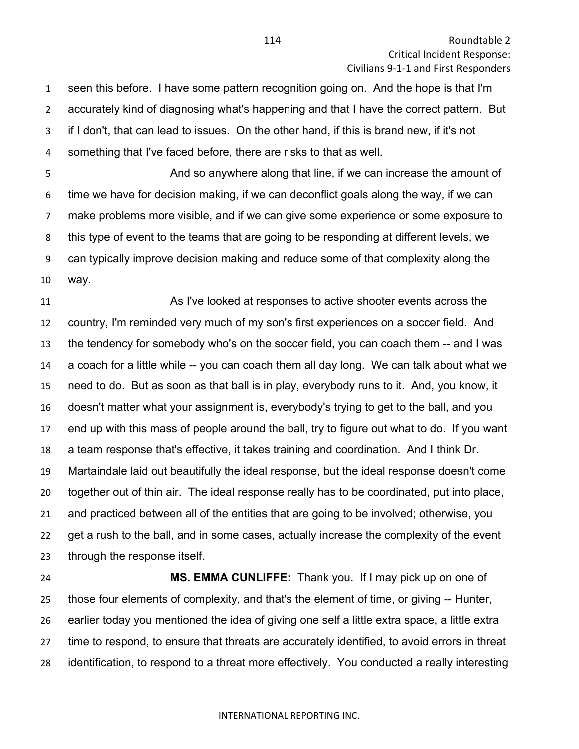seen this before. I have some pattern recognition going on. And the hope is that I'm accurately kind of diagnosing what's happening and that I have the correct pattern. But if I don't, that can lead to issues. On the other hand, if this is brand new, if it's not something that I've faced before, there are risks to that as well.

 And so anywhere along that line, if we can increase the amount of time we have for decision making, if we can deconflict goals along the way, if we can make problems more visible, and if we can give some experience or some exposure to this type of event to the teams that are going to be responding at different levels, we can typically improve decision making and reduce some of that complexity along the way.

 As I've looked at responses to active shooter events across the country, I'm reminded very much of my son's first experiences on a soccer field. And the tendency for somebody who's on the soccer field, you can coach them -- and I was a coach for a little while -- you can coach them all day long. We can talk about what we need to do. But as soon as that ball is in play, everybody runs to it. And, you know, it doesn't matter what your assignment is, everybody's trying to get to the ball, and you end up with this mass of people around the ball, try to figure out what to do. If you want a team response that's effective, it takes training and coordination. And I think Dr. Martaindale laid out beautifully the ideal response, but the ideal response doesn't come together out of thin air. The ideal response really has to be coordinated, put into place, and practiced between all of the entities that are going to be involved; otherwise, you get a rush to the ball, and in some cases, actually increase the complexity of the event through the response itself.

 **MS. EMMA CUNLIFFE:** Thank you. If I may pick up on one of those four elements of complexity, and that's the element of time, or giving -- Hunter, earlier today you mentioned the idea of giving one self a little extra space, a little extra time to respond, to ensure that threats are accurately identified, to avoid errors in threat identification, to respond to a threat more effectively. You conducted a really interesting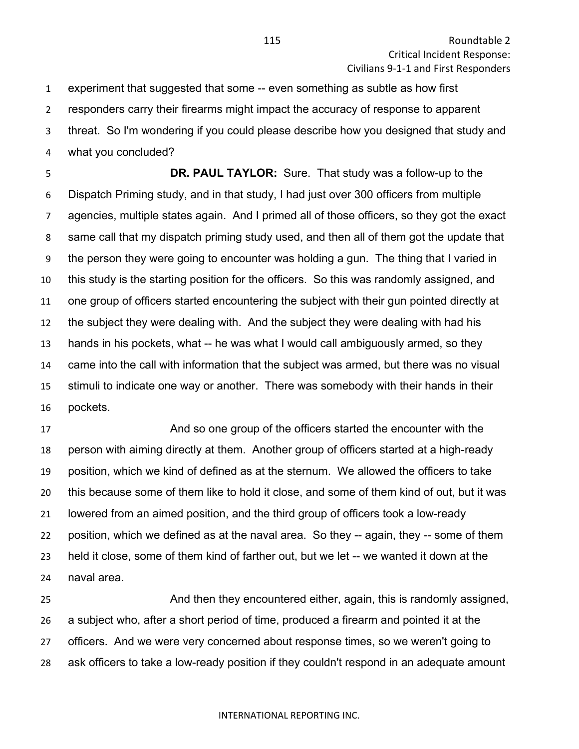experiment that suggested that some -- even something as subtle as how first responders carry their firearms might impact the accuracy of response to apparent threat. So I'm wondering if you could please describe how you designed that study and what you concluded?

 **DR. PAUL TAYLOR:** Sure. That study was a follow-up to the Dispatch Priming study, and in that study, I had just over 300 officers from multiple agencies, multiple states again. And I primed all of those officers, so they got the exact same call that my dispatch priming study used, and then all of them got the update that the person they were going to encounter was holding a gun. The thing that I varied in this study is the starting position for the officers. So this was randomly assigned, and one group of officers started encountering the subject with their gun pointed directly at the subject they were dealing with. And the subject they were dealing with had his hands in his pockets, what -- he was what I would call ambiguously armed, so they came into the call with information that the subject was armed, but there was no visual stimuli to indicate one way or another. There was somebody with their hands in their pockets.

 And so one group of the officers started the encounter with the person with aiming directly at them. Another group of officers started at a high-ready position, which we kind of defined as at the sternum. We allowed the officers to take this because some of them like to hold it close, and some of them kind of out, but it was lowered from an aimed position, and the third group of officers took a low-ready position, which we defined as at the naval area. So they -- again, they -- some of them held it close, some of them kind of farther out, but we let -- we wanted it down at the naval area.

 And then they encountered either, again, this is randomly assigned, a subject who, after a short period of time, produced a firearm and pointed it at the officers. And we were very concerned about response times, so we weren't going to ask officers to take a low-ready position if they couldn't respond in an adequate amount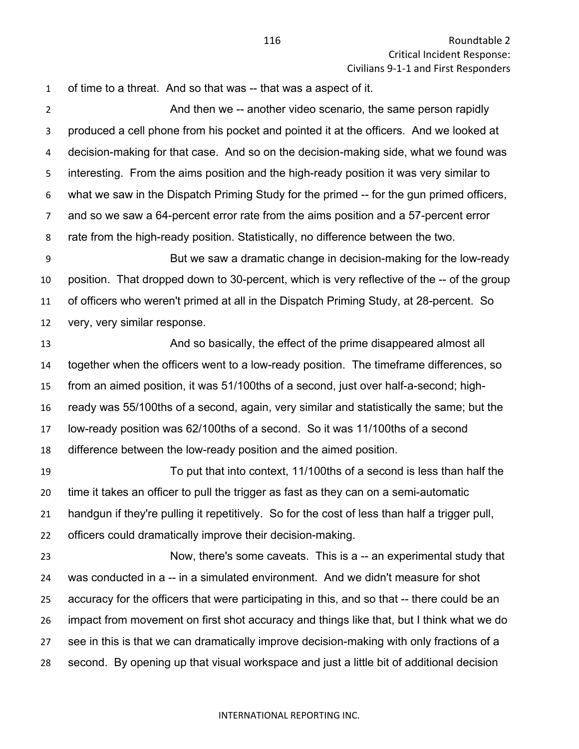of time to a threat. And so that was -- that was a aspect of it.

 And then we -- another video scenario, the same person rapidly produced a cell phone from his pocket and pointed it at the officers. And we looked at decision-making for that case. And so on the decision-making side, what we found was interesting. From the aims position and the high-ready position it was very similar to what we saw in the Dispatch Priming Study for the primed -- for the gun primed officers, and so we saw a 64-percent error rate from the aims position and a 57-percent error rate from the high-ready position. Statistically, no difference between the two.

 But we saw a dramatic change in decision-making for the low-ready position. That dropped down to 30-percent, which is very reflective of the -- of the group of officers who weren't primed at all in the Dispatch Priming Study, at 28-percent. So very, very similar response.

 And so basically, the effect of the prime disappeared almost all together when the officers went to a low-ready position. The timeframe differences, so from an aimed position, it was 51/100ths of a second, just over half-a-second; high- ready was 55/100ths of a second, again, very similar and statistically the same; but the low-ready position was 62/100ths of a second. So it was 11/100ths of a second difference between the low-ready position and the aimed position.

 To put that into context, 11/100ths of a second is less than half the time it takes an officer to pull the trigger as fast as they can on a semi-automatic handgun if they're pulling it repetitively. So for the cost of less than half a trigger pull, officers could dramatically improve their decision-making.

 Now, there's some caveats. This is a -- an experimental study that was conducted in a -- in a simulated environment. And we didn't measure for shot accuracy for the officers that were participating in this, and so that -- there could be an impact from movement on first shot accuracy and things like that, but I think what we do see in this is that we can dramatically improve decision-making with only fractions of a second. By opening up that visual workspace and just a little bit of additional decision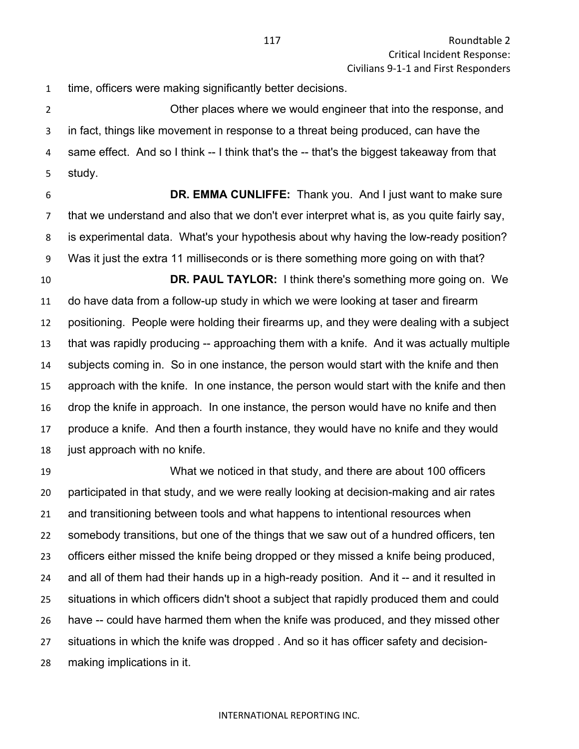time, officers were making significantly better decisions.

 Other places where we would engineer that into the response, and in fact, things like movement in response to a threat being produced, can have the same effect. And so I think -- I think that's the -- that's the biggest takeaway from that study.

 **DR. EMMA CUNLIFFE:** Thank you. And I just want to make sure that we understand and also that we don't ever interpret what is, as you quite fairly say, is experimental data. What's your hypothesis about why having the low-ready position? Was it just the extra 11 milliseconds or is there something more going on with that?

 **DR. PAUL TAYLOR:** I think there's something more going on. We do have data from a follow-up study in which we were looking at taser and firearm positioning. People were holding their firearms up, and they were dealing with a subject that was rapidly producing -- approaching them with a knife. And it was actually multiple subjects coming in. So in one instance, the person would start with the knife and then approach with the knife. In one instance, the person would start with the knife and then drop the knife in approach. In one instance, the person would have no knife and then produce a knife. And then a fourth instance, they would have no knife and they would 18 just approach with no knife.

 What we noticed in that study, and there are about 100 officers participated in that study, and we were really looking at decision-making and air rates and transitioning between tools and what happens to intentional resources when somebody transitions, but one of the things that we saw out of a hundred officers, ten officers either missed the knife being dropped or they missed a knife being produced, 24 and all of them had their hands up in a high-ready position. And it -- and it resulted in situations in which officers didn't shoot a subject that rapidly produced them and could have -- could have harmed them when the knife was produced, and they missed other situations in which the knife was dropped . And so it has officer safety and decision-making implications in it.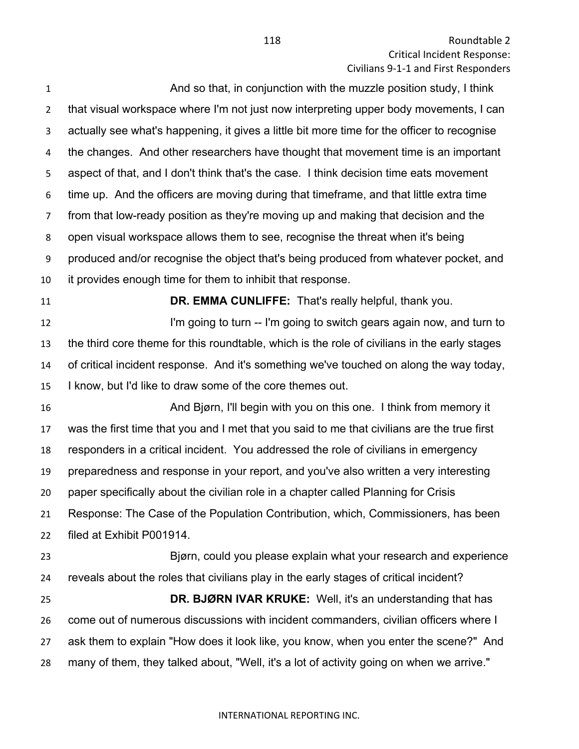And so that, in conjunction with the muzzle position study, I think that visual workspace where I'm not just now interpreting upper body movements, I can actually see what's happening, it gives a little bit more time for the officer to recognise the changes. And other researchers have thought that movement time is an important aspect of that, and I don't think that's the case. I think decision time eats movement time up. And the officers are moving during that timeframe, and that little extra time from that low-ready position as they're moving up and making that decision and the open visual workspace allows them to see, recognise the threat when it's being produced and/or recognise the object that's being produced from whatever pocket, and it provides enough time for them to inhibit that response.

**DR. EMMA CUNLIFFE:** That's really helpful, thank you.

**I'm going to turn -- I'm going to switch gears again now, and turn to**  the third core theme for this roundtable, which is the role of civilians in the early stages of critical incident response. And it's something we've touched on along the way today, I know, but I'd like to draw some of the core themes out.

 And Bjørn, I'll begin with you on this one. I think from memory it was the first time that you and I met that you said to me that civilians are the true first responders in a critical incident. You addressed the role of civilians in emergency preparedness and response in your report, and you've also written a very interesting paper specifically about the civilian role in a chapter called Planning for Crisis Response: The Case of the Population Contribution, which, Commissioners, has been filed at Exhibit P001914.

 Bjørn, could you please explain what your research and experience reveals about the roles that civilians play in the early stages of critical incident? **DR. BJØRN IVAR KRUKE:** Well, it's an understanding that has come out of numerous discussions with incident commanders, civilian officers where I ask them to explain "How does it look like, you know, when you enter the scene?" And many of them, they talked about, "Well, it's a lot of activity going on when we arrive."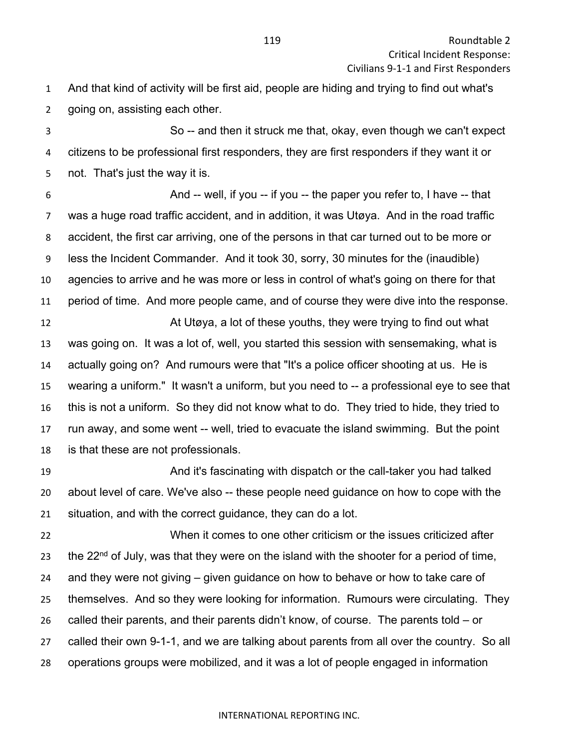And that kind of activity will be first aid, people are hiding and trying to find out what's going on, assisting each other.

 So -- and then it struck me that, okay, even though we can't expect citizens to be professional first responders, they are first responders if they want it or not. That's just the way it is.

 And -- well, if you -- if you -- the paper you refer to, I have -- that was a huge road traffic accident, and in addition, it was Utøya. And in the road traffic accident, the first car arriving, one of the persons in that car turned out to be more or less the Incident Commander. And it took 30, sorry, 30 minutes for the (inaudible) agencies to arrive and he was more or less in control of what's going on there for that period of time. And more people came, and of course they were dive into the response.

 At Utøya, a lot of these youths, they were trying to find out what was going on. It was a lot of, well, you started this session with sensemaking, what is actually going on? And rumours were that "It's a police officer shooting at us. He is wearing a uniform." It wasn't a uniform, but you need to -- a professional eye to see that this is not a uniform. So they did not know what to do. They tried to hide, they tried to run away, and some went -- well, tried to evacuate the island swimming. But the point is that these are not professionals.

 And it's fascinating with dispatch or the call-taker you had talked about level of care. We've also -- these people need guidance on how to cope with the situation, and with the correct guidance, they can do a lot.

 When it comes to one other criticism or the issues criticized after 23 the  $22<sup>nd</sup>$  of July, was that they were on the island with the shooter for a period of time, and they were not giving – given guidance on how to behave or how to take care of themselves. And so they were looking for information. Rumours were circulating. They called their parents, and their parents didn't know, of course. The parents told – or called their own 9-1-1, and we are talking about parents from all over the country. So all operations groups were mobilized, and it was a lot of people engaged in information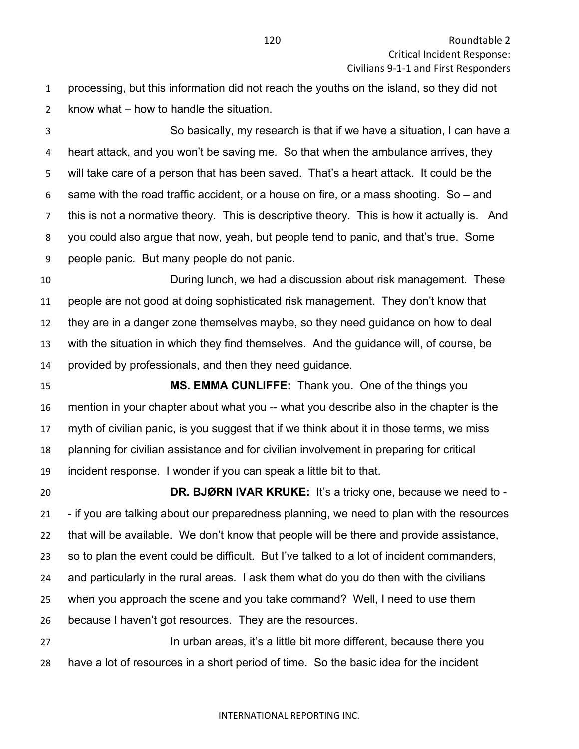processing, but this information did not reach the youths on the island, so they did not know what – how to handle the situation.

 So basically, my research is that if we have a situation, I can have a heart attack, and you won't be saving me. So that when the ambulance arrives, they will take care of a person that has been saved. That's a heart attack. It could be the same with the road traffic accident, or a house on fire, or a mass shooting. So – and this is not a normative theory. This is descriptive theory. This is how it actually is. And you could also argue that now, yeah, but people tend to panic, and that's true. Some people panic. But many people do not panic.

 During lunch, we had a discussion about risk management. These people are not good at doing sophisticated risk management. They don't know that they are in a danger zone themselves maybe, so they need guidance on how to deal with the situation in which they find themselves. And the guidance will, of course, be provided by professionals, and then they need guidance.

 **MS. EMMA CUNLIFFE:** Thank you. One of the things you mention in your chapter about what you -- what you describe also in the chapter is the myth of civilian panic, is you suggest that if we think about it in those terms, we miss planning for civilian assistance and for civilian involvement in preparing for critical incident response. I wonder if you can speak a little bit to that.

 **DR. BJØRN IVAR KRUKE:** It's a tricky one, because we need to - - if you are talking about our preparedness planning, we need to plan with the resources that will be available. We don't know that people will be there and provide assistance, so to plan the event could be difficult. But I've talked to a lot of incident commanders, and particularly in the rural areas. I ask them what do you do then with the civilians when you approach the scene and you take command? Well, I need to use them because I haven't got resources. They are the resources.

 In urban areas, it's a little bit more different, because there you have a lot of resources in a short period of time. So the basic idea for the incident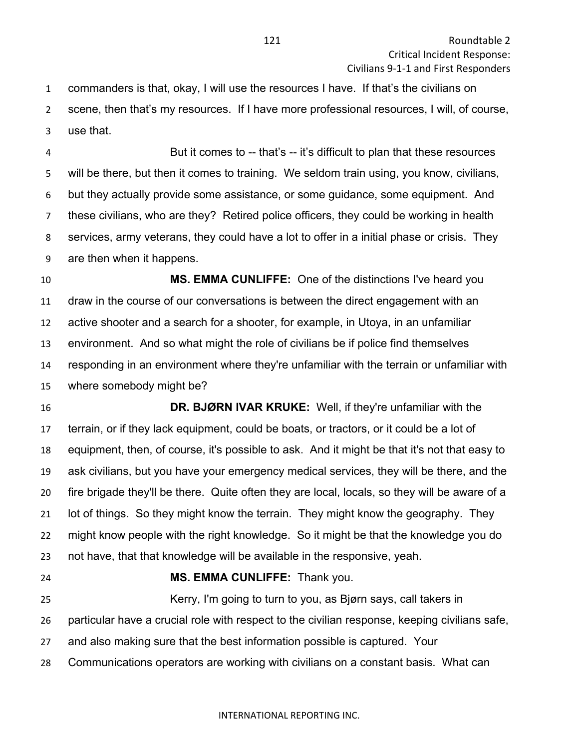commanders is that, okay, I will use the resources I have. If that's the civilians on scene, then that's my resources. If I have more professional resources, I will, of course, use that.

 But it comes to -- that's -- it's difficult to plan that these resources will be there, but then it comes to training. We seldom train using, you know, civilians, but they actually provide some assistance, or some guidance, some equipment. And these civilians, who are they? Retired police officers, they could be working in health services, army veterans, they could have a lot to offer in a initial phase or crisis. They are then when it happens.

 **MS. EMMA CUNLIFFE:** One of the distinctions I've heard you draw in the course of our conversations is between the direct engagement with an active shooter and a search for a shooter, for example, in Utoya, in an unfamiliar environment. And so what might the role of civilians be if police find themselves responding in an environment where they're unfamiliar with the terrain or unfamiliar with where somebody might be?

 **DR. BJØRN IVAR KRUKE:** Well, if they're unfamiliar with the terrain, or if they lack equipment, could be boats, or tractors, or it could be a lot of equipment, then, of course, it's possible to ask. And it might be that it's not that easy to ask civilians, but you have your emergency medical services, they will be there, and the fire brigade they'll be there. Quite often they are local, locals, so they will be aware of a lot of things. So they might know the terrain. They might know the geography. They might know people with the right knowledge. So it might be that the knowledge you do not have, that that knowledge will be available in the responsive, yeah.

**MS. EMMA CUNLIFFE:** Thank you.

 Kerry, I'm going to turn to you, as Bjørn says, call takers in particular have a crucial role with respect to the civilian response, keeping civilians safe,

- and also making sure that the best information possible is captured. Your
- Communications operators are working with civilians on a constant basis. What can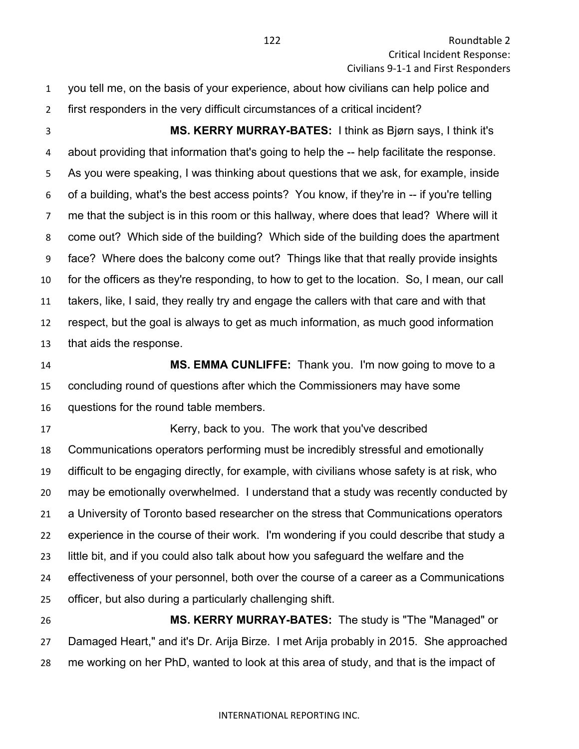you tell me, on the basis of your experience, about how civilians can help police and first responders in the very difficult circumstances of a critical incident?

 **MS. KERRY MURRAY-BATES:** I think as Bjørn says, I think it's about providing that information that's going to help the -- help facilitate the response. As you were speaking, I was thinking about questions that we ask, for example, inside of a building, what's the best access points? You know, if they're in -- if you're telling me that the subject is in this room or this hallway, where does that lead? Where will it come out? Which side of the building? Which side of the building does the apartment face? Where does the balcony come out? Things like that that really provide insights for the officers as they're responding, to how to get to the location. So, I mean, our call takers, like, I said, they really try and engage the callers with that care and with that respect, but the goal is always to get as much information, as much good information that aids the response.

 **MS. EMMA CUNLIFFE:** Thank you. I'm now going to move to a concluding round of questions after which the Commissioners may have some questions for the round table members.

 Kerry, back to you. The work that you've described Communications operators performing must be incredibly stressful and emotionally difficult to be engaging directly, for example, with civilians whose safety is at risk, who may be emotionally overwhelmed. I understand that a study was recently conducted by a University of Toronto based researcher on the stress that Communications operators experience in the course of their work. I'm wondering if you could describe that study a little bit, and if you could also talk about how you safeguard the welfare and the effectiveness of your personnel, both over the course of a career as a Communications officer, but also during a particularly challenging shift.

 **MS. KERRY MURRAY-BATES:** The study is "The "Managed" or Damaged Heart," and it's Dr. Arija Birze. I met Arija probably in 2015. She approached me working on her PhD, wanted to look at this area of study, and that is the impact of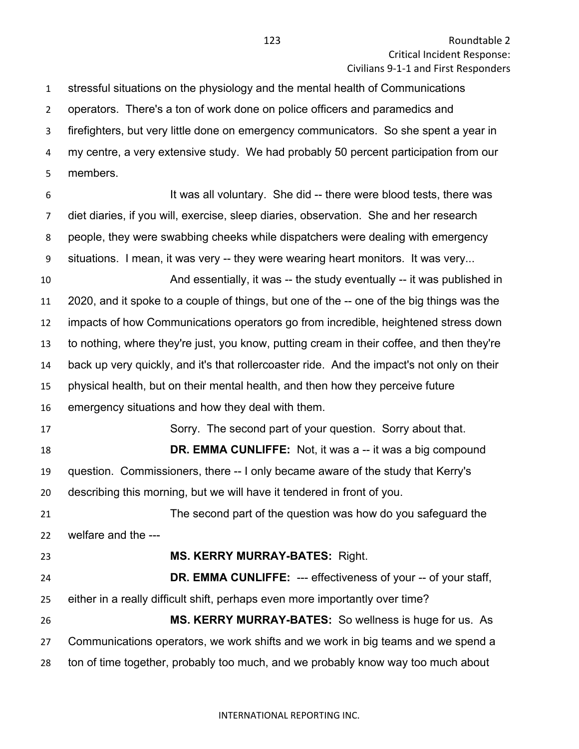stressful situations on the physiology and the mental health of Communications operators. There's a ton of work done on police officers and paramedics and firefighters, but very little done on emergency communicators. So she spent a year in my centre, a very extensive study. We had probably 50 percent participation from our members. It was all voluntary. She did -- there were blood tests, there was diet diaries, if you will, exercise, sleep diaries, observation. She and her research people, they were swabbing cheeks while dispatchers were dealing with emergency

situations. I mean, it was very -- they were wearing heart monitors. It was very...

 And essentially, it was -- the study eventually -- it was published in 2020, and it spoke to a couple of things, but one of the -- one of the big things was the impacts of how Communications operators go from incredible, heightened stress down to nothing, where they're just, you know, putting cream in their coffee, and then they're back up very quickly, and it's that rollercoaster ride. And the impact's not only on their physical health, but on their mental health, and then how they perceive future emergency situations and how they deal with them.

17 Sorry. The second part of your question. Sorry about that. **DR. EMMA CUNLIFFE:** Not, it was a -- it was a big compound question. Commissioners, there -- I only became aware of the study that Kerry's describing this morning, but we will have it tendered in front of you.

 The second part of the question was how do you safeguard the welfare and the ---

# **MS. KERRY MURRAY-BATES:** Right.

 **DR. EMMA CUNLIFFE:** --- effectiveness of your -- of your staff, either in a really difficult shift, perhaps even more importantly over time? **MS. KERRY MURRAY-BATES:** So wellness is huge for us. As Communications operators, we work shifts and we work in big teams and we spend a ton of time together, probably too much, and we probably know way too much about

### INTERNATIONAL REPORTING INC.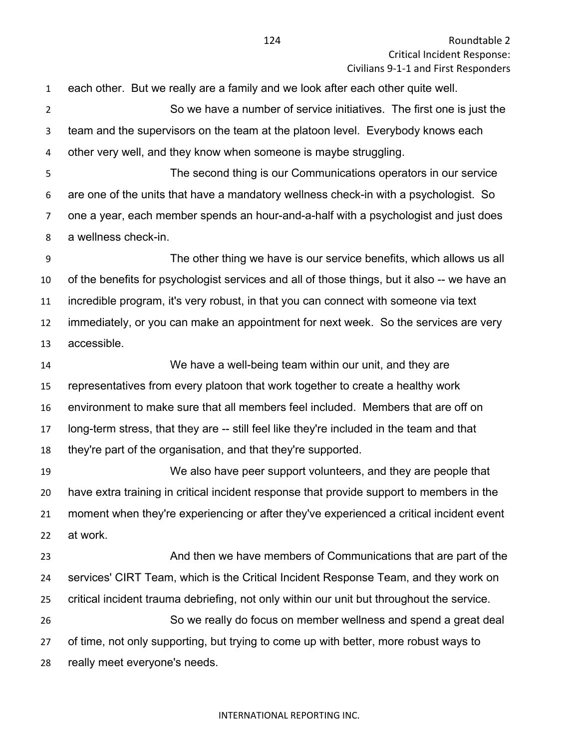each other. But we really are a family and we look after each other quite well. So we have a number of service initiatives. The first one is just the team and the supervisors on the team at the platoon level. Everybody knows each other very well, and they know when someone is maybe struggling. The second thing is our Communications operators in our service

 are one of the units that have a mandatory wellness check-in with a psychologist. So one a year, each member spends an hour-and-a-half with a psychologist and just does a wellness check-in.

 The other thing we have is our service benefits, which allows us all of the benefits for psychologist services and all of those things, but it also -- we have an incredible program, it's very robust, in that you can connect with someone via text immediately, or you can make an appointment for next week. So the services are very accessible.

 We have a well-being team within our unit, and they are representatives from every platoon that work together to create a healthy work environment to make sure that all members feel included. Members that are off on long-term stress, that they are -- still feel like they're included in the team and that they're part of the organisation, and that they're supported.

 We also have peer support volunteers, and they are people that have extra training in critical incident response that provide support to members in the moment when they're experiencing or after they've experienced a critical incident event at work.

 And then we have members of Communications that are part of the services' CIRT Team, which is the Critical Incident Response Team, and they work on critical incident trauma debriefing, not only within our unit but throughout the service. So we really do focus on member wellness and spend a great deal of time, not only supporting, but trying to come up with better, more robust ways to really meet everyone's needs.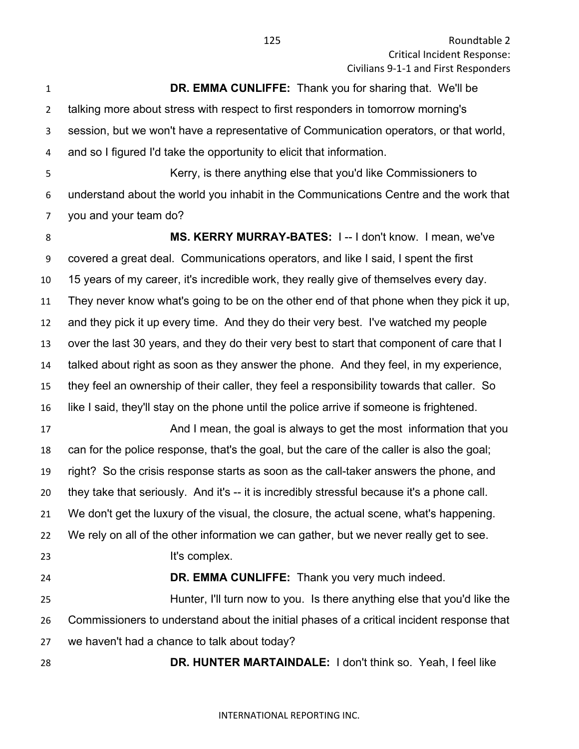**DR. EMMA CUNLIFFE:** Thank you for sharing that. We'll be talking more about stress with respect to first responders in tomorrow morning's session, but we won't have a representative of Communication operators, or that world, and so I figured I'd take the opportunity to elicit that information. 5 Kerry, is there anything else that you'd like Commissioners to understand about the world you inhabit in the Communications Centre and the work that you and your team do? **MS. KERRY MURRAY-BATES:** I -- I don't know. I mean, we've covered a great deal. Communications operators, and like I said, I spent the first 15 years of my career, it's incredible work, they really give of themselves every day. They never know what's going to be on the other end of that phone when they pick it up, and they pick it up every time. And they do their very best. I've watched my people over the last 30 years, and they do their very best to start that component of care that I talked about right as soon as they answer the phone. And they feel, in my experience, they feel an ownership of their caller, they feel a responsibility towards that caller. So like I said, they'll stay on the phone until the police arrive if someone is frightened. 17 And I mean, the goal is always to get the most information that you can for the police response, that's the goal, but the care of the caller is also the goal; right? So the crisis response starts as soon as the call-taker answers the phone, and they take that seriously. And it's -- it is incredibly stressful because it's a phone call. We don't get the luxury of the visual, the closure, the actual scene, what's happening. We rely on all of the other information we can gather, but we never really get to see. **It's complex. DR. EMMA CUNLIFFE:** Thank you very much indeed. Hunter, I'll turn now to you. Is there anything else that you'd like the Commissioners to understand about the initial phases of a critical incident response that we haven't had a chance to talk about today? **DR. HUNTER MARTAINDALE:** I don't think so. Yeah, I feel like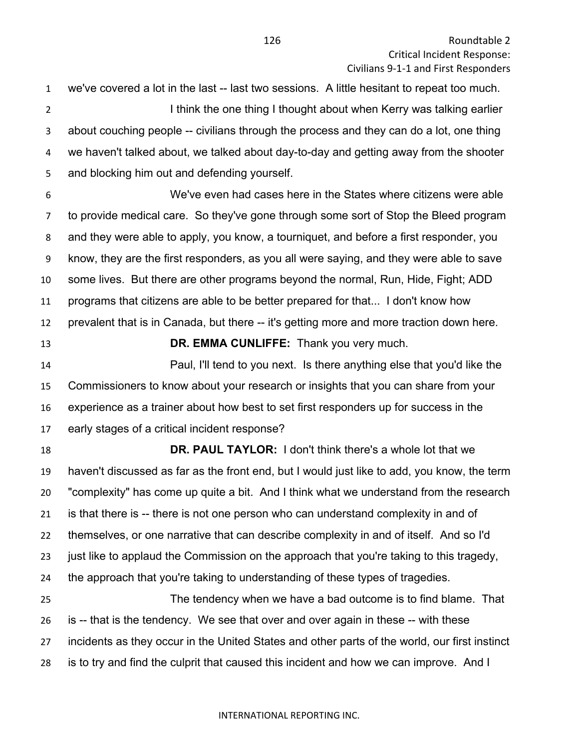we've covered a lot in the last -- last two sessions. A little hesitant to repeat too much. **I think the one thing I thought about when Kerry was talking earlier**  about couching people -- civilians through the process and they can do a lot, one thing we haven't talked about, we talked about day-to-day and getting away from the shooter and blocking him out and defending yourself.

 We've even had cases here in the States where citizens were able to provide medical care. So they've gone through some sort of Stop the Bleed program and they were able to apply, you know, a tourniquet, and before a first responder, you know, they are the first responders, as you all were saying, and they were able to save some lives. But there are other programs beyond the normal, Run, Hide, Fight; ADD programs that citizens are able to be better prepared for that... I don't know how prevalent that is in Canada, but there -- it's getting more and more traction down here.

**DR. EMMA CUNLIFFE:** Thank you very much.

 Paul, I'll tend to you next. Is there anything else that you'd like the Commissioners to know about your research or insights that you can share from your experience as a trainer about how best to set first responders up for success in the early stages of a critical incident response?

 **DR. PAUL TAYLOR:** I don't think there's a whole lot that we haven't discussed as far as the front end, but I would just like to add, you know, the term "complexity" has come up quite a bit. And I think what we understand from the research is that there is -- there is not one person who can understand complexity in and of themselves, or one narrative that can describe complexity in and of itself. And so I'd 23 just like to applaud the Commission on the approach that you're taking to this tragedy, the approach that you're taking to understanding of these types of tragedies. The tendency when we have a bad outcome is to find blame. That is -- that is the tendency. We see that over and over again in these -- with these incidents as they occur in the United States and other parts of the world, our first instinct

is to try and find the culprit that caused this incident and how we can improve. And I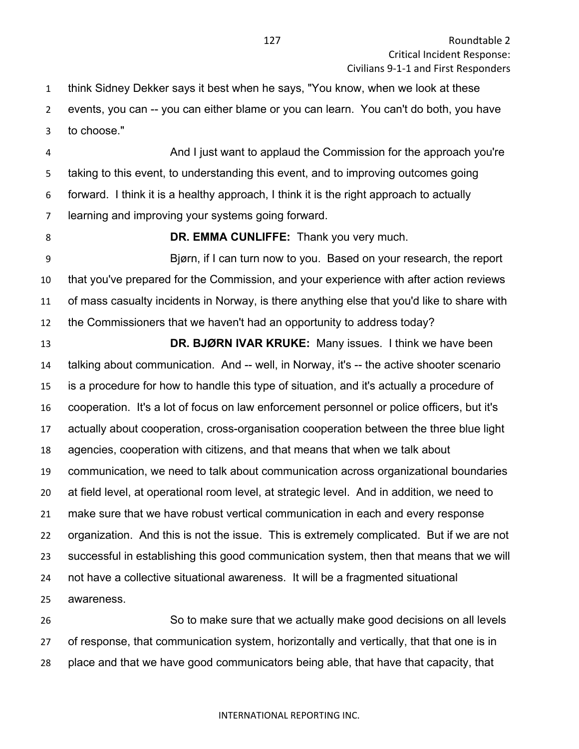think Sidney Dekker says it best when he says, "You know, when we look at these events, you can -- you can either blame or you can learn. You can't do both, you have to choose."

 And I just want to applaud the Commission for the approach you're taking to this event, to understanding this event, and to improving outcomes going forward. I think it is a healthy approach, I think it is the right approach to actually learning and improving your systems going forward.

### **DR. EMMA CUNLIFFE:** Thank you very much.

 Bjørn, if I can turn now to you. Based on your research, the report that you've prepared for the Commission, and your experience with after action reviews of mass casualty incidents in Norway, is there anything else that you'd like to share with the Commissioners that we haven't had an opportunity to address today?

 **DR. BJØRN IVAR KRUKE:** Many issues. I think we have been talking about communication. And -- well, in Norway, it's -- the active shooter scenario is a procedure for how to handle this type of situation, and it's actually a procedure of cooperation. It's a lot of focus on law enforcement personnel or police officers, but it's actually about cooperation, cross-organisation cooperation between the three blue light agencies, cooperation with citizens, and that means that when we talk about communication, we need to talk about communication across organizational boundaries at field level, at operational room level, at strategic level. And in addition, we need to make sure that we have robust vertical communication in each and every response organization. And this is not the issue. This is extremely complicated. But if we are not successful in establishing this good communication system, then that means that we will not have a collective situational awareness. It will be a fragmented situational awareness.

 So to make sure that we actually make good decisions on all levels of response, that communication system, horizontally and vertically, that that one is in place and that we have good communicators being able, that have that capacity, that

#### INTERNATIONAL REPORTING INC.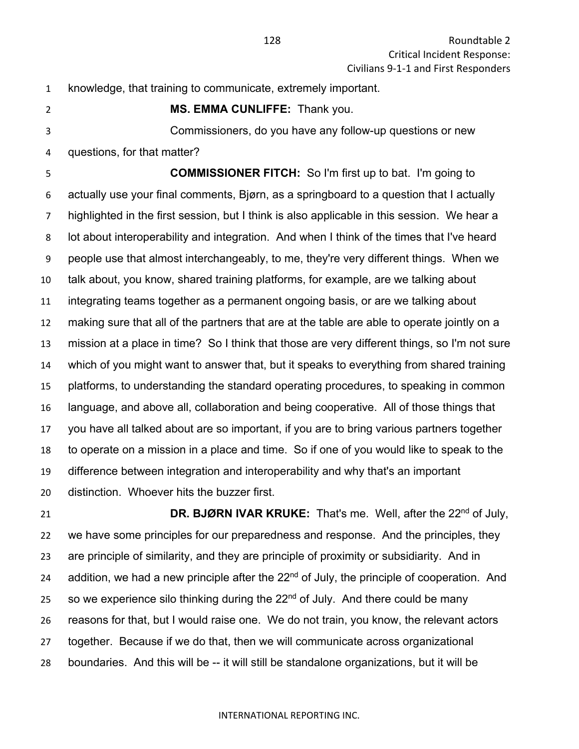knowledge, that training to communicate, extremely important.

**MS. EMMA CUNLIFFE:** Thank you.

 Commissioners, do you have any follow-up questions or new questions, for that matter?

 **COMMISSIONER FITCH:** So I'm first up to bat. I'm going to actually use your final comments, Bjørn, as a springboard to a question that I actually highlighted in the first session, but I think is also applicable in this session. We hear a lot about interoperability and integration. And when I think of the times that I've heard people use that almost interchangeably, to me, they're very different things. When we talk about, you know, shared training platforms, for example, are we talking about integrating teams together as a permanent ongoing basis, or are we talking about making sure that all of the partners that are at the table are able to operate jointly on a mission at a place in time? So I think that those are very different things, so I'm not sure which of you might want to answer that, but it speaks to everything from shared training platforms, to understanding the standard operating procedures, to speaking in common language, and above all, collaboration and being cooperative. All of those things that you have all talked about are so important, if you are to bring various partners together to operate on a mission in a place and time. So if one of you would like to speak to the difference between integration and interoperability and why that's an important distinction. Whoever hits the buzzer first.

**DR. BJØRN IVAR KRUKE:** That's me. Well, after the 22<sup>nd</sup> of July, we have some principles for our preparedness and response. And the principles, they are principle of similarity, and they are principle of proximity or subsidiarity. And in 24 addition, we had a new principle after the  $22<sup>nd</sup>$  of July, the principle of cooperation. And 25 so we experience silo thinking during the  $22<sup>nd</sup>$  of July. And there could be many reasons for that, but I would raise one. We do not train, you know, the relevant actors together. Because if we do that, then we will communicate across organizational boundaries. And this will be -- it will still be standalone organizations, but it will be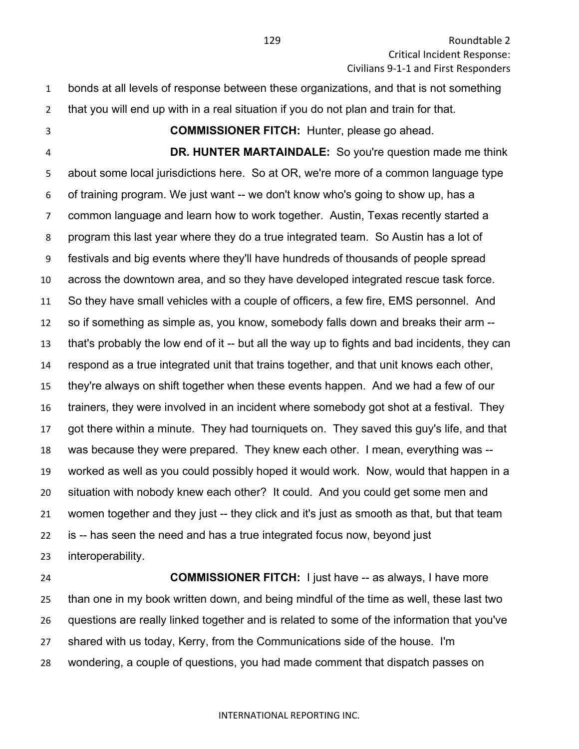- bonds at all levels of response between these organizations, and that is not something that you will end up with in a real situation if you do not plan and train for that.
- 

**COMMISSIONER FITCH:** Hunter, please go ahead.

 **DR. HUNTER MARTAINDALE:** So you're question made me think about some local jurisdictions here. So at OR, we're more of a common language type of training program. We just want -- we don't know who's going to show up, has a common language and learn how to work together. Austin, Texas recently started a program this last year where they do a true integrated team. So Austin has a lot of festivals and big events where they'll have hundreds of thousands of people spread across the downtown area, and so they have developed integrated rescue task force. So they have small vehicles with a couple of officers, a few fire, EMS personnel. And so if something as simple as, you know, somebody falls down and breaks their arm -- that's probably the low end of it -- but all the way up to fights and bad incidents, they can respond as a true integrated unit that trains together, and that unit knows each other, they're always on shift together when these events happen. And we had a few of our trainers, they were involved in an incident where somebody got shot at a festival. They got there within a minute. They had tourniquets on. They saved this guy's life, and that was because they were prepared. They knew each other. I mean, everything was -- worked as well as you could possibly hoped it would work. Now, would that happen in a situation with nobody knew each other? It could. And you could get some men and women together and they just -- they click and it's just as smooth as that, but that team is -- has seen the need and has a true integrated focus now, beyond just interoperability.

 **COMMISSIONER FITCH:** I just have -- as always, I have more than one in my book written down, and being mindful of the time as well, these last two questions are really linked together and is related to some of the information that you've shared with us today, Kerry, from the Communications side of the house. I'm wondering, a couple of questions, you had made comment that dispatch passes on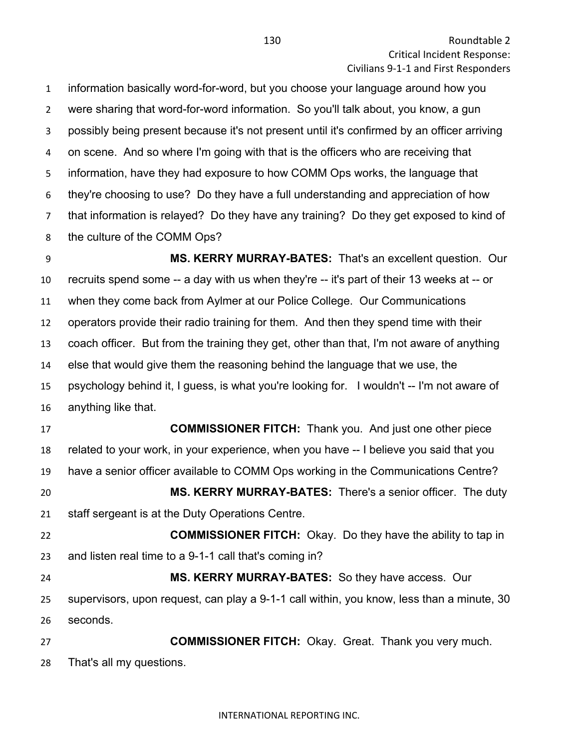information basically word-for-word, but you choose your language around how you were sharing that word-for-word information. So you'll talk about, you know, a gun possibly being present because it's not present until it's confirmed by an officer arriving on scene. And so where I'm going with that is the officers who are receiving that information, have they had exposure to how COMM Ops works, the language that they're choosing to use? Do they have a full understanding and appreciation of how that information is relayed? Do they have any training? Do they get exposed to kind of the culture of the COMM Ops?

 **MS. KERRY MURRAY-BATES:** That's an excellent question. Our recruits spend some -- a day with us when they're -- it's part of their 13 weeks at -- or when they come back from Aylmer at our Police College. Our Communications operators provide their radio training for them. And then they spend time with their coach officer. But from the training they get, other than that, I'm not aware of anything else that would give them the reasoning behind the language that we use, the psychology behind it, I guess, is what you're looking for. I wouldn't -- I'm not aware of anything like that.

 **COMMISSIONER FITCH:** Thank you. And just one other piece related to your work, in your experience, when you have -- I believe you said that you have a senior officer available to COMM Ops working in the Communications Centre? **MS. KERRY MURRAY-BATES:** There's a senior officer. The duty staff sergeant is at the Duty Operations Centre.

 **COMMISSIONER FITCH:** Okay. Do they have the ability to tap in and listen real time to a 9-1-1 call that's coming in?

 **MS. KERRY MURRAY-BATES:** So they have access. Our supervisors, upon request, can play a 9-1-1 call within, you know, less than a minute, 30 seconds.

 **COMMISSIONER FITCH:** Okay. Great. Thank you very much. That's all my questions.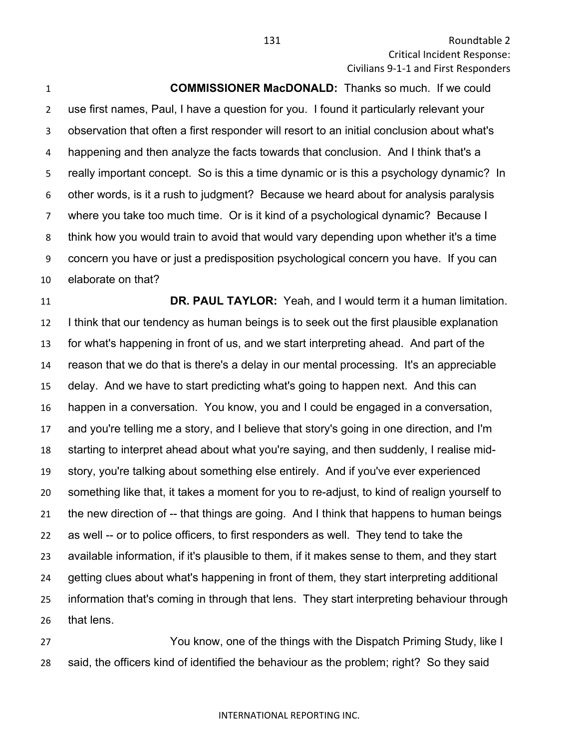131 Roundtable 2 Critical Incident Response: Civilians 9-1-1 and First Responders

**COMMISSIONER MacDONALD:** Thanks so much. If we could

 use first names, Paul, I have a question for you. I found it particularly relevant your observation that often a first responder will resort to an initial conclusion about what's happening and then analyze the facts towards that conclusion. And I think that's a really important concept. So is this a time dynamic or is this a psychology dynamic? In other words, is it a rush to judgment? Because we heard about for analysis paralysis where you take too much time. Or is it kind of a psychological dynamic? Because I think how you would train to avoid that would vary depending upon whether it's a time concern you have or just a predisposition psychological concern you have. If you can elaborate on that?

 **DR. PAUL TAYLOR:** Yeah, and I would term it a human limitation. I think that our tendency as human beings is to seek out the first plausible explanation for what's happening in front of us, and we start interpreting ahead. And part of the reason that we do that is there's a delay in our mental processing. It's an appreciable delay. And we have to start predicting what's going to happen next. And this can happen in a conversation. You know, you and I could be engaged in a conversation, and you're telling me a story, and I believe that story's going in one direction, and I'm starting to interpret ahead about what you're saying, and then suddenly, I realise mid- story, you're talking about something else entirely. And if you've ever experienced something like that, it takes a moment for you to re-adjust, to kind of realign yourself to the new direction of -- that things are going. And I think that happens to human beings as well -- or to police officers, to first responders as well. They tend to take the available information, if it's plausible to them, if it makes sense to them, and they start getting clues about what's happening in front of them, they start interpreting additional information that's coming in through that lens. They start interpreting behaviour through that lens.

**The Study Common Study Common Study** Tou know, one of the things with the Dispatch Priming Study, like I said, the officers kind of identified the behaviour as the problem; right? So they said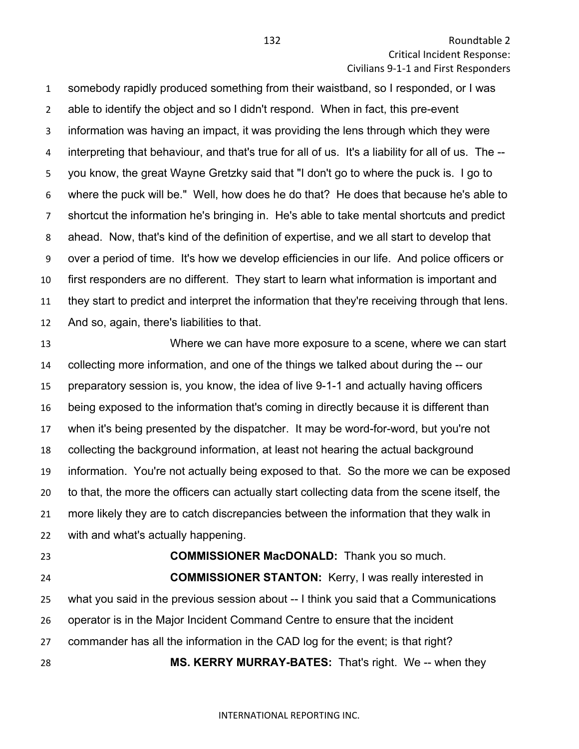somebody rapidly produced something from their waistband, so I responded, or I was able to identify the object and so I didn't respond. When in fact, this pre-event information was having an impact, it was providing the lens through which they were interpreting that behaviour, and that's true for all of us. It's a liability for all of us. The -- you know, the great Wayne Gretzky said that "I don't go to where the puck is. I go to where the puck will be." Well, how does he do that? He does that because he's able to shortcut the information he's bringing in. He's able to take mental shortcuts and predict ahead. Now, that's kind of the definition of expertise, and we all start to develop that over a period of time. It's how we develop efficiencies in our life. And police officers or first responders are no different. They start to learn what information is important and they start to predict and interpret the information that they're receiving through that lens. And so, again, there's liabilities to that.

 Where we can have more exposure to a scene, where we can start collecting more information, and one of the things we talked about during the -- our preparatory session is, you know, the idea of live 9-1-1 and actually having officers being exposed to the information that's coming in directly because it is different than when it's being presented by the dispatcher. It may be word-for-word, but you're not collecting the background information, at least not hearing the actual background information. You're not actually being exposed to that. So the more we can be exposed to that, the more the officers can actually start collecting data from the scene itself, the more likely they are to catch discrepancies between the information that they walk in with and what's actually happening.

 **COMMISSIONER MacDONALD:** Thank you so much. **COMMISSIONER STANTON:** Kerry, I was really interested in what you said in the previous session about -- I think you said that a Communications operator is in the Major Incident Command Centre to ensure that the incident commander has all the information in the CAD log for the event; is that right? **MS. KERRY MURRAY-BATES:** That's right. We -- when they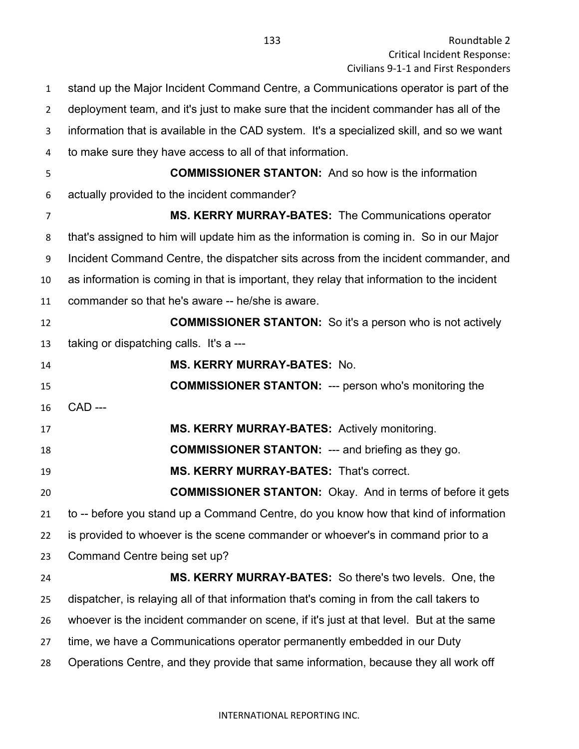| $\mathbf{1}$   | stand up the Major Incident Command Centre, a Communications operator is part of the       |
|----------------|--------------------------------------------------------------------------------------------|
| $\overline{2}$ | deployment team, and it's just to make sure that the incident commander has all of the     |
| 3              | information that is available in the CAD system. It's a specialized skill, and so we want  |
| 4              | to make sure they have access to all of that information.                                  |
| 5              | <b>COMMISSIONER STANTON:</b> And so how is the information                                 |
| 6              | actually provided to the incident commander?                                               |
| 7              | MS. KERRY MURRAY-BATES: The Communications operator                                        |
| 8              | that's assigned to him will update him as the information is coming in. So in our Major    |
| 9              | Incident Command Centre, the dispatcher sits across from the incident commander, and       |
| 10             | as information is coming in that is important, they relay that information to the incident |
| 11             | commander so that he's aware -- he/she is aware.                                           |
| 12             | <b>COMMISSIONER STANTON:</b> So it's a person who is not actively                          |
| 13             | taking or dispatching calls. It's a ---                                                    |
| 14             | <b>MS. KERRY MURRAY-BATES: No.</b>                                                         |
| 15             | <b>COMMISSIONER STANTON: --- person who's monitoring the</b>                               |
| 16             | <b>CAD ---</b>                                                                             |
| 17             | MS. KERRY MURRAY-BATES: Actively monitoring.                                               |
| 18             | <b>COMMISSIONER STANTON: --- and briefing as they go.</b>                                  |
| 19             | <b>MS. KERRY MURRAY-BATES: That's correct.</b>                                             |
| 20             | <b>COMMISSIONER STANTON:</b> Okay. And in terms of before it gets                          |
| 21             | to -- before you stand up a Command Centre, do you know how that kind of information       |
| 22             | is provided to whoever is the scene commander or whoever's in command prior to a           |
| 23             | Command Centre being set up?                                                               |
| 24             | <b>MS. KERRY MURRAY-BATES:</b> So there's two levels. One, the                             |
| 25             | dispatcher, is relaying all of that information that's coming in from the call takers to   |
| 26             | whoever is the incident commander on scene, if it's just at that level. But at the same    |
| 27             | time, we have a Communications operator permanently embedded in our Duty                   |
| 28             | Operations Centre, and they provide that same information, because they all work off       |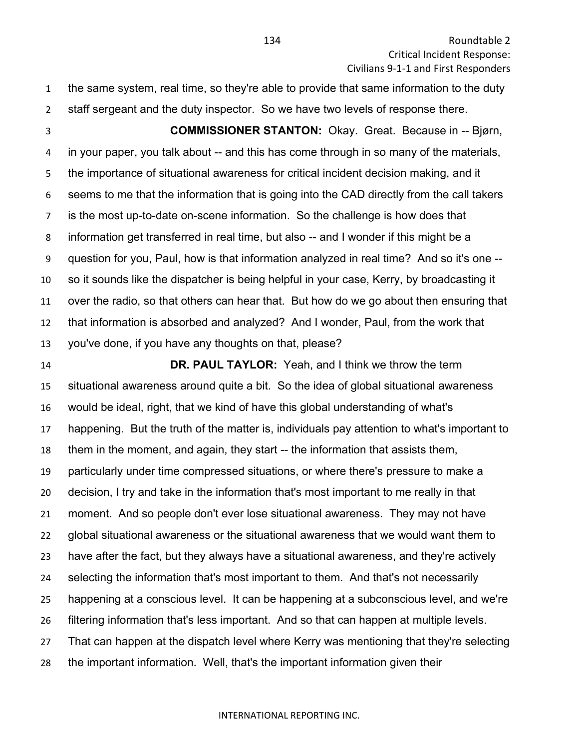the same system, real time, so they're able to provide that same information to the duty staff sergeant and the duty inspector. So we have two levels of response there.

 **COMMISSIONER STANTON:** Okay. Great. Because in -- Bjørn, in your paper, you talk about -- and this has come through in so many of the materials, the importance of situational awareness for critical incident decision making, and it seems to me that the information that is going into the CAD directly from the call takers is the most up-to-date on-scene information. So the challenge is how does that information get transferred in real time, but also -- and I wonder if this might be a question for you, Paul, how is that information analyzed in real time? And so it's one -- so it sounds like the dispatcher is being helpful in your case, Kerry, by broadcasting it over the radio, so that others can hear that. But how do we go about then ensuring that that information is absorbed and analyzed? And I wonder, Paul, from the work that you've done, if you have any thoughts on that, please?

 **DR. PAUL TAYLOR:** Yeah, and I think we throw the term situational awareness around quite a bit. So the idea of global situational awareness would be ideal, right, that we kind of have this global understanding of what's happening. But the truth of the matter is, individuals pay attention to what's important to them in the moment, and again, they start -- the information that assists them, particularly under time compressed situations, or where there's pressure to make a decision, I try and take in the information that's most important to me really in that moment. And so people don't ever lose situational awareness. They may not have global situational awareness or the situational awareness that we would want them to have after the fact, but they always have a situational awareness, and they're actively selecting the information that's most important to them. And that's not necessarily happening at a conscious level. It can be happening at a subconscious level, and we're filtering information that's less important. And so that can happen at multiple levels. That can happen at the dispatch level where Kerry was mentioning that they're selecting the important information. Well, that's the important information given their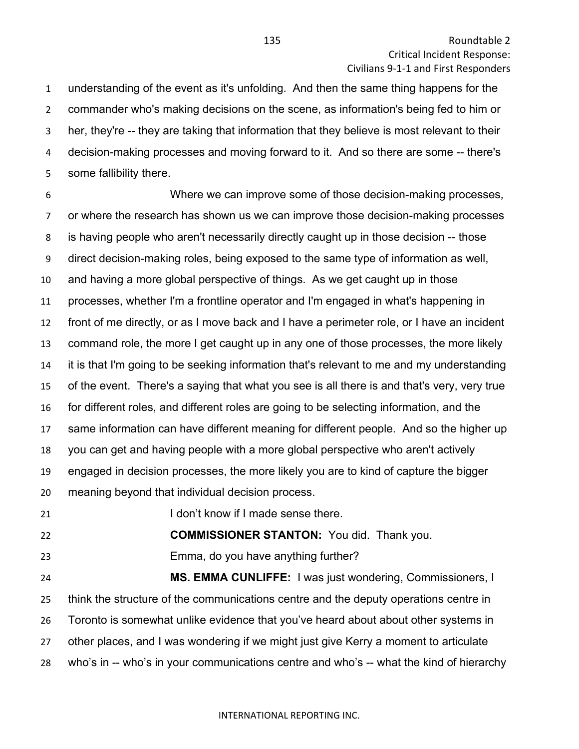understanding of the event as it's unfolding. And then the same thing happens for the commander who's making decisions on the scene, as information's being fed to him or her, they're -- they are taking that information that they believe is most relevant to their decision-making processes and moving forward to it. And so there are some -- there's some fallibility there.

 Where we can improve some of those decision-making processes, or where the research has shown us we can improve those decision-making processes is having people who aren't necessarily directly caught up in those decision -- those direct decision-making roles, being exposed to the same type of information as well, and having a more global perspective of things. As we get caught up in those processes, whether I'm a frontline operator and I'm engaged in what's happening in front of me directly, or as I move back and I have a perimeter role, or I have an incident command role, the more I get caught up in any one of those processes, the more likely it is that I'm going to be seeking information that's relevant to me and my understanding of the event. There's a saying that what you see is all there is and that's very, very true for different roles, and different roles are going to be selecting information, and the same information can have different meaning for different people. And so the higher up you can get and having people with a more global perspective who aren't actively engaged in decision processes, the more likely you are to kind of capture the bigger meaning beyond that individual decision process.

**I don't know if I made sense there.** 

**COMMISSIONER STANTON:** You did. Thank you.

Emma, do you have anything further?

 **MS. EMMA CUNLIFFE:** I was just wondering, Commissioners, I think the structure of the communications centre and the deputy operations centre in Toronto is somewhat unlike evidence that you've heard about about other systems in other places, and I was wondering if we might just give Kerry a moment to articulate who's in -- who's in your communications centre and who's -- what the kind of hierarchy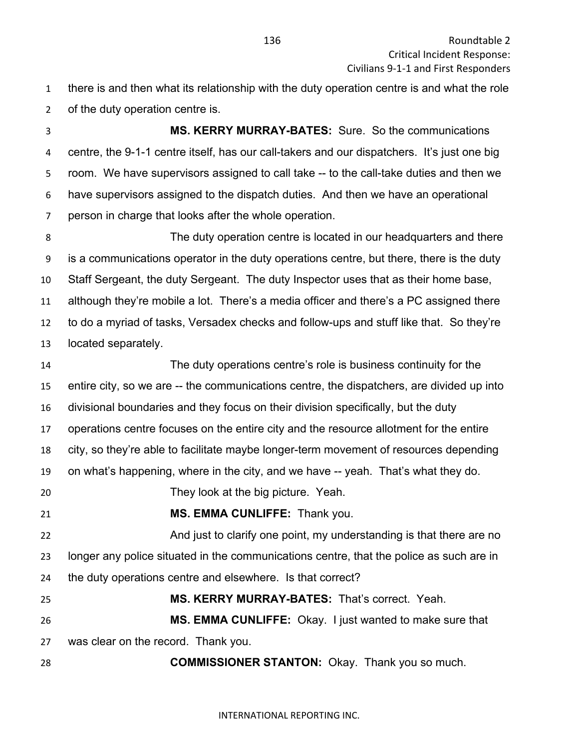there is and then what its relationship with the duty operation centre is and what the role of the duty operation centre is.

 **MS. KERRY MURRAY-BATES:** Sure. So the communications centre, the 9-1-1 centre itself, has our call-takers and our dispatchers. It's just one big room. We have supervisors assigned to call take -- to the call-take duties and then we have supervisors assigned to the dispatch duties. And then we have an operational person in charge that looks after the whole operation.

 The duty operation centre is located in our headquarters and there is a communications operator in the duty operations centre, but there, there is the duty Staff Sergeant, the duty Sergeant. The duty Inspector uses that as their home base, although they're mobile a lot. There's a media officer and there's a PC assigned there to do a myriad of tasks, Versadex checks and follow-ups and stuff like that. So they're located separately.

 The duty operations centre's role is business continuity for the entire city, so we are -- the communications centre, the dispatchers, are divided up into divisional boundaries and they focus on their division specifically, but the duty operations centre focuses on the entire city and the resource allotment for the entire city, so they're able to facilitate maybe longer-term movement of resources depending on what's happening, where in the city, and we have -- yeah. That's what they do. They look at the big picture. Yeah. **MS. EMMA CUNLIFFE:** Thank you. **And just to clarify one point, my understanding is that there are no**  longer any police situated in the communications centre, that the police as such are in the duty operations centre and elsewhere. Is that correct? **MS. KERRY MURRAY-BATES:** That's correct. Yeah. **MS. EMMA CUNLIFFE:** Okay. I just wanted to make sure that was clear on the record. Thank you. **COMMISSIONER STANTON:** Okay. Thank you so much.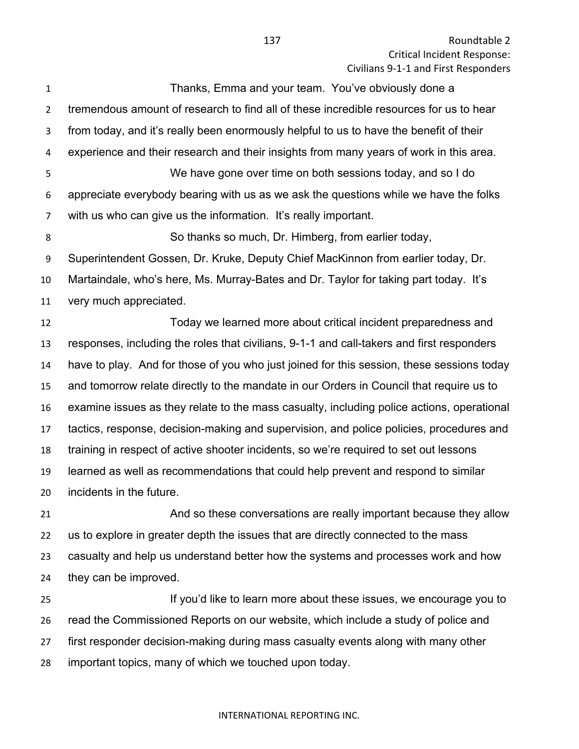| 1              | Thanks, Emma and your team. You've obviously done a                                       |
|----------------|-------------------------------------------------------------------------------------------|
| $\overline{2}$ | tremendous amount of research to find all of these incredible resources for us to hear    |
| 3              | from today, and it's really been enormously helpful to us to have the benefit of their    |
| 4              | experience and their research and their insights from many years of work in this area.    |
| 5              | We have gone over time on both sessions today, and so I do                                |
| 6              | appreciate everybody bearing with us as we ask the questions while we have the folks      |
| 7              | with us who can give us the information. It's really important.                           |
| 8              | So thanks so much, Dr. Himberg, from earlier today,                                       |
| 9              | Superintendent Gossen, Dr. Kruke, Deputy Chief MacKinnon from earlier today, Dr.          |
| 10             | Martaindale, who's here, Ms. Murray-Bates and Dr. Taylor for taking part today. It's      |
| 11             | very much appreciated.                                                                    |
| 12             | Today we learned more about critical incident preparedness and                            |
| 13             | responses, including the roles that civilians, 9-1-1 and call-takers and first responders |
| 14             | have to play. And for those of you who just joined for this session, these sessions today |
| 15             | and tomorrow relate directly to the mandate in our Orders in Council that require us to   |
| 16             | examine issues as they relate to the mass casualty, including police actions, operational |
| 17             | tactics, response, decision-making and supervision, and police policies, procedures and   |
| 18             | training in respect of active shooter incidents, so we're required to set out lessons     |
| 19             | learned as well as recommendations that could help prevent and respond to similar         |
| 20             | incidents in the future.                                                                  |
| 21             | And so these conversations are really important because they allow                        |
| 22             | us to explore in greater depth the issues that are directly connected to the mass         |
| 23             | casualty and help us understand better how the systems and processes work and how         |
| 24             | they can be improved.                                                                     |
| 25             | If you'd like to learn more about these issues, we encourage you to                       |
| 26             | read the Commissioned Reports on our website, which include a study of police and         |
| 27             | first responder decision-making during mass casualty events along with many other         |

important topics, many of which we touched upon today.

## INTERNATIONAL REPORTING INC.